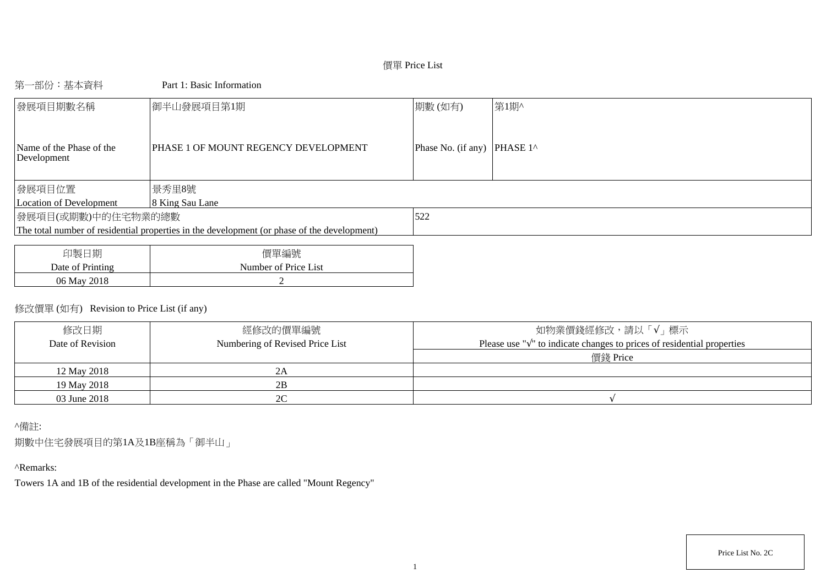# 價單 Price List

## 第一部份:基本資料 Part 1: Basic Information

| 發展項目期數名稱                                | 御半山發展項目第1期                                                                                  | 期數(如有)                      | 第1期^ |
|-----------------------------------------|---------------------------------------------------------------------------------------------|-----------------------------|------|
| Name of the Phase of the<br>Development | PHASE 1 OF MOUNT REGENCY DEVELOPMENT                                                        | Phase No. (if any) PHASE 1^ |      |
| 發展項目位置                                  | 景秀里8號                                                                                       |                             |      |
| Location of Development                 | 8 King Sau Lane                                                                             |                             |      |
| 發展項目(或期數)中的住宅物業的總數                      |                                                                                             | 522                         |      |
|                                         | The total number of residential properties in the development (or phase of the development) |                             |      |
|                                         |                                                                                             |                             |      |
|                                         |                                                                                             |                             |      |

| 印製日期             | 價單編號                 |
|------------------|----------------------|
| Date of Printing | Number of Price List |
| 06 May 2018      |                      |

# 修改價單 (如有) Revision to Price List (if any)

| 修改日期<br>Date of Revision | 經修改的價單編號<br>Numbering of Revised Price List | 如物業價錢經修改,請以「√」標示<br>Please use " $\sqrt{ }$ " to indicate changes to prices of residential properties |
|--------------------------|---------------------------------------------|-------------------------------------------------------------------------------------------------------|
|                          |                                             | 價錢 Price                                                                                              |
| 12 May 2018              |                                             |                                                                                                       |
| 19 May 2018              | 2B                                          |                                                                                                       |
| 03 June 2018             | 2C                                          |                                                                                                       |

## ^備註:

期數中住宅發展項目的第1A及1B座稱為「御半山」

# ^Remarks:

Towers 1A and 1B of the residential development in the Phase are called "Mount Regency"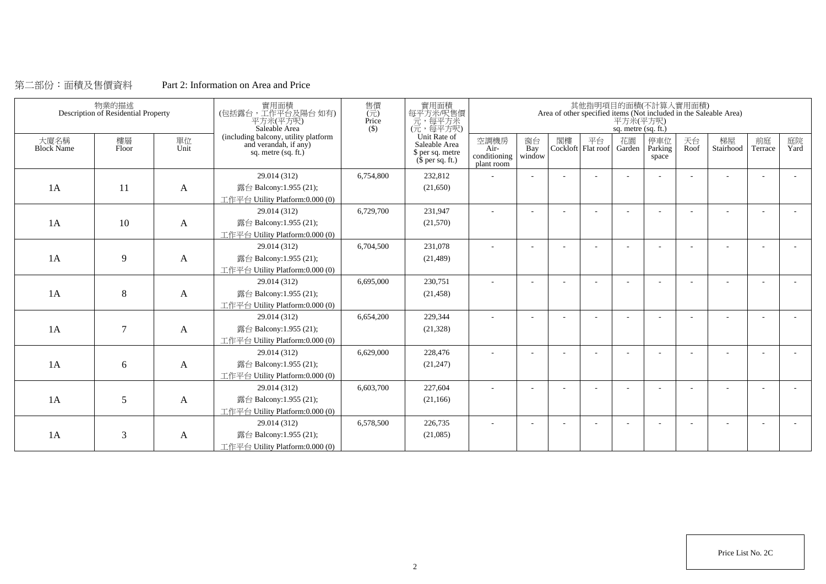## 第二部份:面積及售價資料 Part 2: Information on Area and Price

|                           | 物業的描述<br>Description of Residential Property |            | 實用面積<br>(包括露台,工作平台及陽台如有)<br>平方米(平方呎)<br>Saleable Area                                | 售價<br>$(\vec{\pi})$<br>Price<br>$($)$ | 實用面積<br>每平方米/呎售價<br>元,每平方米<br>(元,每平方呎)                                        |                                              |                          |    |                                 | 平方米(平方呎)<br>sq. metre (sq. ft.) | 其他指明項目的面積(不計算入實用面積)     |            | Area of other specified items (Not included in the Saleable Area) |                          |            |
|---------------------------|----------------------------------------------|------------|--------------------------------------------------------------------------------------|---------------------------------------|-------------------------------------------------------------------------------|----------------------------------------------|--------------------------|----|---------------------------------|---------------------------------|-------------------------|------------|-------------------------------------------------------------------|--------------------------|------------|
| 大廈名稱<br><b>Block Name</b> | 樓層<br>Floor                                  | 單位<br>Unit | (including balcony, utility platform<br>and verandah, if any)<br>sq. metre (sq. ft.) |                                       | Unit Rate of<br>Saleable Area<br>\$ per sq. metre<br>$(\bar{\S}$ per sq. ft.) | 空調機房<br>$Air-$<br>conditioning<br>plant room | 窗台<br>Bay<br>window      | 閣樓 | 平台<br>Cockloft Flat roof Garden | 花園                              | 停車位<br>Parking<br>space | 天台<br>Roof | 梯屋<br>Stairhood                                                   | 前庭<br>Terrace            | 庭院<br>Yard |
|                           |                                              |            | 29.014 (312)                                                                         | 6,754,800                             | 232,812                                                                       |                                              |                          |    |                                 |                                 |                         |            |                                                                   |                          |            |
| 1A                        | 11                                           | A          | 露台 Balcony:1.955 (21);                                                               |                                       | (21,650)                                                                      |                                              |                          |    |                                 |                                 |                         |            |                                                                   |                          |            |
|                           |                                              |            | 工作平台 Utility Platform:0.000 (0)                                                      |                                       |                                                                               |                                              |                          |    |                                 |                                 |                         |            |                                                                   |                          |            |
|                           |                                              |            | 29.014 (312)                                                                         | 6,729,700                             | 231,947                                                                       | $\sim$                                       | $\overline{\phantom{a}}$ |    |                                 |                                 |                         | ÷          |                                                                   | $\overline{\phantom{a}}$ |            |
| 1A                        | 10                                           | A          | 露台 Balcony:1.955 (21);                                                               |                                       | (21,570)                                                                      |                                              |                          |    |                                 |                                 |                         |            |                                                                   |                          |            |
|                           |                                              |            | 工作平台 Utility Platform:0.000 (0)                                                      |                                       |                                                                               |                                              |                          |    |                                 |                                 |                         |            |                                                                   |                          |            |
|                           |                                              |            | 29.014 (312)                                                                         | 6,704,500                             | 231.078                                                                       |                                              |                          |    |                                 |                                 |                         |            |                                                                   |                          |            |
| 1A                        | 9                                            | A          | 露台 Balcony:1.955 (21);                                                               |                                       | (21, 489)                                                                     |                                              |                          |    |                                 |                                 |                         |            |                                                                   |                          |            |
|                           |                                              |            | 工作平台 Utility Platform:0.000 (0)                                                      |                                       |                                                                               |                                              |                          |    |                                 |                                 |                         |            |                                                                   |                          |            |
|                           |                                              |            | 29.014 (312)                                                                         | 6,695,000                             | 230,751                                                                       |                                              |                          |    |                                 |                                 |                         |            |                                                                   |                          |            |
| 1A                        | 8                                            | A          | 露台 Balcony:1.955 (21);                                                               |                                       | (21, 458)                                                                     |                                              |                          |    |                                 |                                 |                         |            |                                                                   |                          |            |
|                           |                                              |            | 工作平台 Utility Platform:0.000 (0)                                                      |                                       |                                                                               |                                              |                          |    |                                 |                                 |                         |            |                                                                   |                          |            |
|                           |                                              |            | 29.014 (312)                                                                         | 6,654,200                             | 229,344                                                                       | $\overline{\phantom{a}}$                     |                          |    |                                 |                                 |                         |            |                                                                   |                          |            |
| 1A                        | $\overline{7}$                               | A          | 露台 Balcony:1.955 (21);                                                               |                                       | (21, 328)                                                                     |                                              |                          |    |                                 |                                 |                         |            |                                                                   |                          |            |
|                           |                                              |            | 工作平台 Utility Platform:0.000 (0)                                                      |                                       |                                                                               |                                              |                          |    |                                 |                                 |                         |            |                                                                   |                          |            |
|                           |                                              |            | 29.014 (312)                                                                         | 6,629,000                             | 228,476                                                                       |                                              |                          |    |                                 |                                 |                         |            |                                                                   |                          |            |
| 1A                        | 6                                            | A          | 露台 Balcony:1.955 (21);                                                               |                                       | (21, 247)                                                                     |                                              |                          |    |                                 |                                 |                         |            |                                                                   |                          |            |
|                           |                                              |            | 工作平台 Utility Platform:0.000 (0)                                                      |                                       |                                                                               |                                              |                          |    |                                 |                                 |                         |            |                                                                   |                          |            |
|                           |                                              |            | 29.014 (312)                                                                         | 6,603,700                             | 227.604                                                                       |                                              |                          |    |                                 |                                 |                         |            |                                                                   |                          |            |
| 1A                        | 5                                            | A          | 露台 Balcony:1.955 (21);                                                               |                                       | (21, 166)                                                                     |                                              |                          |    |                                 |                                 |                         |            |                                                                   |                          |            |
|                           |                                              |            | 工作平台 Utility Platform:0.000 (0)                                                      |                                       |                                                                               |                                              |                          |    |                                 |                                 |                         |            |                                                                   |                          |            |
|                           |                                              |            | 29.014 (312)                                                                         | 6,578,500                             | 226,735                                                                       |                                              |                          |    |                                 |                                 |                         |            |                                                                   |                          |            |
| 1A                        | 3                                            | A          | 露台 Balcony:1.955 (21);                                                               |                                       | (21,085)                                                                      |                                              |                          |    |                                 |                                 |                         |            |                                                                   |                          |            |
|                           |                                              |            | 工作平台 Utility Platform:0.000 (0)                                                      |                                       |                                                                               |                                              |                          |    |                                 |                                 |                         |            |                                                                   |                          |            |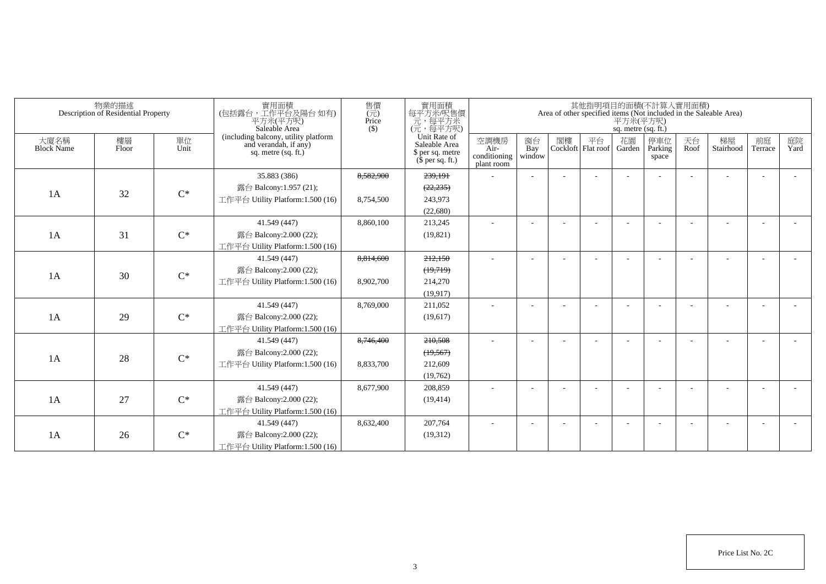|                           | 物業的描述<br>Description of Residential Property |                | 實用面積<br>(包括露台,工作平台及陽台如有)<br>平方米(平方呎)<br>Saleable Area                                | 售價<br>(元)<br>Price<br>$($ \$ | 實用面積<br>每平方米/呎售價<br>一元,每平方米<br>(元,每平方呎)                               |                                            |                          |    |                                 | 平方米(平方呎)<br>sq. metre (sq. ft.) | 其他指明項目的面積(不計算入實用面積)     |            | Area of other specified items (Not included in the Saleable Area) |                          |            |
|---------------------------|----------------------------------------------|----------------|--------------------------------------------------------------------------------------|------------------------------|-----------------------------------------------------------------------|--------------------------------------------|--------------------------|----|---------------------------------|---------------------------------|-------------------------|------------|-------------------------------------------------------------------|--------------------------|------------|
| 大廈名稱<br><b>Block Name</b> | 樓層<br>Floor                                  | 單位<br>Unit     | (including balcony, utility platform<br>and verandah, if any)<br>sq. metre (sq. ft.) |                              | Unit Rate of<br>Saleable Area<br>\$ per sq. metre<br>$$$ per sq. ft.) | 空調機房<br>Air-<br>conditioning<br>plant room | 窗台<br>Bay<br>window      | 閣樓 | 平台<br>Cockloft Flat roof Garden | 花園                              | 停車位<br>Parking<br>space | 天台<br>Roof | 梯屋<br>Stairhood                                                   | 前庭<br>Terrace            | 庭院<br>Yard |
|                           |                                              |                | 35.883 (386)                                                                         | 8,582,900                    | 239,191                                                               | ä,                                         |                          |    |                                 |                                 |                         |            |                                                                   |                          |            |
| 1A                        | 32                                           | $C^*$          | 露台 Balcony:1.957 (21);                                                               |                              | (22, 235)                                                             |                                            |                          |    |                                 |                                 |                         |            |                                                                   |                          |            |
|                           |                                              |                | 工作平台 Utility Platform: 1.500 (16)                                                    | 8,754,500                    | 243.973                                                               |                                            |                          |    |                                 |                                 |                         |            |                                                                   |                          |            |
|                           |                                              |                |                                                                                      |                              | (22,680)                                                              |                                            |                          |    |                                 |                                 |                         |            |                                                                   |                          |            |
|                           |                                              |                | 41.549 (447)                                                                         | 8,860,100                    | 213,245                                                               | $\sim$                                     |                          |    |                                 |                                 | <b>1</b>                |            |                                                                   | $\overline{\phantom{a}}$ |            |
| 1A                        | 31                                           | $\mathrm{C}^*$ | 露台 Balcony:2.000 (22);                                                               |                              | (19, 821)                                                             |                                            |                          |    |                                 |                                 |                         |            |                                                                   |                          |            |
|                           |                                              |                | 工作平台 Utility Platform:1.500 (16)                                                     |                              |                                                                       |                                            |                          |    |                                 |                                 |                         |            |                                                                   |                          |            |
|                           |                                              |                | 41.549 (447)                                                                         | 8,814,600                    | 212,150                                                               |                                            |                          |    |                                 |                                 |                         |            |                                                                   |                          |            |
| 1A                        | 30                                           | $C^*$          | 露台 Balcony:2.000 (22);                                                               |                              | (19,719)                                                              |                                            |                          |    |                                 |                                 |                         |            |                                                                   |                          |            |
|                           |                                              |                | 工作平台 Utility Platform: 1.500 (16)                                                    | 8,902,700                    | 214,270                                                               |                                            |                          |    |                                 |                                 |                         |            |                                                                   |                          |            |
|                           |                                              |                |                                                                                      |                              | (19,917)                                                              |                                            |                          |    |                                 |                                 |                         |            |                                                                   |                          |            |
|                           |                                              |                | 41.549 (447)                                                                         | 8,769,000                    | 211,052                                                               |                                            |                          |    |                                 |                                 |                         |            |                                                                   |                          |            |
| 1A                        | 29                                           | $C^*$          | 露台 Balcony:2.000 (22);                                                               |                              | (19,617)                                                              |                                            |                          |    |                                 |                                 |                         |            |                                                                   |                          |            |
|                           |                                              |                | 工作平台 Utility Platform:1.500 (16)                                                     |                              |                                                                       |                                            |                          |    |                                 |                                 |                         |            |                                                                   |                          |            |
|                           |                                              |                | 41.549 (447)                                                                         | 8,746,400                    | 210,508                                                               | ۰                                          |                          |    |                                 |                                 |                         |            |                                                                   | $\overline{\phantom{a}}$ |            |
| 1A                        | 28                                           | $C^*$          | 露台 Balcony:2.000 (22);                                                               |                              | (19, 567)                                                             |                                            |                          |    |                                 |                                 |                         |            |                                                                   |                          |            |
|                           |                                              |                | 工作平台 Utility Platform:1.500 (16)                                                     | 8.833.700                    | 212,609                                                               |                                            |                          |    |                                 |                                 |                         |            |                                                                   |                          |            |
|                           |                                              |                |                                                                                      |                              | (19,762)                                                              |                                            |                          |    |                                 |                                 |                         |            |                                                                   |                          |            |
|                           |                                              |                | 41.549 (447)                                                                         | 8,677,900                    | 208,859                                                               | $\sim$                                     | $\overline{\phantom{a}}$ |    |                                 |                                 | <b>1</b>                |            |                                                                   | $\overline{\phantom{a}}$ |            |
| 1A                        | 27                                           | $C^*$          | 露台 Balcony:2.000 (22);                                                               |                              | (19, 414)                                                             |                                            |                          |    |                                 |                                 |                         |            |                                                                   |                          |            |
|                           |                                              |                | 工作平台 Utility Platform:1.500 (16)                                                     |                              |                                                                       |                                            |                          |    |                                 |                                 |                         |            |                                                                   |                          |            |
|                           |                                              |                | 41.549 (447)                                                                         | 8.632.400                    | 207.764                                                               | ÷                                          |                          |    |                                 |                                 |                         |            |                                                                   |                          |            |
| 1A                        | 26                                           | $C^*$          | 露台 Balcony:2.000 (22);                                                               |                              | (19,312)                                                              |                                            |                          |    |                                 |                                 |                         |            |                                                                   |                          |            |
|                           |                                              |                | 工作平台 Utility Platform:1.500 (16)                                                     |                              |                                                                       |                                            |                          |    |                                 |                                 |                         |            |                                                                   |                          |            |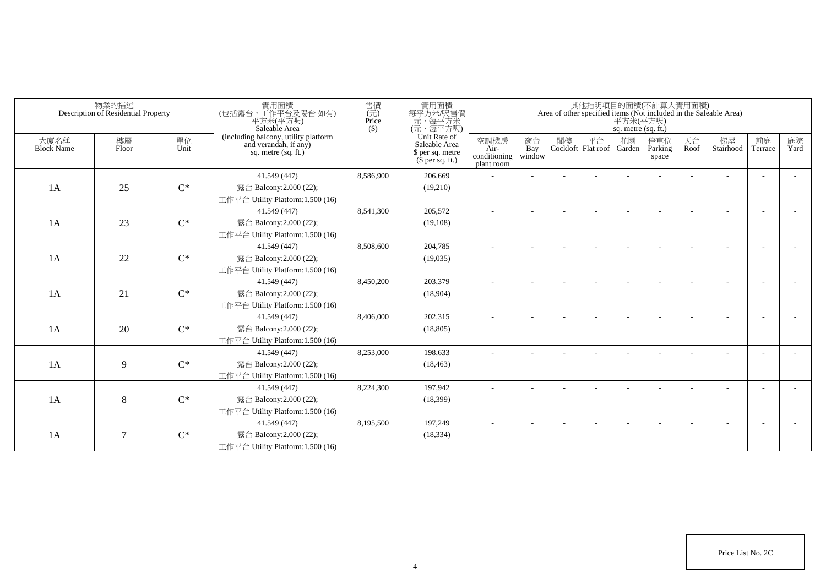|                           | 物業的描述<br>Description of Residential Property |                | 實用面積<br>(包括露台,工作平台及陽台如有)<br>平方米(平方呎)<br>Saleable Area                                  | 售價<br>$(\vec{\pi})$<br>Price<br>$($ \$) | 實用面積<br>每平方米/呎售價<br>一元,每平方米<br>(元,每平方呎)                               |                                            |                          |    | 其他指明項目的面積(不計算入實用面積)        | 平方米(平方呎)<br>sq. metre (sq. ft.) |                         |            | Area of other specified items (Not included in the Saleable Area) |                          |            |
|---------------------------|----------------------------------------------|----------------|----------------------------------------------------------------------------------------|-----------------------------------------|-----------------------------------------------------------------------|--------------------------------------------|--------------------------|----|----------------------------|---------------------------------|-------------------------|------------|-------------------------------------------------------------------|--------------------------|------------|
| 大廈名稱<br><b>Block Name</b> | 樓層<br>Floor                                  | 單位<br>Unit     | (including balcony, utility platform<br>and verandah, if any)<br>sq. metre $(sq, ft.)$ |                                         | Unit Rate of<br>Saleable Area<br>\$ per sq. metre<br>$$$ per sq. ft.) | 空調機房<br>Air-<br>conditioning<br>plant room | 窗台<br>Bay<br>window      | 閣樓 | 平台<br>Cockloft   Flat roof | 花園<br>Garden                    | 停車位<br>Parking<br>space | 天台<br>Roof | 梯屋<br>Stairhood                                                   | 前庭<br>Terrace            | 庭院<br>Yard |
|                           |                                              |                | 41.549 (447)                                                                           | 8.586.900                               | 206,669                                                               |                                            |                          |    |                            |                                 |                         |            |                                                                   |                          |            |
| 1A                        | 25                                           | $C^*$          | 露台 Balcony:2.000 (22);                                                                 |                                         | (19,210)                                                              |                                            |                          |    |                            |                                 |                         |            |                                                                   |                          |            |
|                           |                                              |                | 工作平台 Utility Platform:1.500 (16)                                                       |                                         |                                                                       |                                            |                          |    |                            |                                 |                         |            |                                                                   |                          |            |
|                           |                                              |                | 41.549 (447)                                                                           | 8,541,300                               | 205,572                                                               |                                            |                          |    |                            |                                 |                         |            |                                                                   |                          |            |
| 1A                        | 23                                           | $C^*$          | 露台 Balcony:2.000 (22);                                                                 |                                         | (19,108)                                                              |                                            |                          |    |                            |                                 |                         |            |                                                                   |                          |            |
|                           |                                              |                | 工作平台 Utility Platform: 1.500 (16)                                                      |                                         |                                                                       |                                            |                          |    |                            |                                 |                         |            |                                                                   |                          |            |
|                           |                                              |                | 41.549 (447)                                                                           | 8,508,600                               | 204,785                                                               |                                            |                          |    |                            |                                 |                         |            |                                                                   |                          |            |
| 1A                        | 22                                           | $C^*$          | 露台 Balcony:2.000 (22);                                                                 |                                         | (19,035)                                                              |                                            |                          |    |                            |                                 |                         |            |                                                                   |                          |            |
|                           |                                              |                | 工作平台 Utility Platform: 1.500 (16)                                                      |                                         |                                                                       |                                            |                          |    |                            |                                 |                         |            |                                                                   |                          |            |
|                           |                                              |                | 41.549 (447)                                                                           | 8,450,200                               | 203,379                                                               |                                            |                          |    |                            |                                 |                         |            |                                                                   |                          |            |
| 1A                        | 21                                           | $\mathrm{C}^*$ | 露台 Balcony:2.000 (22);                                                                 |                                         | (18,904)                                                              |                                            |                          |    |                            |                                 |                         |            |                                                                   |                          |            |
|                           |                                              |                | 工作平台 Utility Platform:1.500 (16)                                                       |                                         |                                                                       |                                            |                          |    |                            |                                 |                         |            |                                                                   |                          |            |
|                           |                                              |                | 41.549 (447)                                                                           | 8,406,000                               | 202,315                                                               | ÷                                          |                          |    |                            |                                 |                         |            |                                                                   | $\overline{\phantom{a}}$ |            |
| 1A                        | 20                                           | $C^*$          | 露台 Balcony:2.000 (22);                                                                 |                                         | (18, 805)                                                             |                                            |                          |    |                            |                                 |                         |            |                                                                   |                          |            |
|                           |                                              |                | 工作平台 Utility Platform:1.500 (16)                                                       |                                         |                                                                       |                                            |                          |    |                            |                                 |                         |            |                                                                   |                          |            |
|                           |                                              |                | 41.549 (447)                                                                           | 8,253,000                               | 198,633                                                               |                                            |                          |    |                            |                                 |                         |            |                                                                   |                          |            |
| 1A                        | 9                                            | $C^*$          | 露台 Balcony:2.000 (22);                                                                 |                                         | (18, 463)                                                             |                                            |                          |    |                            |                                 |                         |            |                                                                   |                          |            |
|                           |                                              |                | 工作平台 Utility Platform: 1.500 (16)                                                      |                                         |                                                                       |                                            |                          |    |                            |                                 |                         |            |                                                                   |                          |            |
|                           |                                              |                | 41.549 (447)                                                                           | 8,224,300                               | 197,942                                                               | ÷                                          | $\overline{\phantom{a}}$ |    |                            |                                 |                         |            |                                                                   | $\overline{\phantom{a}}$ |            |
| 1A                        | 8                                            | $C^*$          | 露台 Balcony:2.000 (22);                                                                 |                                         | (18, 399)                                                             |                                            |                          |    |                            |                                 |                         |            |                                                                   |                          |            |
|                           |                                              |                | 工作平台 Utility Platform: 1.500 (16)                                                      |                                         |                                                                       |                                            |                          |    |                            |                                 |                         |            |                                                                   |                          |            |
|                           |                                              |                | 41.549 (447)                                                                           | 8,195,500                               | 197.249                                                               |                                            |                          |    |                            |                                 |                         |            |                                                                   |                          |            |
| 1A                        | $\tau$                                       | $C^*$          | 露台 Balcony: 2.000 (22);                                                                |                                         | (18, 334)                                                             |                                            |                          |    |                            |                                 |                         |            |                                                                   |                          |            |
|                           |                                              |                | 工作平台 Utility Platform:1.500 (16)                                                       |                                         |                                                                       |                                            |                          |    |                            |                                 |                         |            |                                                                   |                          |            |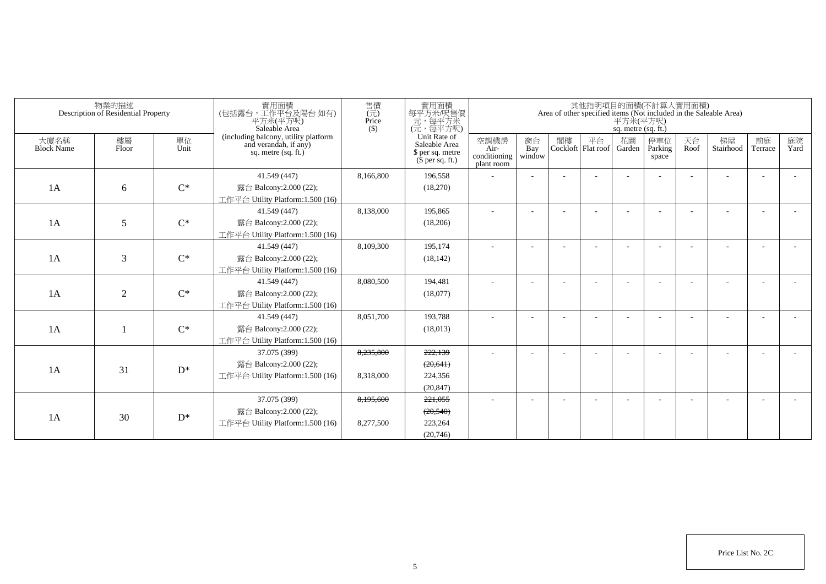|                           | 物業的描述<br>Description of Residential Property |                | 實用面積<br>(包括露台,工作平台及陽台如有)<br>平方米(平方呎)<br>Saleable Area                                | 售價<br>$(\vec{\pi})$<br>Price<br>$($)$ | 實用面積<br>每平方米/呎售價<br>一元, 每平方米<br>(元, 每平方呎)                             |                                            |                          |    |                          | 平方米(平方呎)<br>sq. metre (sq. ft.) | 其他指明項目的面積(不計算入實用面積)     |            | Area of other specified items (Not included in the Saleable Area) |               |            |
|---------------------------|----------------------------------------------|----------------|--------------------------------------------------------------------------------------|---------------------------------------|-----------------------------------------------------------------------|--------------------------------------------|--------------------------|----|--------------------------|---------------------------------|-------------------------|------------|-------------------------------------------------------------------|---------------|------------|
| 大廈名稱<br><b>Block Name</b> | 樓層<br>Floor                                  | 單位<br>Unit     | (including balcony, utility platform<br>and verandah, if any)<br>sq. metre (sq. ft.) |                                       | Unit Rate of<br>Saleable Area<br>\$ per sq. metre<br>$$$ per sq. ft.) | 空調機房<br>Air-<br>conditioning<br>plant room | 窗台<br>Bay<br>window      | 閣樓 | 平台<br>Cockloft Flat roof | 花園<br>Garden                    | 停車位<br>Parking<br>space | 天台<br>Roof | 梯屋<br>Stairhood                                                   | 前庭<br>Terrace | 庭院<br>Yard |
| 1A                        | 6                                            | $C^*$          | 41.549 (447)<br>露台 Balcony:2.000 (22);<br>工作平台 Utility Platform:1.500 (16)           | 8,166,800                             | 196.558<br>(18,270)                                                   |                                            | $\overline{\phantom{a}}$ |    |                          |                                 |                         |            |                                                                   |               |            |
| 1A                        | 5                                            | $C^*$          | 41.549 (447)<br>露台 Balcony: $2.000(22)$ ;<br>工作平台 Utility Platform:1.500 (16)        | 8,138,000                             | 195,865<br>(18,206)                                                   |                                            |                          |    |                          |                                 |                         |            |                                                                   |               |            |
| 1A                        | 3                                            | $C^*$          | 41.549 (447)<br>露台 Balcony:2.000 (22);<br>工作平台 Utility Platform:1.500 (16)           | 8.109.300                             | 195.174<br>(18, 142)                                                  |                                            |                          |    |                          |                                 |                         |            |                                                                   |               |            |
| 1A                        | $\overline{2}$                               | $C^*$          | 41.549 (447)<br>露台 Balcony:2.000 (22);<br>工作平台 Utility Platform:1.500 (16)           | 8.080.500                             | 194,481<br>(18,077)                                                   |                                            | ÷                        |    |                          |                                 |                         |            | ۰                                                                 |               |            |
| 1A                        |                                              | $C^*$          | 41.549 (447)<br>露台 Balcony:2.000 (22);<br>工作平台 Utility Platform:1.500 (16)           | 8,051,700                             | 193,788<br>(18,013)                                                   |                                            |                          |    |                          |                                 |                         |            |                                                                   |               |            |
| 1A                        | 31                                           | $\mathrm{D}^*$ | 37.075 (399)<br>露台 Balcony:2.000 (22);<br>工作平台 Utility Platform:1.500 (16)           | 8,235,800<br>8,318,000                | 222,139<br>(20, 641)<br>224,356<br>(20, 847)                          |                                            |                          |    |                          |                                 |                         |            |                                                                   |               |            |
| 1A                        | 30                                           | $D^*$          | 37.075 (399)<br>露台 Balcony:2.000 (22);<br>工作平台 Utility Platform:1.500 (16)           | 8,195,600<br>8,277,500                | 221.055<br>(20,540)<br>223,264<br>(20,746)                            |                                            |                          |    |                          |                                 |                         |            |                                                                   |               |            |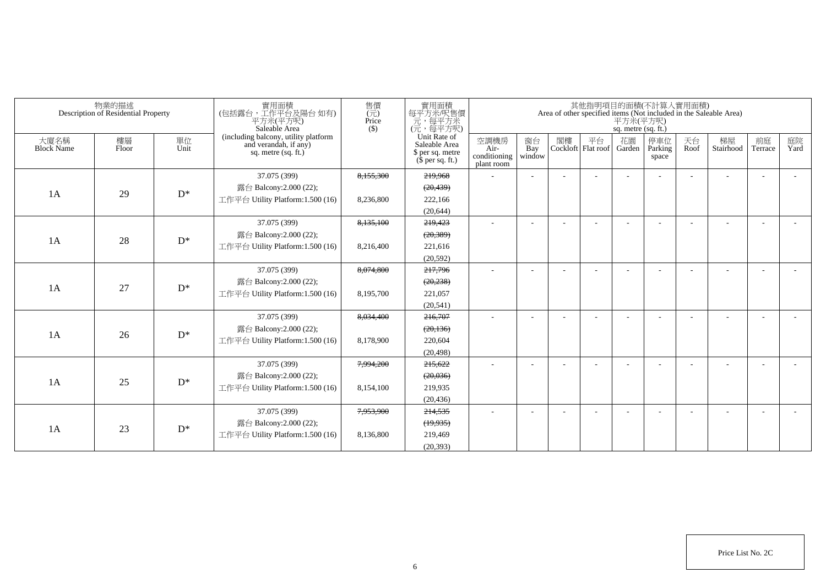|                           | 物業的描述<br>Description of Residential Property |            | 實用面積<br>(包括露台,工作平台及陽台如有)<br>平方米(平方呎)<br>Saleable Area                                | 售價<br>(元)<br>Price<br>$($ \$ | 實用面積<br>每平方米/呎售價<br>元,每平方米<br>(元,每平方呎)                                |                                            |                          |    |                          | 平方米(平方呎)<br>sq. metre (sq. ft.) | 其他指明項目的面積(不計算入實用面積)     |            | Area of other specified items (Not included in the Saleable Area) |                          |            |
|---------------------------|----------------------------------------------|------------|--------------------------------------------------------------------------------------|------------------------------|-----------------------------------------------------------------------|--------------------------------------------|--------------------------|----|--------------------------|---------------------------------|-------------------------|------------|-------------------------------------------------------------------|--------------------------|------------|
| 大廈名稱<br><b>Block Name</b> | 樓層<br>Floor                                  | 單位<br>Unit | (including balcony, utility platform<br>and verandah, if any)<br>sq. metre (sq. ft.) |                              | Unit Rate of<br>Saleable Area<br>\$ per sq. metre<br>$$$ per sq. ft.) | 空調機房<br>Air-<br>conditioning<br>plant room | 窗台<br>Bay<br>window      | 閣樓 | 平台<br>Cockloft Flat roof | 花園<br>Garden                    | 停車位<br>Parking<br>space | 天台<br>Roof | 梯屋<br>Stairhood                                                   | 前庭<br>Terrace            | 庭院<br>Yard |
|                           |                                              |            | 37.075 (399)                                                                         | 8,155,300                    | 219,968                                                               | ٠                                          | $\sim$                   |    |                          |                                 |                         |            |                                                                   | $\overline{\phantom{a}}$ |            |
| 1A                        | 29                                           | $D^*$      | 露台 Balcony:2.000 (22);                                                               |                              | (20, 439)                                                             |                                            |                          |    |                          |                                 |                         |            |                                                                   |                          |            |
|                           |                                              |            | 工作平台 Utility Platform: 1.500 (16)                                                    | 8,236,800                    | 222,166                                                               |                                            |                          |    |                          |                                 |                         |            |                                                                   |                          |            |
|                           |                                              |            |                                                                                      |                              | (20.644)                                                              |                                            |                          |    |                          |                                 |                         |            |                                                                   |                          |            |
|                           |                                              |            | 37.075 (399)                                                                         | 8,135,100                    | 219,423                                                               | $\sim$                                     | $\overline{\phantom{a}}$ |    |                          |                                 |                         |            |                                                                   | $\overline{\phantom{a}}$ |            |
| 1A                        | 28                                           | $D^*$      | 露台 Balcony:2.000 (22);                                                               |                              | (20, 389)                                                             |                                            |                          |    |                          |                                 |                         |            |                                                                   |                          |            |
|                           |                                              |            | 工作平台 Utility Platform:1.500 (16)                                                     | 8,216,400                    | 221,616                                                               |                                            |                          |    |                          |                                 |                         |            |                                                                   |                          |            |
|                           |                                              |            |                                                                                      |                              | (20, 592)                                                             |                                            |                          |    |                          |                                 |                         |            |                                                                   |                          |            |
|                           |                                              |            | 37.075 (399)                                                                         | 8,074,800                    | 217,796                                                               | $\sim$                                     |                          |    |                          |                                 |                         |            |                                                                   | $\overline{\phantom{a}}$ |            |
| 1A                        | 27                                           | $D^*$      | 露台 Balcony:2.000 (22);                                                               |                              | (20, 238)                                                             |                                            |                          |    |                          |                                 |                         |            |                                                                   |                          |            |
|                           |                                              |            | 工作平台 Utility Platform:1.500 (16)                                                     | 8,195,700                    | 221,057                                                               |                                            |                          |    |                          |                                 |                         |            |                                                                   |                          |            |
|                           |                                              |            |                                                                                      |                              | (20, 541)                                                             |                                            |                          |    |                          |                                 |                         |            |                                                                   |                          |            |
|                           |                                              |            | 37.075 (399)                                                                         | 8,034,400                    | 216,707                                                               | $\sim$                                     | $\overline{\phantom{a}}$ |    |                          |                                 |                         |            |                                                                   | $\overline{\phantom{a}}$ |            |
| 1A                        | 26                                           | $D^*$      | 露台 Balcony:2.000 (22);                                                               |                              | (20, 136)                                                             |                                            |                          |    |                          |                                 |                         |            |                                                                   |                          |            |
|                           |                                              |            | 工作平台 Utility Platform: 1.500 (16)                                                    | 8,178,900                    | 220,604                                                               |                                            |                          |    |                          |                                 |                         |            |                                                                   |                          |            |
|                           |                                              |            |                                                                                      |                              | (20, 498)                                                             |                                            |                          |    |                          |                                 |                         |            |                                                                   |                          |            |
|                           |                                              |            | 37.075 (399)                                                                         | 7,994,200                    | 215,622                                                               | $\sim$                                     |                          |    |                          |                                 |                         |            |                                                                   | $\overline{a}$           |            |
| 1A                        | 25                                           | $D^*$      | 露台 Balcony:2.000 (22);                                                               |                              | (20, 036)                                                             |                                            |                          |    |                          |                                 |                         |            |                                                                   |                          |            |
|                           |                                              |            | 工作平台 Utility Platform: 1.500 (16)                                                    | 8,154,100                    | 219,935                                                               |                                            |                          |    |                          |                                 |                         |            |                                                                   |                          |            |
|                           |                                              |            |                                                                                      |                              | (20, 436)                                                             |                                            |                          |    |                          |                                 |                         |            |                                                                   |                          |            |
|                           |                                              |            | 37.075 (399)                                                                         | 7,953,900                    | 214,535                                                               | $\overline{\phantom{a}}$                   |                          |    |                          |                                 |                         |            |                                                                   | $\overline{\phantom{a}}$ |            |
| 1A                        | 23                                           | $D^*$      | 露台 Balcony:2.000 (22);                                                               |                              | (19,935)                                                              |                                            |                          |    |                          |                                 |                         |            |                                                                   |                          |            |
|                           |                                              |            | 工作平台 Utility Platform:1.500 (16)                                                     | 8.136.800                    | 219,469                                                               |                                            |                          |    |                          |                                 |                         |            |                                                                   |                          |            |
|                           |                                              |            |                                                                                      |                              | (20.393)                                                              |                                            |                          |    |                          |                                 |                         |            |                                                                   |                          |            |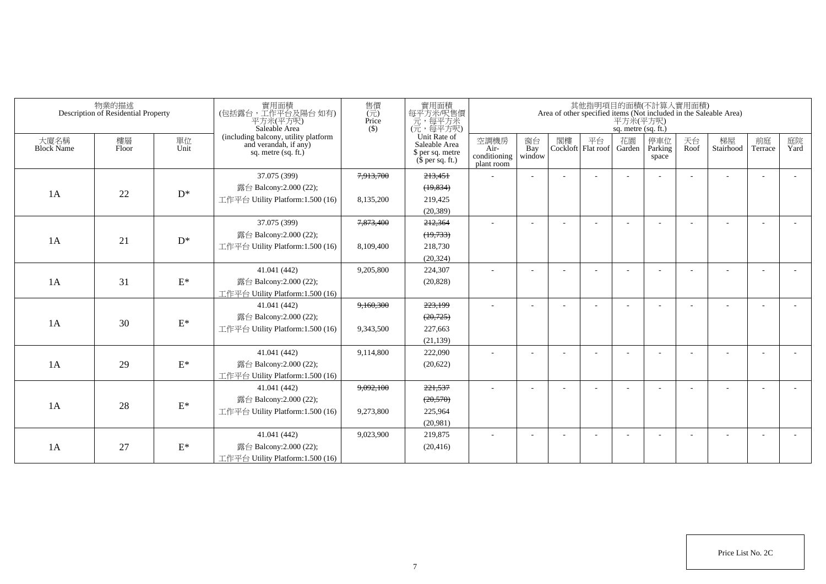|                           | 物業的描述<br>Description of Residential Property |                 | 實用面積<br>(包括露台,工作平台及陽台如有)<br>平方米(平方呎)<br>Saleable Area                                | 售價<br>$\overline{(\overline{\pi})}$<br>Price<br>$($ \$) | 實用面積<br>每平方米/呎售價<br>元,每平方米<br>(元,每平方呎)                                |                                            |                          |    |                          | 平方米(平方呎)<br>sq. metre (sq. ft.) | 其他指明項目的面積(不計算入實用面積)     |            | Area of other specified items (Not included in the Saleable Area) |                          |            |
|---------------------------|----------------------------------------------|-----------------|--------------------------------------------------------------------------------------|---------------------------------------------------------|-----------------------------------------------------------------------|--------------------------------------------|--------------------------|----|--------------------------|---------------------------------|-------------------------|------------|-------------------------------------------------------------------|--------------------------|------------|
| 大廈名稱<br><b>Block Name</b> | 樓層<br>Floor                                  | 單位<br>Unit      | (including balcony, utility platform<br>and verandah, if any)<br>sq. metre (sq. ft.) |                                                         | Unit Rate of<br>Saleable Area<br>\$ per sq. metre<br>$$$ per sq. ft.) | 空調機房<br>Air-<br>conditioning<br>plant room | 窗台<br>Bay<br>window      | 閣樓 | 平台<br>Cockloft Flat roof | 花園<br>Garden                    | 停車位<br>Parking<br>space | 天台<br>Roof | 梯屋<br>Stairhood                                                   | 前庭<br>Terrace            | 庭院<br>Yard |
|                           |                                              |                 | 37.075 (399)                                                                         | 7,913,700                                               | 213,451                                                               |                                            |                          |    |                          |                                 |                         |            |                                                                   |                          |            |
|                           |                                              | $D^*$           | 露台 Balcony:2.000 (22);                                                               |                                                         | (19, 834)                                                             |                                            |                          |    |                          |                                 |                         |            |                                                                   |                          |            |
| 1A                        | 22                                           |                 | 工作平台 Utility Platform:1.500 (16)                                                     | 8,135,200                                               | 219,425                                                               |                                            |                          |    |                          |                                 |                         |            |                                                                   |                          |            |
|                           |                                              |                 |                                                                                      |                                                         | (20, 389)                                                             |                                            |                          |    |                          |                                 |                         |            |                                                                   |                          |            |
|                           |                                              |                 | 37.075 (399)                                                                         | 7,873,400                                               | 212,364                                                               |                                            | $\overline{\phantom{a}}$ |    |                          |                                 |                         |            |                                                                   | ÷                        |            |
| 1A                        |                                              | $D^*$           | 露台 Balcony: 2.000 (22);                                                              |                                                         | (19,733)                                                              |                                            |                          |    |                          |                                 |                         |            |                                                                   |                          |            |
|                           | 21                                           |                 | 工作平台 Utility Platform: 1.500 (16)                                                    | 8,109,400                                               | 218,730                                                               |                                            |                          |    |                          |                                 |                         |            |                                                                   |                          |            |
|                           |                                              |                 |                                                                                      |                                                         | (20, 324)                                                             |                                            |                          |    |                          |                                 |                         |            |                                                                   |                          |            |
|                           |                                              |                 | 41.041 (442)                                                                         | 9,205,800                                               | 224,307                                                               |                                            |                          |    |                          |                                 |                         |            |                                                                   | $\overline{\phantom{a}}$ |            |
| 1A                        | 31                                           | $\mathcal{E}^*$ | 露台 Balcony:2.000 (22);                                                               |                                                         | (20, 828)                                                             |                                            |                          |    |                          |                                 |                         |            |                                                                   |                          |            |
|                           |                                              |                 | 工作平台 Utility Platform:1.500 (16)                                                     |                                                         |                                                                       |                                            |                          |    |                          |                                 |                         |            |                                                                   |                          |            |
|                           |                                              |                 | 41.041 (442)                                                                         | 9,160,300                                               | 223,199                                                               | $\sim$                                     |                          |    |                          |                                 |                         |            |                                                                   |                          |            |
| 1A                        | 30                                           | $\mathcal{E}^*$ | 露台 Balcony:2.000 (22);                                                               |                                                         | (20, 725)                                                             |                                            |                          |    |                          |                                 |                         |            |                                                                   |                          |            |
|                           |                                              |                 | 工作平台 Utility Platform: 1.500 (16)                                                    | 9,343,500                                               | 227,663                                                               |                                            |                          |    |                          |                                 |                         |            |                                                                   |                          |            |
|                           |                                              |                 |                                                                                      |                                                         | (21, 139)                                                             |                                            |                          |    |                          |                                 |                         |            |                                                                   |                          |            |
|                           |                                              |                 | 41.041 (442)                                                                         | 9,114,800                                               | 222,090                                                               | $\sim$                                     | $\overline{\phantom{a}}$ |    |                          |                                 |                         |            |                                                                   | $\overline{\phantom{a}}$ |            |
| 1A                        | 29                                           | $E^*$           | 露台 Balcony: 2.000 (22);                                                              |                                                         | (20,622)                                                              |                                            |                          |    |                          |                                 |                         |            |                                                                   |                          |            |
|                           |                                              |                 | 工作平台 Utility Platform: 1.500 (16)                                                    |                                                         |                                                                       |                                            |                          |    |                          |                                 |                         |            |                                                                   |                          |            |
|                           |                                              |                 | 41.041 (442)                                                                         | 9,092,100                                               | 221,537                                                               | ÷                                          |                          |    |                          |                                 |                         |            |                                                                   | $\overline{\phantom{a}}$ |            |
| 1A                        | 28                                           | $\mathcal{E}^*$ | 露台 Balcony:2.000 (22);                                                               |                                                         | (20, 570)                                                             |                                            |                          |    |                          |                                 |                         |            |                                                                   |                          |            |
|                           |                                              |                 | 工作平台 Utility Platform: 1.500 (16)                                                    | 9,273,800                                               | 225,964                                                               |                                            |                          |    |                          |                                 |                         |            |                                                                   |                          |            |
|                           |                                              |                 |                                                                                      |                                                         | (20,981)                                                              |                                            |                          |    |                          |                                 |                         |            |                                                                   |                          |            |
|                           |                                              |                 | 41.041 (442)                                                                         | 9,023,900                                               | 219,875                                                               | ٠                                          |                          |    |                          |                                 |                         |            |                                                                   | $\overline{\phantom{a}}$ |            |
| 1A                        | 27                                           | $\mathcal{E}^*$ | 露台 Balcony:2.000 (22);                                                               |                                                         | (20, 416)                                                             |                                            |                          |    |                          |                                 |                         |            |                                                                   |                          |            |
|                           |                                              |                 | 工作平台 Utility Platform: 1.500 (16)                                                    |                                                         |                                                                       |                                            |                          |    |                          |                                 |                         |            |                                                                   |                          |            |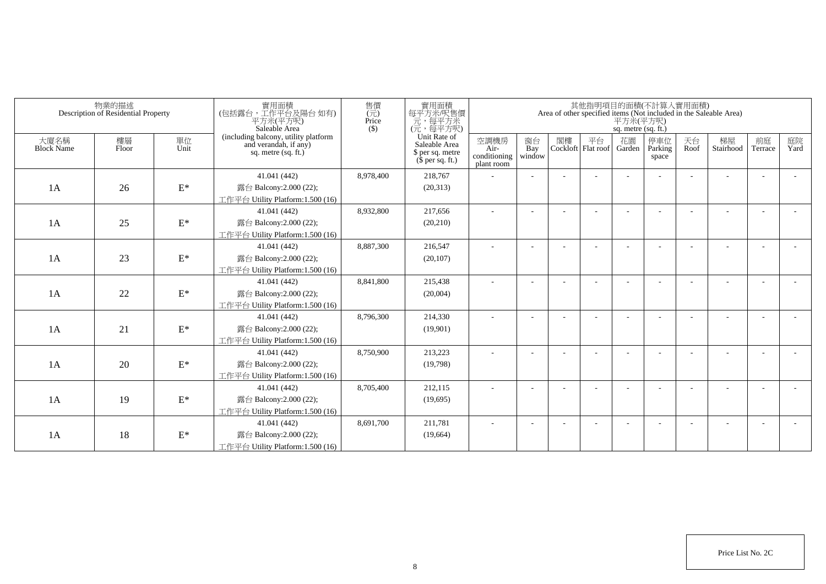|                           | 物業的描述<br>Description of Residential Property |                 | 實用面積<br>(包括露台,工作平台及陽台如有)<br>平方米(平方呎)<br>Saleable Area                                  | 售價<br>$(\vec{\pi})$<br>Price<br>$($ \$) | 實用面積<br>每平方米/呎售價<br>一元,每平方米<br>(元,每平方呎)                               |                                            |                          |    |                            | 平方米(平方呎)<br>sq. metre (sq. ft.) | 其他指明項目的面積(不計算入實用面積)     |            | Area of other specified items (Not included in the Saleable Area) |                          |            |
|---------------------------|----------------------------------------------|-----------------|----------------------------------------------------------------------------------------|-----------------------------------------|-----------------------------------------------------------------------|--------------------------------------------|--------------------------|----|----------------------------|---------------------------------|-------------------------|------------|-------------------------------------------------------------------|--------------------------|------------|
| 大廈名稱<br><b>Block Name</b> | 樓層<br>Floor                                  | 單位<br>Unit      | (including balcony, utility platform<br>and verandah, if any)<br>sq. metre $(sq, ft.)$ |                                         | Unit Rate of<br>Saleable Area<br>\$ per sq. metre<br>$$$ per sq. ft.) | 空調機房<br>Air-<br>conditioning<br>plant room | 窗台<br>Bay<br>window      | 閣樓 | 平台<br>Cockloft   Flat roof | 花園<br>Garden                    | 停車位<br>Parking<br>space | 天台<br>Roof | 梯屋<br>Stairhood                                                   | 前庭<br>Terrace            | 庭院<br>Yard |
|                           |                                              |                 | 41.041 (442)                                                                           | 8,978,400                               | 218,767                                                               |                                            |                          |    |                            |                                 |                         |            |                                                                   |                          |            |
| 1A                        | 26                                           | $\mathcal{E}^*$ | 露台 Balcony:2.000 (22);                                                                 |                                         | (20,313)                                                              |                                            |                          |    |                            |                                 |                         |            |                                                                   |                          |            |
|                           |                                              |                 | 工作平台 Utility Platform:1.500 (16)                                                       |                                         |                                                                       |                                            |                          |    |                            |                                 |                         |            |                                                                   |                          |            |
|                           |                                              |                 | 41.041 (442)                                                                           | 8,932,800                               | 217,656                                                               |                                            |                          |    |                            |                                 |                         |            |                                                                   |                          |            |
| 1A                        | 25                                           | $\mathbf{E}^*$  | 露台 Balcony:2.000 (22);                                                                 |                                         | (20, 210)                                                             |                                            |                          |    |                            |                                 |                         |            |                                                                   |                          |            |
|                           |                                              |                 | 工作平台 Utility Platform:1.500 (16)                                                       |                                         |                                                                       |                                            |                          |    |                            |                                 |                         |            |                                                                   |                          |            |
|                           |                                              |                 | 41.041 (442)                                                                           | 8,887,300                               | 216,547                                                               | ٠                                          | $\overline{\phantom{a}}$ |    |                            |                                 |                         |            |                                                                   | $\overline{\phantom{a}}$ |            |
| 1A                        | 23                                           | $\mathcal{E}^*$ | 露台 Balcony:2.000 (22);                                                                 |                                         | (20, 107)                                                             |                                            |                          |    |                            |                                 |                         |            |                                                                   |                          |            |
|                           |                                              |                 | 工作平台 Utility Platform: 1.500 (16)                                                      |                                         |                                                                       |                                            |                          |    |                            |                                 |                         |            |                                                                   |                          |            |
|                           |                                              |                 | 41.041 (442)                                                                           | 8,841,800                               | 215,438                                                               |                                            |                          |    |                            |                                 |                         |            |                                                                   |                          |            |
| 1A                        | 22                                           | $\mathbf{E}^*$  | 露台 Balcony: 2.000 (22);                                                                |                                         | (20,004)                                                              |                                            |                          |    |                            |                                 |                         |            |                                                                   |                          |            |
|                           |                                              |                 | 工作平台 Utility Platform:1.500 (16)                                                       |                                         |                                                                       |                                            |                          |    |                            |                                 |                         |            |                                                                   |                          |            |
|                           |                                              |                 | 41.041 (442)                                                                           | 8,796,300                               | 214,330                                                               |                                            |                          |    |                            |                                 |                         |            |                                                                   |                          |            |
| 1A                        | 21                                           | $\mathcal{E}^*$ | 露台 Balcony: 2.000 (22);                                                                |                                         | (19,901)                                                              |                                            |                          |    |                            |                                 |                         |            |                                                                   |                          |            |
|                           |                                              |                 | 工作平台 Utility Platform:1.500 (16)                                                       |                                         |                                                                       |                                            |                          |    |                            |                                 |                         |            |                                                                   |                          |            |
|                           |                                              |                 | 41.041 (442)                                                                           | 8,750,900                               | 213,223                                                               |                                            |                          |    |                            |                                 |                         |            |                                                                   |                          |            |
| 1A                        | 20                                           | $\mathcal{E}^*$ | 露台 Balcony: 2.000 (22);                                                                |                                         | (19,798)                                                              |                                            |                          |    |                            |                                 |                         |            |                                                                   |                          |            |
|                           |                                              |                 | 工作平台 Utility Platform:1.500 (16)                                                       |                                         |                                                                       |                                            |                          |    |                            |                                 |                         |            |                                                                   |                          |            |
|                           |                                              |                 | 41.041 (442)                                                                           | 8,705,400                               | 212,115                                                               |                                            |                          |    |                            |                                 |                         |            |                                                                   | $\overline{\phantom{a}}$ |            |
| 1A                        | 19                                           | $\mathcal{E}^*$ | 露台 Balcony: 2.000 (22);                                                                |                                         | (19,695)                                                              |                                            |                          |    |                            |                                 |                         |            |                                                                   |                          |            |
|                           |                                              |                 | 工作平台 Utility Platform:1.500 (16)                                                       |                                         |                                                                       |                                            |                          |    |                            |                                 |                         |            |                                                                   |                          |            |
|                           |                                              |                 | 41.041 (442)                                                                           | 8,691,700                               | 211,781                                                               |                                            |                          |    |                            |                                 |                         |            |                                                                   | ÷                        |            |
| 1A                        | 18                                           | $\mathcal{E}^*$ | 露台 Balcony: 2.000 (22);                                                                |                                         | (19,664)                                                              |                                            |                          |    |                            |                                 |                         |            |                                                                   |                          |            |
|                           |                                              |                 | 工作平台 Utility Platform:1.500 (16)                                                       |                                         |                                                                       |                                            |                          |    |                            |                                 |                         |            |                                                                   |                          |            |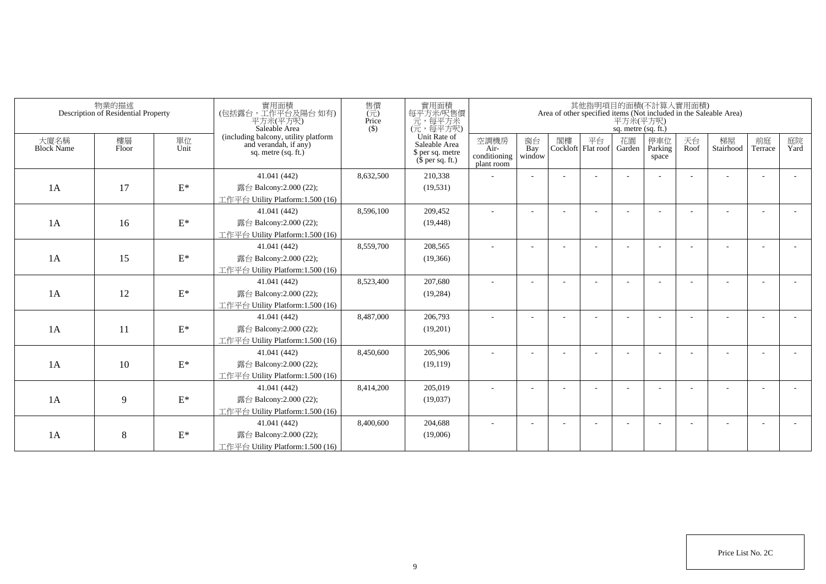|                           | 物業的描述<br>Description of Residential Property |                 | 實用面積<br>(包括露台,工作平台及陽台如有)<br>平方米(平方呎)<br>Saleable Area                                  | 售價<br>$(\vec{\pi})$<br>Price<br>$($ \$) | 實用面積<br>每平方米/呎售價<br>一元,每平方米<br>(元,每平方呎)                               |                                            |                          |    |                            | 平方米(平方呎)<br>sq. metre (sq. ft.) | 其他指明項目的面積(不計算入實用面積)     |            | Area of other specified items (Not included in the Saleable Area) |                          |            |
|---------------------------|----------------------------------------------|-----------------|----------------------------------------------------------------------------------------|-----------------------------------------|-----------------------------------------------------------------------|--------------------------------------------|--------------------------|----|----------------------------|---------------------------------|-------------------------|------------|-------------------------------------------------------------------|--------------------------|------------|
| 大廈名稱<br><b>Block Name</b> | 樓層<br>Floor                                  | 單位<br>Unit      | (including balcony, utility platform<br>and verandah, if any)<br>sq. metre $(sq, ft.)$ |                                         | Unit Rate of<br>Saleable Area<br>\$ per sq. metre<br>$$$ per sq. ft.) | 空調機房<br>Air-<br>conditioning<br>plant room | 窗台<br>Bay<br>window      | 閣樓 | 平台<br>Cockloft   Flat roof | 花園<br>Garden                    | 停車位<br>Parking<br>space | 天台<br>Roof | 梯屋<br>Stairhood                                                   | 前庭<br>Terrace            | 庭院<br>Yard |
|                           |                                              |                 | 41.041 (442)                                                                           | 8,632,500                               | 210,338                                                               |                                            |                          |    |                            |                                 |                         |            |                                                                   |                          |            |
| 1A                        | 17                                           | $\mathcal{E}^*$ | 露台 Balcony:2.000 (22);                                                                 |                                         | (19, 531)                                                             |                                            |                          |    |                            |                                 |                         |            |                                                                   |                          |            |
|                           |                                              |                 | 工作平台 Utility Platform:1.500 (16)                                                       |                                         |                                                                       |                                            |                          |    |                            |                                 |                         |            |                                                                   |                          |            |
|                           |                                              |                 | 41.041 (442)                                                                           | 8,596,100                               | 209,452                                                               |                                            |                          |    |                            |                                 |                         |            |                                                                   |                          |            |
| 1A                        | 16                                           | $\mathbf{E}^*$  | 露台 Balcony:2.000 (22);                                                                 |                                         | (19, 448)                                                             |                                            |                          |    |                            |                                 |                         |            |                                                                   |                          |            |
|                           |                                              |                 | 工作平台 Utility Platform:1.500 (16)                                                       |                                         |                                                                       |                                            |                          |    |                            |                                 |                         |            |                                                                   |                          |            |
|                           |                                              |                 | 41.041 (442)                                                                           | 8,559,700                               | 208,565                                                               | ٠                                          | $\overline{\phantom{a}}$ |    |                            |                                 |                         |            |                                                                   | $\overline{\phantom{a}}$ |            |
| 1A                        | 15                                           | $\mathcal{E}^*$ | 露台 Balcony:2.000 (22);                                                                 |                                         | (19,366)                                                              |                                            |                          |    |                            |                                 |                         |            |                                                                   |                          |            |
|                           |                                              |                 | 工作平台 Utility Platform: 1.500 (16)                                                      |                                         |                                                                       |                                            |                          |    |                            |                                 |                         |            |                                                                   |                          |            |
|                           |                                              |                 | 41.041 (442)                                                                           | 8,523,400                               | 207,680                                                               |                                            |                          |    |                            |                                 |                         |            |                                                                   |                          |            |
| 1A                        | 12                                           | $\mathbf{E}^*$  | 露台 Balcony:2.000 (22);                                                                 |                                         | (19, 284)                                                             |                                            |                          |    |                            |                                 |                         |            |                                                                   |                          |            |
|                           |                                              |                 | 工作平台 Utility Platform:1.500 (16)                                                       |                                         |                                                                       |                                            |                          |    |                            |                                 |                         |            |                                                                   |                          |            |
|                           |                                              |                 | 41.041 (442)                                                                           | 8,487,000                               | 206,793                                                               |                                            |                          |    |                            |                                 |                         |            |                                                                   |                          |            |
| 1A                        | 11                                           | $\mathcal{E}^*$ | 露台 Balcony: 2.000 (22);                                                                |                                         | (19,201)                                                              |                                            |                          |    |                            |                                 |                         |            |                                                                   |                          |            |
|                           |                                              |                 | 工作平台 Utility Platform:1.500 (16)                                                       |                                         |                                                                       |                                            |                          |    |                            |                                 |                         |            |                                                                   |                          |            |
|                           |                                              |                 | 41.041 (442)                                                                           | 8,450,600                               | 205,906                                                               |                                            |                          |    |                            |                                 |                         |            |                                                                   |                          |            |
| 1A                        | 10                                           | $\mathcal{E}^*$ | 露台 Balcony: 2.000 (22);                                                                |                                         | (19, 119)                                                             |                                            |                          |    |                            |                                 |                         |            |                                                                   |                          |            |
|                           |                                              |                 | 工作平台 Utility Platform:1.500 (16)                                                       |                                         |                                                                       |                                            |                          |    |                            |                                 |                         |            |                                                                   |                          |            |
|                           |                                              |                 | 41.041 (442)                                                                           | 8,414,200                               | 205,019                                                               |                                            |                          |    |                            |                                 |                         |            |                                                                   | $\overline{\phantom{a}}$ |            |
| 1A                        | 9                                            | $\mathbf{E}^*$  | 露台 Balcony: 2.000 (22);                                                                |                                         | (19,037)                                                              |                                            |                          |    |                            |                                 |                         |            |                                                                   |                          |            |
|                           |                                              |                 | 工作平台 Utility Platform:1.500 (16)                                                       |                                         |                                                                       |                                            |                          |    |                            |                                 |                         |            |                                                                   |                          |            |
|                           |                                              |                 | 41.041 (442)                                                                           | 8,400,600                               | 204,688                                                               |                                            |                          |    |                            |                                 |                         |            |                                                                   | ÷                        |            |
| 1A                        | 8                                            | $\mathcal{E}^*$ | 露台 Balcony: 2.000 (22);                                                                |                                         | (19,006)                                                              |                                            |                          |    |                            |                                 |                         |            |                                                                   |                          |            |
|                           |                                              |                 | 工作平台 Utility Platform:1.500 (16)                                                       |                                         |                                                                       |                                            |                          |    |                            |                                 |                         |            |                                                                   |                          |            |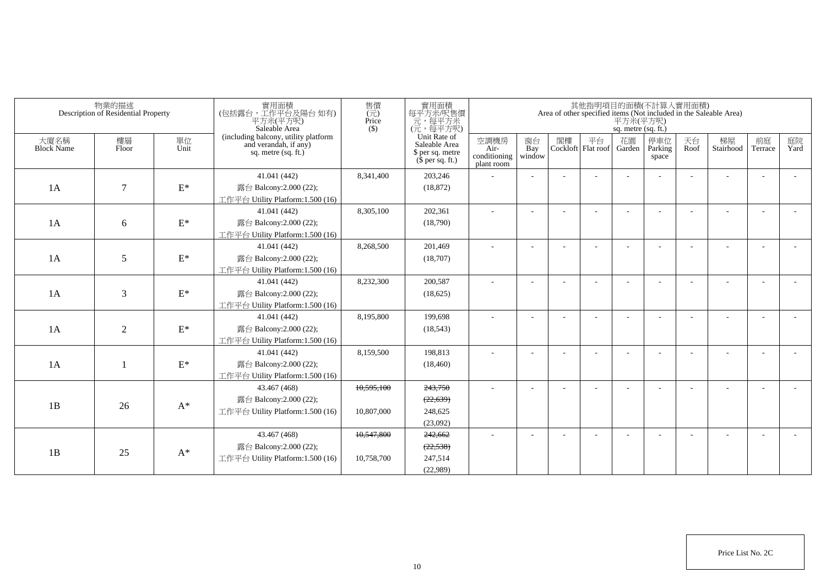|                           | 物業的描述<br>Description of Residential Property |                 | 實用面積<br>(包括露台,工作平台及陽台 如有)<br>平方米(平方呎)<br>Saleable Area                                 | 售價<br>$\overline{(\overline{\pi})}$<br>Price<br>$($ \$) | 實用面積<br>每平方米/呎售價<br>元,每平方米<br>(元,每平方呎)                                |                                            |                          |    |                          | 平方米(平方呎)<br>sq. metre (sq. ft.) | 其他指明項目的面積(不計算入實用面積)     |            | Area of other specified items (Not included in the Saleable Area) |                          |            |
|---------------------------|----------------------------------------------|-----------------|----------------------------------------------------------------------------------------|---------------------------------------------------------|-----------------------------------------------------------------------|--------------------------------------------|--------------------------|----|--------------------------|---------------------------------|-------------------------|------------|-------------------------------------------------------------------|--------------------------|------------|
| 大廈名稱<br><b>Block Name</b> | 樓層<br>Floor                                  | 單位<br>Unit      | (including balcony, utility platform<br>and verandah, if any)<br>sq. metre $(sq. ft.)$ |                                                         | Unit Rate of<br>Saleable Area<br>\$ per sq. metre<br>$$$ per sq. ft.) | 空調機房<br>Air-<br>conditioning<br>plant room | 窗台<br>Bay<br>window      | 閣樓 | 平台<br>Cockloft Flat roof | 花園<br>Garden                    | 停車位<br>Parking<br>space | 天台<br>Roof | 梯屋<br>Stairhood                                                   | 前庭<br>Terrace            | 庭院<br>Yard |
| 1A                        | $\tau$                                       | $\mathcal{E}^*$ | 41.041 (442)<br>露台 Balcony:2.000 (22);<br>工作平台 Utility Platform:1.500 (16)             | 8.341.400                                               | 203,246<br>(18, 872)                                                  |                                            |                          |    |                          |                                 |                         |            |                                                                   |                          |            |
| 1A                        | 6                                            | $\mathcal{E}^*$ | 41.041 (442)<br>露台 Balcony:2.000 (22);<br>工作平台 Utility Platform:1.500 (16)             | 8,305,100                                               | 202,361<br>(18,790)                                                   | $\overline{a}$                             | ÷                        |    |                          |                                 |                         |            |                                                                   |                          |            |
| 1A                        | 5                                            | $\mathcal{E}^*$ | 41.041 (442)<br>露台 Balcony:2.000 (22);<br>工作平台 Utility Platform:1.500 (16)             | 8.268.500                                               | 201.469<br>(18,707)                                                   |                                            | $\sim$                   |    |                          |                                 |                         |            |                                                                   | $\overline{\phantom{a}}$ |            |
| 1A                        | 3                                            | $\mathbf{E}^*$  | 41.041 (442)<br>露台 Balcony:2.000 (22);<br>工作平台 Utility Platform:1.500 (16)             | 8,232,300                                               | 200.587<br>(18,625)                                                   | $\sim$                                     | $\overline{\phantom{a}}$ |    |                          |                                 |                         |            |                                                                   |                          |            |
| 1A                        | $\overline{2}$                               | $\mathcal{E}^*$ | 41.041 (442)<br>露台 Balcony:2.000 (22);<br>工作平台 Utility Platform:1.500 (16)             | 8.195.800                                               | 199.698<br>(18, 543)                                                  |                                            | $\overline{\phantom{a}}$ |    |                          |                                 |                         |            |                                                                   |                          |            |
| 1A                        |                                              | $\mathcal{E}^*$ | 41.041 (442)<br>露台 Balcony:2.000 (22);<br>工作平台 Utility Platform:1.500 (16)             | 8.159.500                                               | 198.813<br>(18, 460)                                                  |                                            | $\overline{\phantom{a}}$ |    |                          |                                 |                         |            |                                                                   |                          |            |
| 1B                        | 26                                           | $A^*$           | 43.467 (468)<br>露台 Balcony:2.000 (22);<br>工作平台 Utility Platform: 1.500 (16)            | 10,595,100<br>10,807,000                                | 243,750<br>(22, 639)<br>248,625<br>(23,092)                           |                                            | $\sim$                   |    |                          |                                 |                         |            |                                                                   |                          |            |
| 1B                        | 25                                           | $A^*$           | 43.467 (468)<br>露台 Balcony: $2.000(22)$ ;<br>工作平台 Utility Platform:1.500 (16)          | 10,547,800<br>10.758.700                                | 242,662<br>(22, 538)<br>247.514<br>(22,989)                           |                                            |                          |    |                          |                                 |                         |            |                                                                   |                          |            |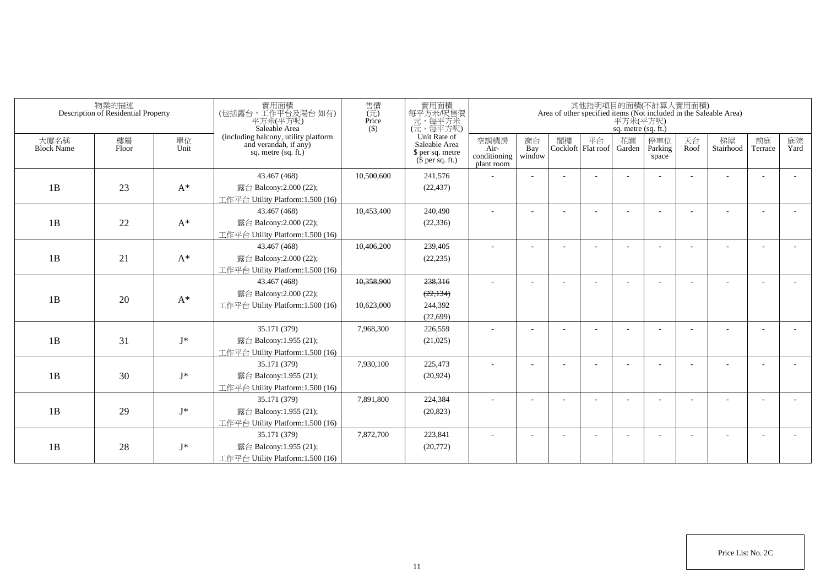| 物業的描述<br>Description of Residential Property |             |                | 實用面積<br>(包括露台,工作平台及陽台 如有)<br>平方米(平方呎)<br>Saleable Area | 售價<br>(元)<br>Price<br>$($ \$)                                 | 實用面積<br>每平方米/呎售價<br>元,每平方呎)<br>(元,每平方呎) | 其他指明項目的面積(不計算入實用面積)<br>Area of other specified items (Not included in the Saleable Area)<br>平方米(平方呎)<br>sq. metre (sq. ft.) |                                            |                     |  |                             |              |                         |            |                          |               |            |
|----------------------------------------------|-------------|----------------|--------------------------------------------------------|---------------------------------------------------------------|-----------------------------------------|-----------------------------------------------------------------------------------------------------------------------------|--------------------------------------------|---------------------|--|-----------------------------|--------------|-------------------------|------------|--------------------------|---------------|------------|
| 大廈名稱<br><b>Block Name</b>                    | 樓層<br>Floor | 單位<br>Unit     | sq. metre $(sq, ft.)$                                  | (including balcony, utility platform<br>and verandah, if any) |                                         | Unit Rate of<br>Saleable Area<br>\$ per sq. metre<br>$$$ per sq. ft.)                                                       | 空調機房<br>Air-<br>conditioning<br>plant room | 窗台<br>Bay<br>window |  | 閣樓 平台<br>Cockloft Flat roof | 花園<br>Garden | 停車位<br>Parking<br>space | 天台<br>Roof | 梯屋<br>Stairhood          | 前庭<br>Terrace | 庭院<br>Yard |
|                                              |             |                | 43.467 (468)                                           | 10,500,600                                                    | 241,576                                 |                                                                                                                             |                                            |                     |  |                             |              |                         |            |                          |               |            |
| 1B                                           | 23          | $A^*$          | 露台 Balcony:2.000 (22);                                 |                                                               | (22, 437)                               |                                                                                                                             |                                            |                     |  |                             |              |                         |            |                          |               |            |
|                                              |             |                | 工作平台 Utility Platform:1.500 (16)                       |                                                               |                                         |                                                                                                                             |                                            |                     |  |                             |              |                         |            |                          |               |            |
|                                              |             |                | 43.467 (468)                                           | 10,453,400                                                    | 240,490                                 |                                                                                                                             | $\overline{a}$                             |                     |  |                             |              |                         |            | $\overline{a}$           |               |            |
| 1B                                           | 22          | $\mathrm{A}^*$ | 露台 Balcony:2.000 (22);                                 |                                                               | (22, 336)                               |                                                                                                                             |                                            |                     |  |                             |              |                         |            |                          |               |            |
|                                              |             |                | 工作平台 Utility Platform: $1.500(16)$                     |                                                               |                                         |                                                                                                                             |                                            |                     |  |                             |              |                         |            |                          |               |            |
|                                              |             |                | 43.467 (468)                                           | 10,406,200                                                    | 239,405                                 |                                                                                                                             |                                            |                     |  |                             |              |                         |            |                          |               |            |
| 1B                                           | 21          | $A^*$          | 露台 Balcony:2.000 (22);                                 |                                                               | (22, 235)                               |                                                                                                                             |                                            |                     |  |                             |              |                         |            |                          |               |            |
|                                              |             |                | 工作平台 Utility Platform:1.500 (16)                       |                                                               |                                         |                                                                                                                             |                                            |                     |  |                             |              |                         |            |                          |               |            |
|                                              |             |                | 43.467 (468)                                           | 10,358,900                                                    | 238,316                                 |                                                                                                                             |                                            |                     |  |                             |              |                         |            |                          |               |            |
| 1B                                           | 20          | $A^*$          | 露台 Balcony: 2.000 (22);                                |                                                               | (22, 134)                               |                                                                                                                             |                                            |                     |  |                             |              |                         |            |                          |               |            |
|                                              |             |                | 工作平台 Utility Platform:1.500 (16)                       | 10,623,000                                                    | 244,392                                 |                                                                                                                             |                                            |                     |  |                             |              |                         |            |                          |               |            |
|                                              |             |                |                                                        |                                                               | (22,699)                                |                                                                                                                             |                                            |                     |  |                             |              |                         |            |                          |               |            |
|                                              |             |                | 35.171 (379)                                           | 7,968,300                                                     | 226,559                                 |                                                                                                                             | $\overline{a}$                             |                     |  |                             |              |                         |            | $\overline{\phantom{a}}$ |               |            |
| 1B                                           | 31          | $\mathbf{J}^*$ | 露台 Balcony:1.955 (21);                                 |                                                               | (21,025)                                |                                                                                                                             |                                            |                     |  |                             |              |                         |            |                          |               |            |
|                                              |             |                | 工作平台 Utility Platform:1.500 (16)                       |                                                               |                                         |                                                                                                                             |                                            |                     |  |                             |              |                         |            |                          |               |            |
|                                              |             |                | 35.171 (379)                                           | 7,930,100                                                     | 225,473                                 |                                                                                                                             |                                            |                     |  |                             |              |                         |            |                          |               |            |
| 1B                                           | 30          | $J^*$          | 露台 Balcony:1.955 (21);                                 |                                                               | (20, 924)                               |                                                                                                                             |                                            |                     |  |                             |              |                         |            |                          |               |            |
|                                              |             |                | 工作平台 Utility Platform:1.500 (16)                       |                                                               |                                         |                                                                                                                             |                                            |                     |  |                             |              |                         |            |                          |               |            |
|                                              |             |                | 35.171 (379)                                           | 7,891,800                                                     | 224,384                                 |                                                                                                                             |                                            |                     |  |                             |              |                         |            |                          |               |            |
| 1B                                           | 29          | $J^*$          | 露台 Balcony:1.955 (21);                                 |                                                               | (20, 823)                               |                                                                                                                             |                                            |                     |  |                             |              |                         |            |                          |               |            |
|                                              |             |                | 工作平台 Utility Platform:1.500 (16)                       |                                                               |                                         |                                                                                                                             |                                            |                     |  |                             |              |                         |            |                          |               |            |
|                                              |             |                | 35.171 (379)                                           | 7,872,700                                                     | 223,841                                 |                                                                                                                             |                                            |                     |  |                             |              |                         |            | ٠                        |               |            |
| 1B                                           | 28          | $J^*$          | 露台 Balcony:1.955 (21);                                 |                                                               | (20,772)                                |                                                                                                                             |                                            |                     |  |                             |              |                         |            |                          |               |            |
|                                              |             |                | 工作平台 Utility Platform:1.500 (16)                       |                                                               |                                         |                                                                                                                             |                                            |                     |  |                             |              |                         |            |                          |               |            |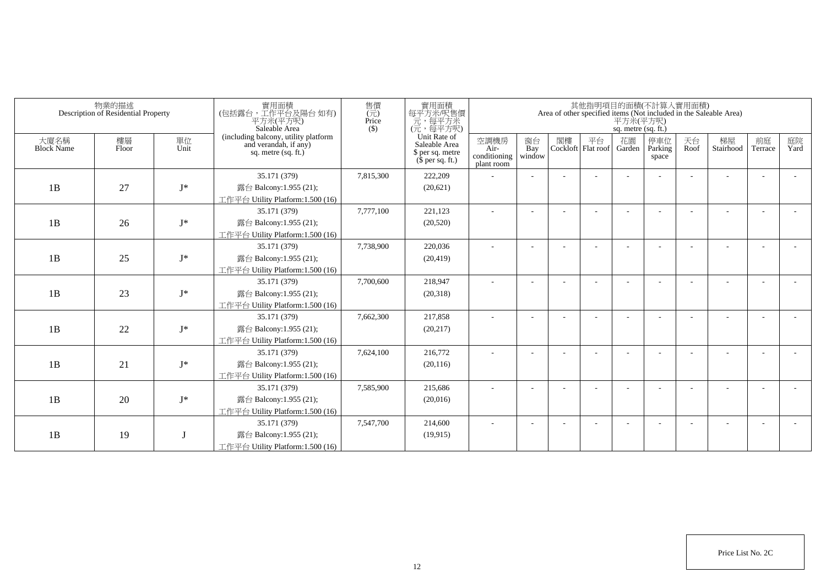| 物業的描述<br>Description of Residential Property |             |            | 實用面積<br>(包括露台,工作平台及陽台如有)<br>平方米(平方呎)<br>Saleable Area                                  | 售價<br>$(\vec{\pi})$<br>Price<br>$($ \$) | 實用面積<br>每平方米/呎售價<br>一元,每平方米<br>(元,每平方呎)                               | 其他指明項目的面積(不計算入實用面積)<br>Area of other specified items (Not included in the Saleable Area)<br>平方米(平方呎)<br>sq. metre (sq. ft.) |                          |    |                            |              |                         |            |                 |               |            |  |
|----------------------------------------------|-------------|------------|----------------------------------------------------------------------------------------|-----------------------------------------|-----------------------------------------------------------------------|-----------------------------------------------------------------------------------------------------------------------------|--------------------------|----|----------------------------|--------------|-------------------------|------------|-----------------|---------------|------------|--|
| 大廈名稱<br><b>Block Name</b>                    | 樓層<br>Floor | 單位<br>Unit | (including balcony, utility platform<br>and verandah, if any)<br>sq. metre $(sq, ft.)$ |                                         | Unit Rate of<br>Saleable Area<br>\$ per sq. metre<br>$$$ per sq. ft.) | 空調機房<br>Air-<br>conditioning<br>plant room                                                                                  | 窗台<br>Bay<br>window      | 閣樓 | 平台<br>Cockloft   Flat roof | 花園<br>Garden | 停車位<br>Parking<br>space | 天台<br>Roof | 梯屋<br>Stairhood | 前庭<br>Terrace | 庭院<br>Yard |  |
|                                              |             |            | 35.171 (379)                                                                           | 7,815,300                               | 222,209                                                               |                                                                                                                             |                          |    |                            |              |                         |            |                 |               |            |  |
| 1B                                           | 27          | $I^*$      | 露台 Balcony:1.955 (21);                                                                 |                                         | (20,621)                                                              |                                                                                                                             |                          |    |                            |              |                         |            |                 |               |            |  |
|                                              |             |            | 工作平台 Utility Platform:1.500 (16)                                                       |                                         |                                                                       |                                                                                                                             |                          |    |                            |              |                         |            |                 |               |            |  |
|                                              |             |            | 35.171 (379)                                                                           | 7,777,100                               | 221,123                                                               |                                                                                                                             |                          |    |                            |              |                         |            |                 |               |            |  |
| 1B                                           | 26          | $I^*$      | 露台 Balcony:1.955 (21);                                                                 |                                         | (20,520)                                                              |                                                                                                                             |                          |    |                            |              |                         |            |                 |               |            |  |
|                                              |             |            | 工作平台 Utility Platform:1.500 (16)                                                       |                                         |                                                                       |                                                                                                                             |                          |    |                            |              |                         |            |                 |               |            |  |
|                                              |             |            | 35.171 (379)                                                                           | 7,738,900                               | 220,036                                                               | $\sim$                                                                                                                      | $\overline{\phantom{a}}$ |    |                            |              |                         |            |                 |               |            |  |
| 1B                                           | 25          | $J^*$      | 露台 Balcony:1.955 (21);                                                                 |                                         | (20, 419)                                                             |                                                                                                                             |                          |    |                            |              |                         |            |                 |               |            |  |
|                                              |             |            | 工作平台 Utility Platform: 1.500 (16)                                                      |                                         |                                                                       |                                                                                                                             |                          |    |                            |              |                         |            |                 |               |            |  |
|                                              |             |            | 35.171 (379)                                                                           | 7,700,600                               | 218,947                                                               |                                                                                                                             |                          |    |                            |              |                         |            |                 |               |            |  |
| 1B                                           | 23          | $J^*$      | 露台 Balcony:1.955 (21);                                                                 |                                         | (20,318)                                                              |                                                                                                                             |                          |    |                            |              |                         |            |                 |               |            |  |
|                                              |             |            | 工作平台 Utility Platform:1.500 (16)                                                       |                                         |                                                                       |                                                                                                                             |                          |    |                            |              |                         |            |                 |               |            |  |
|                                              |             |            | 35.171 (379)                                                                           | 7,662,300                               | 217,858                                                               |                                                                                                                             |                          |    |                            |              |                         |            |                 |               |            |  |
| 1B                                           | 22          | $J^*$      | 露台 Balcony:1.955 (21);                                                                 |                                         | (20, 217)                                                             |                                                                                                                             |                          |    |                            |              |                         |            |                 |               |            |  |
|                                              |             |            | 工作平台 Utility Platform:1.500 (16)                                                       |                                         |                                                                       |                                                                                                                             |                          |    |                            |              |                         |            |                 |               |            |  |
|                                              |             |            | 35.171 (379)                                                                           | 7,624,100                               | 216,772                                                               |                                                                                                                             |                          |    |                            |              |                         |            |                 |               |            |  |
| 1B                                           | 21          | $J^*$      | 露台 Balcony:1.955 (21);                                                                 |                                         | (20, 116)                                                             |                                                                                                                             |                          |    |                            |              |                         |            |                 |               |            |  |
|                                              |             |            | 工作平台 Utility Platform:1.500 (16)                                                       |                                         |                                                                       |                                                                                                                             |                          |    |                            |              |                         |            |                 |               |            |  |
|                                              |             |            | 35.171 (379)                                                                           | 7,585,900                               | 215,686                                                               |                                                                                                                             |                          |    |                            |              |                         |            |                 |               |            |  |
| 1B                                           | 20          | $J^*$      | 露台 Balcony:1.955 (21);                                                                 |                                         | (20,016)                                                              |                                                                                                                             |                          |    |                            |              |                         |            |                 |               |            |  |
|                                              |             |            | 工作平台 Utility Platform: 1.500 (16)<br>35.171 (379)                                      | 7,547,700                               | 214,600                                                               |                                                                                                                             |                          |    |                            |              |                         |            |                 |               |            |  |
| 1B                                           | 19          |            | 露台 Balcony:1.955 (21);                                                                 |                                         | (19, 915)                                                             |                                                                                                                             |                          |    |                            |              |                         |            |                 |               |            |  |
|                                              |             |            | 工作平台 Utility Platform:1.500 (16)                                                       |                                         |                                                                       |                                                                                                                             |                          |    |                            |              |                         |            |                 |               |            |  |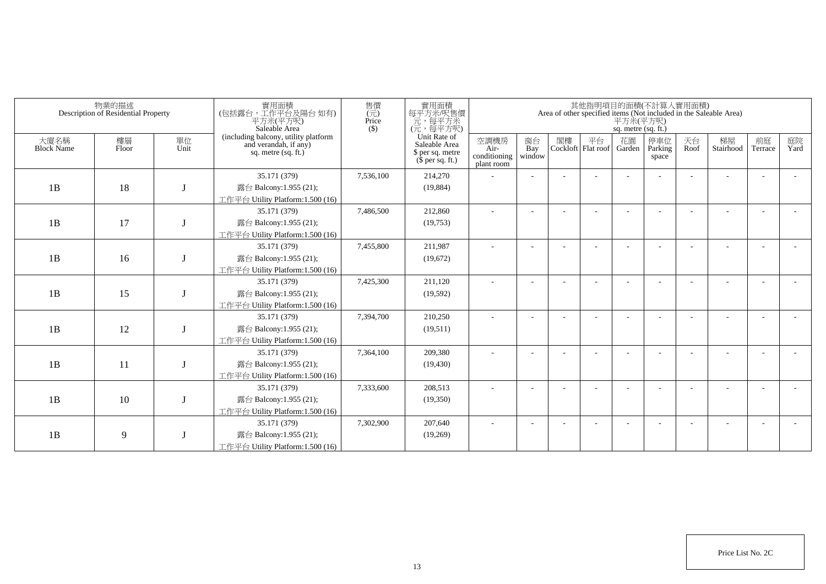| 物業的描述<br>Description of Residential Property |             |            | 實用面積<br>(包括露台,工作平台及陽台如有)<br>平方米(平方呎)<br>Saleable Area                                  | 售價<br>$(\vec{\pi})$<br>Price<br>$($ \$) | 實用面積<br>每平方米/呎售價<br>一元,每平方米<br>(元,每平方呎)                               | 其他指明項目的面積(不計算入實用面積)<br>Area of other specified items (Not included in the Saleable Area)<br>平方米(平方呎)<br>sq. metre (sq. ft.) |                          |    |                            |              |                         |            |                 |               |            |  |
|----------------------------------------------|-------------|------------|----------------------------------------------------------------------------------------|-----------------------------------------|-----------------------------------------------------------------------|-----------------------------------------------------------------------------------------------------------------------------|--------------------------|----|----------------------------|--------------|-------------------------|------------|-----------------|---------------|------------|--|
| 大廈名稱<br><b>Block Name</b>                    | 樓層<br>Floor | 單位<br>Unit | (including balcony, utility platform<br>and verandah, if any)<br>sq. metre $(sq, ft.)$ |                                         | Unit Rate of<br>Saleable Area<br>\$ per sq. metre<br>$$$ per sq. ft.) | 空調機房<br>Air-<br>conditioning<br>plant room                                                                                  | 窗台<br>Bay<br>window      | 閣樓 | 平台<br>Cockloft   Flat roof | 花園<br>Garden | 停車位<br>Parking<br>space | 天台<br>Roof | 梯屋<br>Stairhood | 前庭<br>Terrace | 庭院<br>Yard |  |
|                                              |             |            | 35.171 (379)                                                                           | 7,536,100                               | 214,270                                                               |                                                                                                                             |                          |    |                            |              |                         |            |                 |               |            |  |
| 1B                                           | 18          |            | 露台 Balcony:1.955 (21);                                                                 |                                         | (19,884)                                                              |                                                                                                                             |                          |    |                            |              |                         |            |                 |               |            |  |
|                                              |             |            | 工作平台 Utility Platform:1.500 (16)                                                       |                                         |                                                                       |                                                                                                                             |                          |    |                            |              |                         |            |                 |               |            |  |
|                                              |             |            | 35.171 (379)                                                                           | 7,486,500                               | 212,860                                                               |                                                                                                                             |                          |    |                            |              |                         |            |                 |               |            |  |
| 1B                                           | 17          |            | 露台 Balcony:1.955 (21);                                                                 |                                         | (19,753)                                                              |                                                                                                                             |                          |    |                            |              |                         |            |                 |               |            |  |
|                                              |             |            | 工作平台 Utility Platform:1.500 (16)                                                       |                                         |                                                                       |                                                                                                                             |                          |    |                            |              |                         |            |                 |               |            |  |
|                                              |             |            | 35.171 (379)                                                                           | 7,455,800                               | 211,987                                                               | ٠                                                                                                                           | $\overline{\phantom{a}}$ |    |                            |              |                         |            |                 |               |            |  |
| 1B                                           | 16          |            | 露台 Balcony:1.955 (21);                                                                 |                                         | (19,672)                                                              |                                                                                                                             |                          |    |                            |              |                         |            |                 |               |            |  |
|                                              |             |            | 工作平台 Utility Platform:1.500 (16)                                                       |                                         |                                                                       |                                                                                                                             |                          |    |                            |              |                         |            |                 |               |            |  |
|                                              |             |            | 35.171 (379)                                                                           | 7,425,300                               | 211,120                                                               |                                                                                                                             |                          |    |                            |              |                         |            |                 |               |            |  |
| 1B                                           | 15          |            | 露台 Balcony:1.955 (21);                                                                 |                                         | (19, 592)                                                             |                                                                                                                             |                          |    |                            |              |                         |            |                 |               |            |  |
|                                              |             |            | 工作平台 Utility Platform:1.500 (16)                                                       |                                         |                                                                       |                                                                                                                             |                          |    |                            |              |                         |            |                 |               |            |  |
|                                              |             |            | 35.171 (379)                                                                           | 7,394,700                               | 210,250                                                               |                                                                                                                             |                          |    |                            |              |                         |            |                 |               |            |  |
| 1B                                           | 12          |            | 露台 Balcony:1.955 (21);                                                                 |                                         | (19,511)                                                              |                                                                                                                             |                          |    |                            |              |                         |            |                 |               |            |  |
|                                              |             |            | 工作平台 Utility Platform: 1.500 (16)<br>35.171 (379)                                      | 7,364,100                               | 209,380                                                               |                                                                                                                             |                          |    |                            |              |                         |            |                 |               |            |  |
| 1B                                           | 11          |            | 露台 Balcony:1.955 (21);                                                                 |                                         | (19, 430)                                                             |                                                                                                                             |                          |    |                            |              |                         |            |                 |               |            |  |
|                                              |             |            | 工作平台 Utility Platform:1.500 (16)                                                       |                                         |                                                                       |                                                                                                                             |                          |    |                            |              |                         |            |                 |               |            |  |
|                                              |             |            | 35.171 (379)                                                                           | 7,333,600                               | 208,513                                                               |                                                                                                                             |                          |    |                            |              |                         |            |                 |               |            |  |
| 1B                                           | 10          |            | 露台 Balcony:1.955 (21);                                                                 |                                         | (19,350)                                                              |                                                                                                                             |                          |    |                            |              |                         |            |                 |               |            |  |
|                                              |             |            | 工作平台 Utility Platform: 1.500 (16)                                                      |                                         |                                                                       |                                                                                                                             |                          |    |                            |              |                         |            |                 |               |            |  |
|                                              |             |            | 35.171 (379)                                                                           | 7,302,900                               | 207,640                                                               |                                                                                                                             |                          |    |                            |              |                         |            |                 |               |            |  |
| 1B                                           | 9           |            | 露台 Balcony:1.955 (21);                                                                 |                                         | (19,269)                                                              |                                                                                                                             |                          |    |                            |              |                         |            |                 |               |            |  |
|                                              |             |            | 工作平台 Utility Platform:1.500 (16)                                                       |                                         |                                                                       |                                                                                                                             |                          |    |                            |              |                         |            |                 |               |            |  |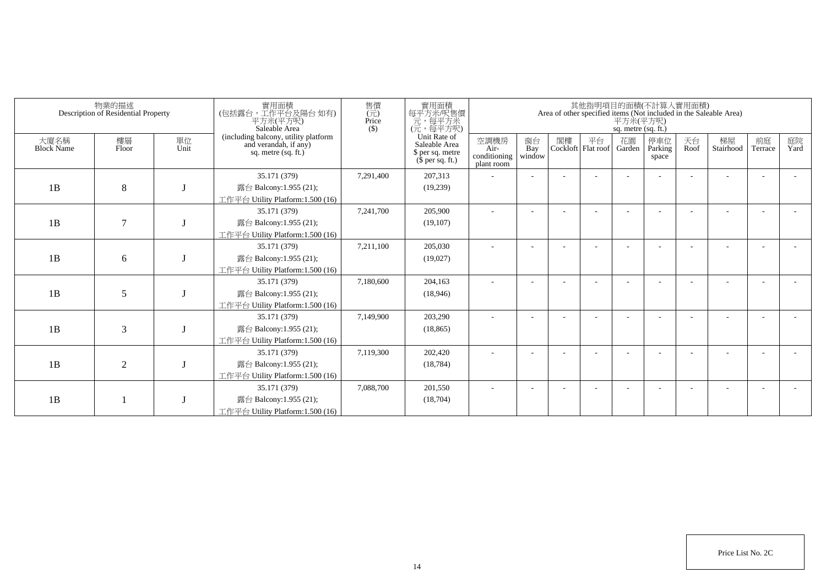| 物業的描述<br>Description of Residential Property |                |            | 寶用面積<br>(包括露台 · 工作平台及陽台 如有)<br>平方米(平方呎)<br>Saleable Area                             | 售價<br>(元)<br>Price<br>$($)$ | 實用面積<br>每平方米/呎售價<br>元,每平方米<br>(元,每平方呎)                                | 其他指明項目的面積(不計算人實用面積)<br>Area of other specified items (Not included in the Saleable Area)<br>平方米(平方呎)<br>sq. metre (sq. ft.) |                     |    |                            |              |                         |            |                 |               |            |  |
|----------------------------------------------|----------------|------------|--------------------------------------------------------------------------------------|-----------------------------|-----------------------------------------------------------------------|-----------------------------------------------------------------------------------------------------------------------------|---------------------|----|----------------------------|--------------|-------------------------|------------|-----------------|---------------|------------|--|
| 大廈名稱<br><b>Block Name</b>                    | 樓層<br>Floor    | 單位<br>Unit | (including balcony, utility platform<br>and verandah, if any)<br>sq. metre (sq. ft.) |                             | Unit Rate of<br>Saleable Area<br>\$ per sq. metre<br>$$$ per sq. ft.) | 空調機房<br>Air-<br>conditioning<br>plant room                                                                                  | 窗台<br>Bay<br>window | 閣樓 | 平台<br>Cockloft   Flat roof | 花園<br>Garden | 停車位<br>Parking<br>space | 天台<br>Roof | 梯屋<br>Stairhood | 前庭<br>Terrace | 庭院<br>Yard |  |
| 1B                                           | 8              |            | 35.171 (379)<br>露台 Balcony:1.955 (21);<br>工作平台 Utility Platform:1.500 (16)           | 7,291,400                   | 207,313<br>(19,239)                                                   |                                                                                                                             |                     |    |                            |              |                         |            |                 |               |            |  |
| 1B                                           | $\overline{7}$ |            | 35.171 (379)<br>露台 Balcony:1.955 (21);<br>工作平台 Utility Platform:1.500 (16)           | 7,241,700                   | 205,900<br>(19, 107)                                                  |                                                                                                                             |                     |    |                            |              |                         |            |                 |               |            |  |
| 1B                                           | 6              |            | 35.171 (379)<br>露台 Balcony:1.955 (21);<br>工作平台 Utility Platform:1.500 (16)           | 7,211,100                   | 205,030<br>(19,027)                                                   |                                                                                                                             |                     |    |                            |              |                         |            |                 |               |            |  |
| 1B                                           | 5              |            | 35.171 (379)<br>露台 Balcony:1.955 (21);<br>工作平台 Utility Platform:1.500 (16)           | 7,180,600                   | 204,163<br>(18,946)                                                   |                                                                                                                             |                     |    |                            |              |                         |            |                 |               |            |  |
| 1B                                           | 3              |            | 35.171 (379)<br>露台 Balcony:1.955 (21);<br>工作平台 Utility Platform:1.500 (16)           | 7,149,900                   | 203,290<br>(18, 865)                                                  |                                                                                                                             |                     |    |                            |              |                         |            |                 |               |            |  |
| 1B                                           | $\overline{2}$ |            | 35.171 (379)<br>露台 Balcony:1.955 (21);<br>工作平台 Utility Platform:1.500 (16)           | 7,119,300                   | 202,420<br>(18, 784)                                                  |                                                                                                                             |                     |    |                            |              |                         |            |                 |               |            |  |
| 1B                                           |                |            | 35.171 (379)<br>露台 Balcony:1.955 (21);<br>工作平台 Utility Platform:1.500 (16)           | 7,088,700                   | 201,550<br>(18,704)                                                   |                                                                                                                             |                     |    |                            |              |                         |            |                 |               |            |  |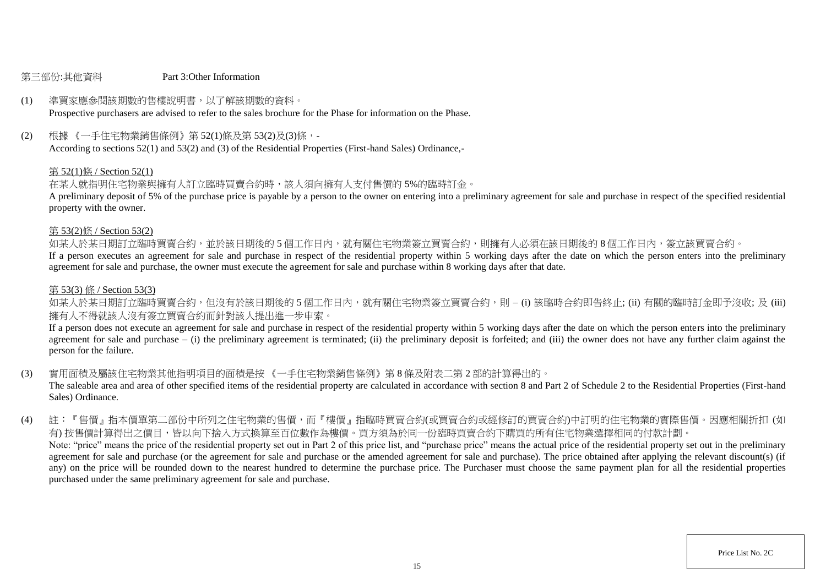#### 第三部份:其他資料 Part 3:Other Information

# (1) 準買家應參閱該期數的售樓說明書,以了解該期數的資料。

Prospective purchasers are advised to refer to the sales brochure for the Phase for information on the Phase.

(2) 根據 《一手住宅物業銷售條例》第 52(1)條及第 53(2)及(3)條,-

According to sections 52(1) and 53(2) and (3) of the Residential Properties (First-hand Sales) Ordinance,-

## 第 52(1)條 / Section 52(1)

在某人就指明住宅物業與擁有人訂立臨時買賣合約時,該人須向擁有人支付售價的 5%的臨時訂金。

A preliminary deposit of 5% of the purchase price is payable by a person to the owner on entering into a preliminary agreement for sale and purchase in respect of the specified residential property with the owner.

#### 第 53(2)條 / Section 53(2)

如某人於某日期訂立臨時買賣合約,並於該日期後的5個工作日內,就有關住宅物業簽立買賣合約,則擁有人必須在該日期後的8個工作日內,簽立該買賣合約。

If a person executes an agreement for sale and purchase in respect of the residential property within 5 working days after the date on which the person enters into the preliminary agreement for sale and purchase, the owner must execute the agreement for sale and purchase within 8 working days after that date.

### 第 53(3) 條 / Section 53(3)

如某人於某日期訂立臨時買賣合約,但沒有於該日期後的 5 個工作日内,就有關住宅物業簽立買賣合約,則 – (i) 該臨時合約即告終止; (ii) 有關的臨時訂金即予沒收; 及 (iii) 擁有人不得就該人沒有簽立買賣合約而針對該人提出進一步申索。

If a person does not execute an agreement for sale and purchase in respect of the residential property within 5 working days after the date on which the person enters into the preliminary agreement for sale and purchase  $-$  (i) the preliminary agreement is terminated; (ii) the preliminary deposit is forfeited; and (iii) the owner does not have any further claim against the person for the failure.

(3) 實用面積及屬該住宅物業其他指明項目的面積是按 《一手住宅物業銷售條例》第 8 條及附表二第 2 部的計算得出的。

The saleable area and area of other specified items of the residential property are calculated in accordance with section 8 and Part 2 of Schedule 2 to the Residential Properties (First-hand Sales) Ordinance.

(4) 註:『售價』指本價單第二部份中所列之住宅物業的售價,而『樓價』指臨時買賣合約(或買賣合約或經修訂的買賣合約)中訂明的住宅物業的實際售價。因應相關折扣 (如 有) 按售價計算得出之價目,皆以向下捨入方式換算至百位數作為樓價。買方須為於同一份臨時買賣合約下購買的所有住宅物業選擇相同的付款計劃。 Note: "price" means the price of the residential property set out in Part 2 of this price list, and "purchase price" means the actual price of the residential property set out in the preliminary agreement for sale and purchase (or the agreement for sale and purchase or the amended agreement for sale and purchase). The price obtained after applying the relevant discount(s) (if any) on the price will be rounded down to the nearest hundred to determine the purchase price. The Purchaser must choose the same payment plan for all the residential properties purchased under the same preliminary agreement for sale and purchase.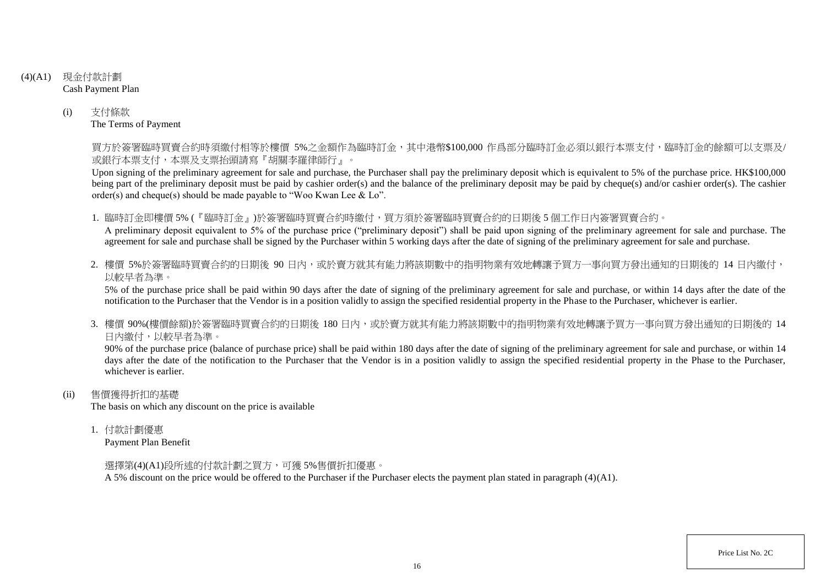- (4)(A1) 現金付款計劃 Cash Payment Plan
	- (i) 支付條款 The Terms of Payment

買方於簽署臨時買賣合約時須繳付相等於樓價 5%之金額作為臨時訂金,其中港幣\$100,000 作爲部分臨時訂金必須以銀行本票支付,臨時訂金的餘額可以支票及/ 或銀行本票支付,本票及支票抬頭請寫『胡關李羅律師行』。

Upon signing of the preliminary agreement for sale and purchase, the Purchaser shall pay the preliminary deposit which is equivalent to 5% of the purchase price. HK\$100,000 being part of the preliminary deposit must be paid by cashier order(s) and the balance of the preliminary deposit may be paid by cheque(s) and/or cashier order(s). The cashier order(s) and cheque(s) should be made payable to "Woo Kwan Lee & Lo".

1. 臨時訂金即樓價 5% (『臨時訂金』)於簽署臨時買賣合約時繳付,買方須於簽署臨時買賣合約的日期後 5 個工作日內簽署買賣合約。

A preliminary deposit equivalent to 5% of the purchase price ("preliminary deposit") shall be paid upon signing of the preliminary agreement for sale and purchase. The agreement for sale and purchase shall be signed by the Purchaser within 5 working days after the date of signing of the preliminary agreement for sale and purchase.

2. 樓價 5%於簽署臨時買賣合約的日期後 90 日内,或於賣方就其有能力將該期數中的指明物業有效地轉讓予買方一事向買方發出通知的日期後的 14 日內繳付, 以較早者為準。

5% of the purchase price shall be paid within 90 days after the date of signing of the preliminary agreement for sale and purchase, or within 14 days after the date of the notification to the Purchaser that the Vendor is in a position validly to assign the specified residential property in the Phase to the Purchaser, whichever is earlier.

3. 樓價 90%(樓價餘額)於簽署臨時買賣合約的日期後 180 日内,或於賣方就其有能力將該期數中的指明物業有效地轉讓予買方一事向買方發出涌知的日期後的 14 日內繳付,以較早者為準。

90% of the purchase price (balance of purchase price) shall be paid within 180 days after the date of signing of the preliminary agreement for sale and purchase, or within 14 days after the date of the notification to the Purchaser that the Vendor is in a position validly to assign the specified residential property in the Phase to the Purchaser. whichever is earlier.

(ii) 售價獲得折扣的基礎

The basis on which any discount on the price is available

1. 付款計劃優惠

Payment Plan Benefit

選擇第(4)(A1)段所述的付款計劃之買方,可獲 5%售價折扣優惠。

A 5% discount on the price would be offered to the Purchaser if the Purchaser elects the payment plan stated in paragraph (4)(A1).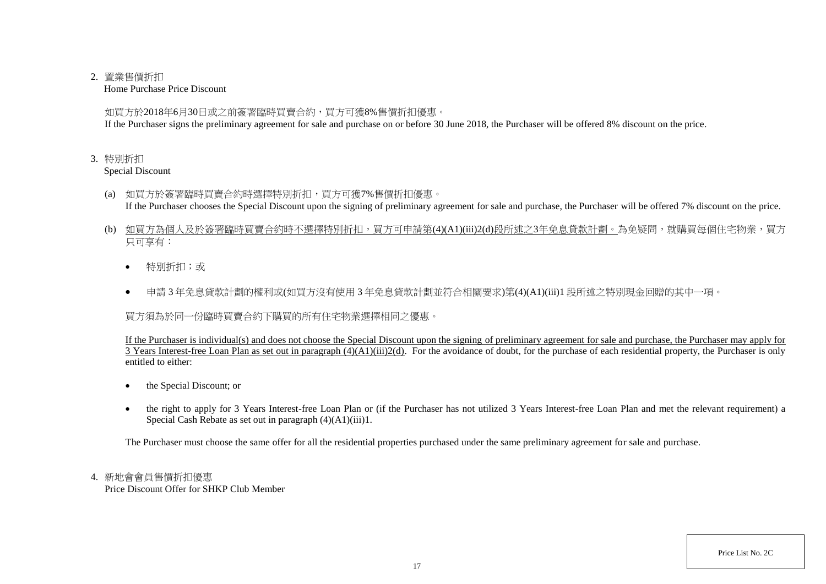### 2. 置業售價折扣

Home Purchase Price Discount

如買方於2018年6月30日或之前簽署臨時買賣合約,買方可獲8%售價折扣優惠。

If the Purchaser signs the preliminary agreement for sale and purchase on or before 30 June 2018, the Purchaser will be offered 8% discount on the price.

## 3. 特別折扣

Special Discount

- (a) 如買方於簽署臨時買賣合約時選擇特別折扣,買方可獲7%售價折扣優惠。 If the Purchaser chooses the Special Discount upon the signing of preliminary agreement for sale and purchase, the Purchaser will be offered 7% discount on the price.
- (b) 如買方為個人及於簽署臨時買賣合約時不選擇特別折扣,買方可申請第(4)(A1)(iii)2(d)段所述之3年免息貸款計劃。為免疑問,就購買每個住宅物業,買方 只可享有:
	- 特別折扣;或
	- 申請 3 年免息貸款計劃的權利或(如買方沒有使用 3 年免息貸款計劃並符合相關要求)第(4)(A1)(iii)1 段所述之特別現金回贈的其中一項。

買方須為於同一份臨時買賣合約下購買的所有住宅物業選擇相同之優惠。

If the Purchaser is individual(s) and does not choose the Special Discount upon the signing of preliminary agreement for sale and purchase, the Purchaser may apply for 3 Years Interest-free Loan Plan as set out in paragraph (4)(A1)(iii)2(d). For the avoidance of doubt, for the purchase of each residential property, the Purchaser is only entitled to either:

- the Special Discount; or
- the right to apply for 3 Years Interest-free Loan Plan or (if the Purchaser has not utilized 3 Years Interest-free Loan Plan and met the relevant requirement) a Special Cash Rebate as set out in paragraph (4)(A1)(iii)1.

The Purchaser must choose the same offer for all the residential properties purchased under the same preliminary agreement for sale and purchase.

# 4. 新地會會員售價折扣優惠

Price Discount Offer for SHKP Club Member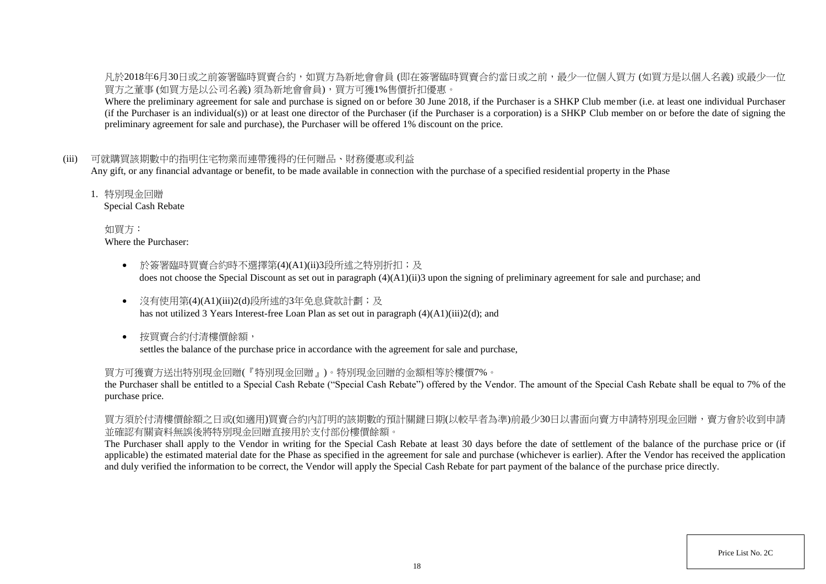凡於2018年6月30日或之前簽署臨時買賣合約,如買方為新地會會員 (即在簽署臨時買賣合約當日或之前,最少一位個人買方 (如買方是以個人名義) 或最少一位 買方之董事 (如買方是以公司名義) 須為新地會會員),買方可獲1%售價折扣優惠。

Where the preliminary agreement for sale and purchase is signed on or before 30 June 2018, if the Purchaser is a SHKP Club member (i.e. at least one individual Purchaser (if the Purchaser is an individual(s)) or at least one director of the Purchaser (if the Purchaser is a corporation) is a SHKP Club member on or before the date of signing the preliminary agreement for sale and purchase), the Purchaser will be offered 1% discount on the price.

### (iii) 可就購買該期數中的指明住宅物業而連帶獲得的任何贈品、財務優惠或利益

Any gift, or any financial advantage or benefit, to be made available in connection with the purchase of a specified residential property in the Phase

1. 特別現金回贈

Special Cash Rebate

如買方: Where the Purchaser:

- 於簽署臨時買賣合約時不選擇第(4)(A1)(ii)3段所述之特別折扣;及 does not choose the Special Discount as set out in paragraph (4)(A1)(ii)3 upon the signing of preliminary agreement for sale and purchase; and
- 沒有使用第(4)(A1)(iii)2(d)段所述的3年免息貸款計劃;及 has not utilized 3 Years Interest-free Loan Plan as set out in paragraph (4)(A1)(iii)2(d); and
- 按買賣合約付清樓價餘額, settles the balance of the purchase price in accordance with the agreement for sale and purchase,

### 買方可獲賣方送出特別現金回贈(『特別現金回贈』)。特別現金回贈的金額相等於樓價7%。

the Purchaser shall be entitled to a Special Cash Rebate ("Special Cash Rebate") offered by the Vendor. The amount of the Special Cash Rebate shall be equal to 7% of the purchase price.

買方須於付清樓價餘額之日或(如適用)買賣合約內訂明的該期數的預計關鍵日期(以較早者為準)前最少30日以書面向賣方申請特別現金回贈,賣方會於收到申請 並確認有關資料無誤後將特別現金回贈直接用於支付部份樓價餘額。

The Purchaser shall apply to the Vendor in writing for the Special Cash Rebate at least 30 days before the date of settlement of the balance of the purchase price or (if applicable) the estimated material date for the Phase as specified in the agreement for sale and purchase (whichever is earlier). After the Vendor has received the application and duly verified the information to be correct, the Vendor will apply the Special Cash Rebate for part payment of the balance of the purchase price directly.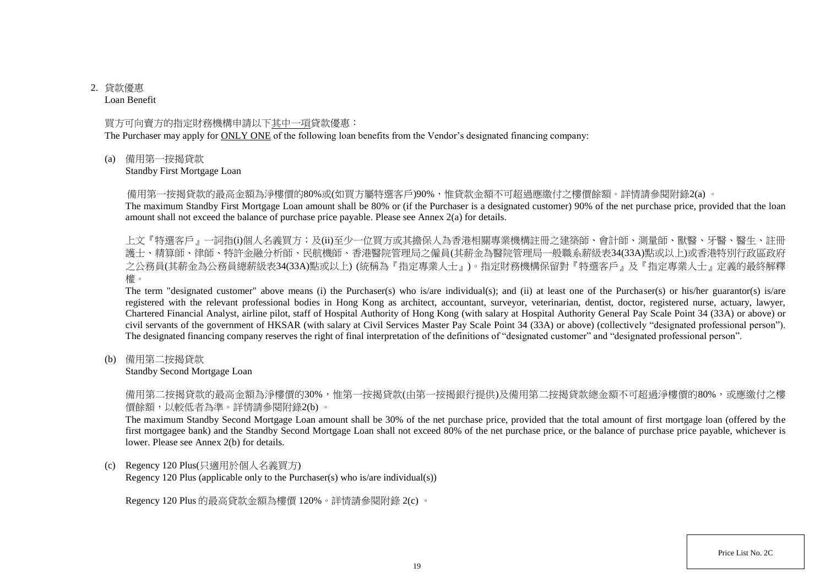# 2. 貸款優惠

Loan Benefit

### 買方可向賣方的指定財務機構申請以下其中一項貸款優惠:

The Purchaser may apply for ONLY ONE of the following loan benefits from the Vendor's designated financing company:

(a) 備用第一按揭貸款

Standby First Mortgage Loan

備用第一按揭貸款的最高金額為淨樓價的80%或(如買方屬特選客戶)90%,惟貸款金額不可超過應繳付之樓價餘額。詳情請參閱附錄2(a) 。

The maximum Standby First Mortgage Loan amount shall be 80% or (if the Purchaser is a designated customer) 90% of the net purchase price, provided that the loan amount shall not exceed the balance of purchase price payable. Please see Annex 2(a) for details.

上文『特選客戶』一詞指(i)個人名義買方;及(ii)至少一位買方或其擔保人為香港相關專業機構註冊之建築師、會計師、測量師、獸醫、牙醫、醫生、註冊 護士、精算師、律師、特許金融分析師、民航機師、香港醫院管理局之僱員(其薪金為醫院管理局一般職系薪級表34(33A)點或以上)或香港特別行政區政府 之公務員(其薪金為公務員總薪級表34(33A)點或以上) (統稱為『指定專業人士』)。指定財務機構保留對『特選客戶』及『指定專業人士』定義的最終解釋 權。

The term "designated customer" above means (i) the Purchaser(s) who is/are individual(s); and (ii) at least one of the Purchaser(s) or his/her guarantor(s) is/are registered with the relevant professional bodies in Hong Kong as architect, accountant, surveyor, veterinarian, dentist, doctor, registered nurse, actuary, lawyer, Chartered Financial Analyst, airline pilot, staff of Hospital Authority of Hong Kong (with salary at Hospital Authority General Pay Scale Point 34 (33A) or above) or civil servants of the government of HKSAR (with salary at Civil Services Master Pay Scale Point 34 (33A) or above) (collectively "designated professional person"). The designated financing company reserves the right of final interpretation of the definitions of "designated customer" and "designated professional person".

(b) 備用第二按揭貸款

Standby Second Mortgage Loan

備用第二按揭貸款的最高金額為淨樓價的30%,惟第一按揭貸款(由第一按揭銀行提供)及備用第二按揭貸款總金額不可超過淨樓價的80%,或應繳付之樓 價餘額,以較低者為準。詳情請參閱附錄2(b) 。

The maximum Standby Second Mortgage Loan amount shall be 30% of the net purchase price, provided that the total amount of first mortgage loan (offered by the first mortgagee bank) and the Standby Second Mortgage Loan shall not exceed 80% of the net purchase price, or the balance of purchase price payable, whichever is lower. Please see Annex 2(b) for details.

(c) Regency 120 Plus(只適用於個人名義買方)

Regency 120 Plus (applicable only to the Purchaser(s) who is/are individual(s))

Regency 120 Plus 的最高貸款金額為樓價 120%。詳情請參閱附錄 2(c) 。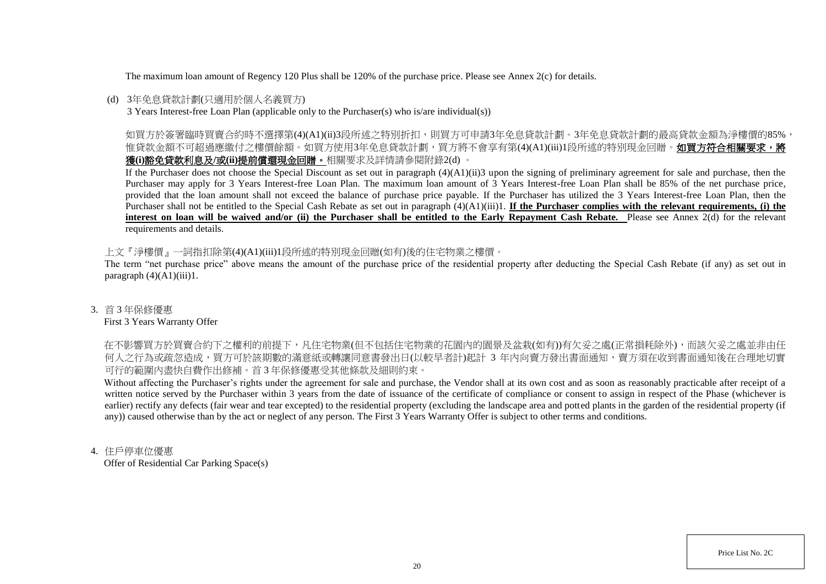The maximum loan amount of Regency 120 Plus shall be 120% of the purchase price. Please see Annex 2(c) for details.

## (d) 3年免息貸款計劃(只適用於個人名義買方)

3 Years Interest-free Loan Plan (applicable only to the Purchaser(s) who is/are individual(s))

如買方於簽署臨時買賣合約時不選擇第(4)(A1)(ii)3段所述之特別折扣,則買方可申請3年免息貸款計劃。3年免息貸款計劃的最高貸款金額為淨樓價的85%, 惟貸款金額不可超過應繳付之樓價餘額。如買方使用3年免息貸款計劃,買方將不會享有第(4)(A1)(iii)1段所述的特別現金回贈。如買方符合相關要求,將 獲**(i)**豁免貸款利息及**/**或**(ii)**提前償還現金回贈。相關要求及詳情請參閱附錄2(d) 。

If the Purchaser does not choose the Special Discount as set out in paragraph (4)(A1)(ii)3 upon the signing of preliminary agreement for sale and purchase, then the Purchaser may apply for 3 Years Interest-free Loan Plan. The maximum loan amount of 3 Years Interest-free Loan Plan shall be 85% of the net purchase price, provided that the loan amount shall not exceed the balance of purchase price payable. If the Purchaser has utilized the 3 Years Interest-free Loan Plan, then the Purchaser shall not be entitled to the Special Cash Rebate as set out in paragraph (4)(A1)(iii)1. **If the Purchaser complies with the relevant requirements, (i) the** interest on loan will be waived and/or (ii) the Purchaser shall be entitled to the Early Repayment Cash Rebate. Please see Annex 2(d) for the relevant requirements and details.

上文『淨樓價』一詞指扣除第(4)(A1)(iii)1段所述的特別現金回贈(如有)後的住宅物業之樓價。

The term "net purchase price" above means the amount of the purchase price of the residential property after deducting the Special Cash Rebate (if any) as set out in paragraph  $(4)(A1)(iii)1$ .

### 3. 首 3 年保修優惠

### First 3 Years Warranty Offer

在不影響買方於買賣合約下之權利的前提下,凡住宅物業(但不包括住宅物業的花園内的園景及盆栽(如有))有欠妥之處(正常損耗除外),而該欠妥之處並非由任 何人之行為或疏忽造成,買方可於該期數的滿意紙或轉讓同意書發出日(以較早者計)起計 3 年内向賣方發出書面通知,賣方須在收到書面通知後在合理地切實 可行的範圍內盡快自費作出修補。首 3 年保修優惠受其他條款及細則約束。

Without affecting the Purchaser's rights under the agreement for sale and purchase, the Vendor shall at its own cost and as soon as reasonably practicable after receipt of a written notice served by the Purchaser within 3 years from the date of issuance of the certificate of compliance or consent to assign in respect of the Phase (whichever is earlier) rectify any defects (fair wear and tear excepted) to the residential property (excluding the landscape area and potted plants in the garden of the residential property (if any)) caused otherwise than by the act or neglect of any person. The First 3 Years Warranty Offer is subject to other terms and conditions.

### 4. 住戶停車位優惠

Offer of Residential Car Parking Space(s)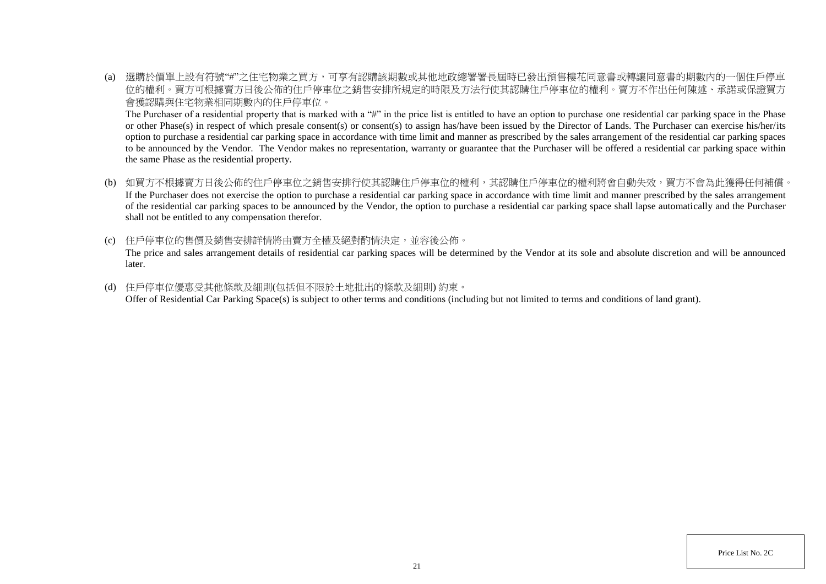(a) 選購於價單上設有符號"#"之住宅物業之買方,可享有認購該期數或其他地政總署署長屆時已發出預售樓花同意書或轉讓同意書的期數內的一個住戶停車 位的權利。買方可根據賣方日後公佈的住戶停車位之銷售安排所規定的時限及方法行使其認購住戶停車位的權利。賣方不作出任何陳述、承諾或保證買方 會獲認購與住宅物業相同期數內的住戶停車位。

The Purchaser of a residential property that is marked with a "#" in the price list is entitled to have an option to purchase one residential car parking space in the Phase or other Phase(s) in respect of which presale consent(s) or consent(s) to assign has/have been issued by the Director of Lands. The Purchaser can exercise his/her/its option to purchase a residential car parking space in accordance with time limit and manner as prescribed by the sales arrangement of the residential car parking spaces to be announced by the Vendor. The Vendor makes no representation, warranty or guarantee that the Purchaser will be offered a residential car parking space within the same Phase as the residential property.

- (b) 如買方不根據賣方日後公佈的住戶停車位之銷售安排行使其認購住戶停車位的權利,其認購住戶停車位的權利將會自動失效,買方不會為此獲得任何補償。 If the Purchaser does not exercise the option to purchase a residential car parking space in accordance with time limit and manner prescribed by the sales arrangement of the residential car parking spaces to be announced by the Vendor, the option to purchase a residential car parking space shall lapse automatically and the Purchaser shall not be entitled to any compensation therefor.
- (c) 住戶停車位的售價及銷售安排詳情將由賣方全權及絕對酌情決定,並容後公佈。 The price and sales arrangement details of residential car parking spaces will be determined by the Vendor at its sole and absolute discretion and will be announced later.
- (d) 住戶停車位優惠受其他條款及細則(包括但不限於土地批出的條款及細則) 約束。 Offer of Residential Car Parking Space(s) is subject to other terms and conditions (including but not limited to terms and conditions of land grant).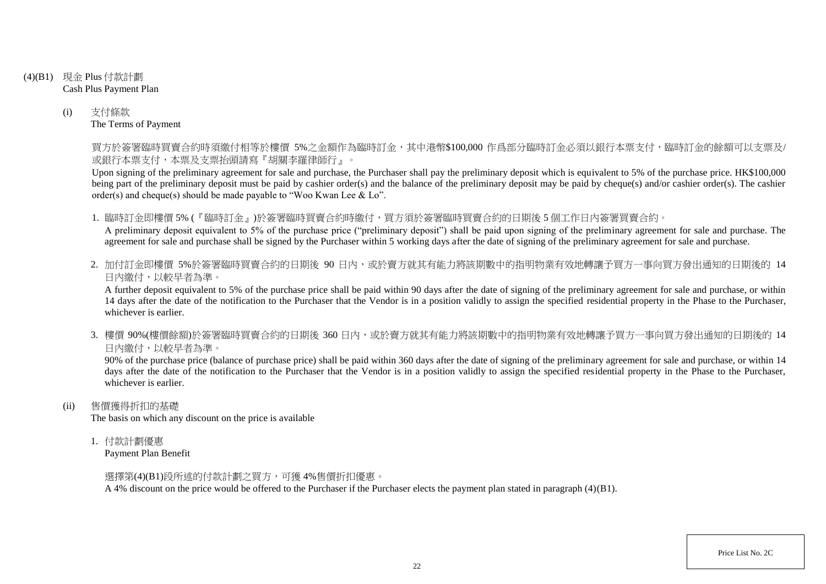- (4)(B1) 現金 Plus 付款計劃 Cash Plus Payment Plan
	- (i) 支付條款 The Terms of Payment

買方於簽署臨時買賣合約時須繳付相等於樓價 5%之金額作為臨時訂金,其中港幣\$100,000 作爲部分臨時訂金必須以銀行本票支付,臨時訂金的餘額可以支票及/ 或銀行本票支付,本票及支票抬頭請寫『胡關李羅律師行』。

Upon signing of the preliminary agreement for sale and purchase, the Purchaser shall pay the preliminary deposit which is equivalent to 5% of the purchase price. HK\$100,000 being part of the preliminary deposit must be paid by cashier order(s) and the balance of the preliminary deposit may be paid by cheque(s) and/or cashier order(s). The cashier order(s) and cheque(s) should be made payable to "Woo Kwan Lee & Lo".

1. 臨時訂金即樓價 5% (『臨時訂金』)於簽署臨時買賣合約時繳付,買方須於簽署臨時買賣合約的日期後 5 個工作日內簽署買賣合約。

A preliminary deposit equivalent to 5% of the purchase price ("preliminary deposit") shall be paid upon signing of the preliminary agreement for sale and purchase. The agreement for sale and purchase shall be signed by the Purchaser within 5 working days after the date of signing of the preliminary agreement for sale and purchase.

2. 加付訂金即樓價 5%於簽署臨時買賣合約的日期後 90 日内,或於賣方就其有能力將該期數中的指明物業有效地轉讓予買方一事向買方發出通知的日期後的 14 日內繳付,以較早者為準。

A further deposit equivalent to 5% of the purchase price shall be paid within 90 days after the date of signing of the preliminary agreement for sale and purchase, or within 14 days after the date of the notification to the Purchaser that the Vendor is in a position validly to assign the specified residential property in the Phase to the Purchaser, whichever is earlier.

3. 樓價 90%(樓價餘額)於簽署臨時買賣合約的日期後 360 日內,或於賣方就其有能力將該期數中的指明物業有效地轉讓予買方一事向買方發出通知的日期後的 14 日內繳付,以較早者為準。

90% of the purchase price (balance of purchase price) shall be paid within 360 days after the date of signing of the preliminary agreement for sale and purchase, or within 14 days after the date of the notification to the Purchaser that the Vendor is in a position validly to assign the specified residential property in the Phase to the Purchaser, whichever is earlier.

(ii) 售價獲得折扣的基礎

The basis on which any discount on the price is available

1. 付款計劃優惠

Payment Plan Benefit

選擇第(4)(B1)段所述的付款計劃之買方,可獲 4%售價折扣優惠。

A 4% discount on the price would be offered to the Purchaser if the Purchaser elects the payment plan stated in paragraph (4)(B1).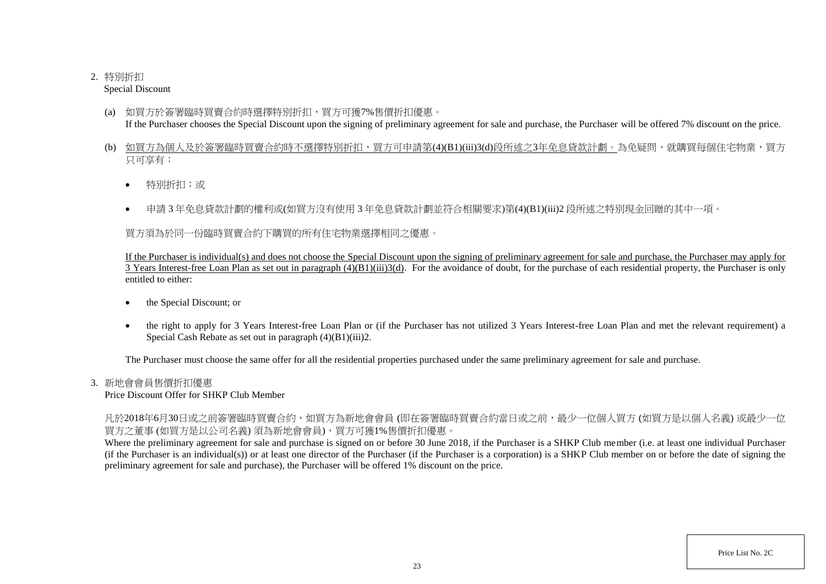# 2. 特別折扣

Special Discount

- (a) 如買方於簽署臨時買賣合約時選擇特別折扣,買方可獲7%售價折扣優惠。 If the Purchaser chooses the Special Discount upon the signing of preliminary agreement for sale and purchase, the Purchaser will be offered 7% discount on the price.
- (b) 如買方為個人及於簽署臨時買賣合約時不選擇特別折扣,買方可申請第(4)(B1)(iii)3(d)段所述之3年免息貸款計劃。為免疑問,就購買每個住宅物業,買方 只可享有:
	- 特別折扣;或
	- 申請 3 年免息貸款計劃的權利或(如買方沒有使用 3 年免息貸款計劃並符合相關要求)第(4)(B1)(iii)2 段所述之特別現金回贈的其中一項。

買方須為於同一份臨時買賣合約下購買的所有住宅物業選擇相同之優惠。

If the Purchaser is individual(s) and does not choose the Special Discount upon the signing of preliminary agreement for sale and purchase, the Purchaser may apply for  $\overline{3}$  Years Interest-free Loan Plan as set out in paragraph  $(4)(B1)(iii)3(d)$ . For the avoidance of doubt, for the purchase of each residential property, the Purchaser is only entitled to either:

- the Special Discount; or
- the right to apply for 3 Years Interest-free Loan Plan or (if the Purchaser has not utilized 3 Years Interest-free Loan Plan and met the relevant requirement) a Special Cash Rebate as set out in paragraph (4)(B1)(iii)2.

The Purchaser must choose the same offer for all the residential properties purchased under the same preliminary agreement for sale and purchase.

# 3. 新地會會員售價折扣優惠

Price Discount Offer for SHKP Club Member

凡於2018年6月30日或之前簽署臨時買賣合約,如買方為新地會會員 (即在簽署臨時買賣合約當日或之前,最少一位個人買方 (如買方是以個人名義) 或最少一位 買方之董事 (如買方是以公司名義) 須為新地會會員),買方可獲1%售價折扣優惠。

Where the preliminary agreement for sale and purchase is signed on or before 30 June 2018, if the Purchaser is a SHKP Club member (i.e. at least one individual Purchaser (if the Purchaser is an individual(s)) or at least one director of the Purchaser (if the Purchaser is a corporation) is a SHKP Club member on or before the date of signing the preliminary agreement for sale and purchase), the Purchaser will be offered 1% discount on the price.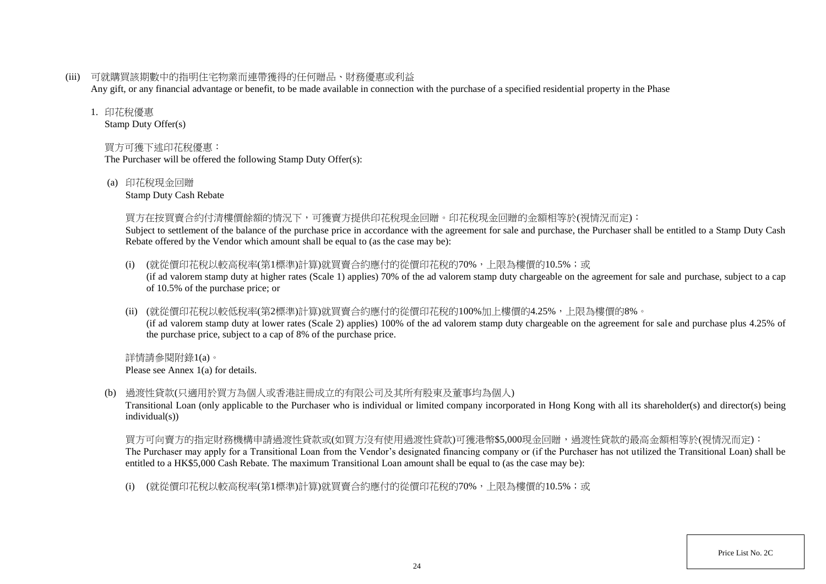(iii) 可就購買該期數中的指明住宅物業而連帶獲得的任何贈品、財務優惠或利益

Any gift, or any financial advantage or benefit, to be made available in connection with the purchase of a specified residential property in the Phase

### 1. 印花稅優惠

Stamp Duty Offer(s)

# 買方可獲下述印花稅優惠:

The Purchaser will be offered the following Stamp Duty Offer(s):

(a) 印花稅現金回贈

Stamp Duty Cash Rebate

### 買方在按買賣合約付清樓價餘額的情況下,可獲賣方提供印花稅現金回贈。印花稅現金回贈的金額相等於(視情況而定):

Subject to settlement of the balance of the purchase price in accordance with the agreement for sale and purchase, the Purchaser shall be entitled to a Stamp Duty Cash Rebate offered by the Vendor which amount shall be equal to (as the case may be):

- (i) (就從價印花稅以較高稅率(第1標準)計算)就買賣合約應付的從價印花稅的70%,上限為樓價的10.5%;或 (if ad valorem stamp duty at higher rates (Scale 1) applies) 70% of the ad valorem stamp duty chargeable on the agreement for sale and purchase, subject to a cap of 10.5% of the purchase price; or
- (ii) (就從價印花稅以較低稅率(第2標準)計算)就買賣合約應付的從價印花稅的100%加上樓價的4.25%,上限為樓價的8%。 (if ad valorem stamp duty at lower rates (Scale 2) applies) 100% of the ad valorem stamp duty chargeable on the agreement for sale and purchase plus 4.25% of the purchase price, subject to a cap of 8% of the purchase price.

詳情請參閱附錄1(a)。 Please see Annex 1(a) for details.

(b) 過渡性貸款(只適用於買方為個人或香港註冊成立的有限公司及其所有股東及董事均為個人)

Transitional Loan (only applicable to the Purchaser who is individual or limited company incorporated in Hong Kong with all its shareholder(s) and director(s) being individual(s))

買方可向賣方的指定財務機構申請過渡性貸款或(如買方沒有使用過渡性貸款)可獲港幣\$5,000現金回贈,過渡性貸款的最高金額相等於(視情況而定): The Purchaser may apply for a Transitional Loan from the Vendor's designated financing company or (if the Purchaser has not utilized the Transitional Loan) shall be entitled to a HK\$5,000 Cash Rebate. The maximum Transitional Loan amount shall be equal to (as the case may be):

(i) (就從價印花稅以較高稅率(第1標準)計算)就買賣合約應付的從價印花稅的70%,上限為樓價的10.5%;或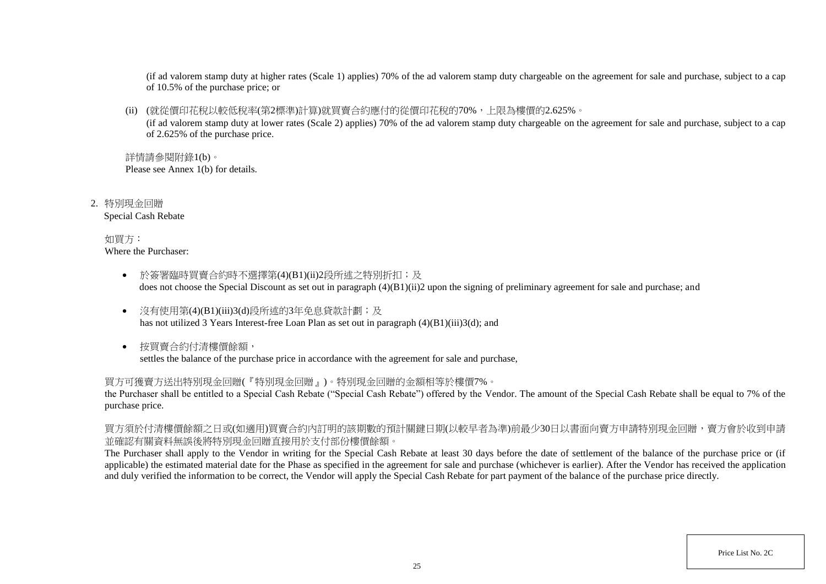(if ad valorem stamp duty at higher rates (Scale 1) applies) 70% of the ad valorem stamp duty chargeable on the agreement for sale and purchase, subject to a cap of 10.5% of the purchase price; or

(ii) (就從價印花稅以較低稅率(第2標準)計算)就買賣合約應付的從價印花稅的70%,上限為樓價的2.625%。

(if ad valorem stamp duty at lower rates (Scale 2) applies) 70% of the ad valorem stamp duty chargeable on the agreement for sale and purchase, subject to a cap of 2.625% of the purchase price.

詳情請參閱附錄1(b)。 Please see Annex 1(b) for details.

2. 特別現金回贈 Special Cash Rebate

> 如買方: Where the Purchaser:

- 於簽署臨時買賣合約時不選擇第(4)(B1)(ii)2段所述之特別折扣;及 does not choose the Special Discount as set out in paragraph (4)(B1)(ii)2 upon the signing of preliminary agreement for sale and purchase; and
- 沒有使用第(4)(B1)(iii)3(d)段所述的3年免息貸款計劃;及 has not utilized 3 Years Interest-free Loan Plan as set out in paragraph (4)(B1)(iii)3(d); and
- 按買賣合約付清樓價餘額, settles the balance of the purchase price in accordance with the agreement for sale and purchase,

買方可獲賣方送出特別現金回贈(『特別現金回贈』)。特別現金回贈的金額相等於樓價7%。

the Purchaser shall be entitled to a Special Cash Rebate ("Special Cash Rebate") offered by the Vendor. The amount of the Special Cash Rebate shall be equal to 7% of the purchase price.

買方須於付清樓價餘額之日或(如適用)買賣合約內訂明的該期數的預計關鍵日期(以較早者為準)前最少30日以書面向賣方申請特別現金回贈,賣方會於收到申請 並確認有關資料無誤後將特別現金回贈直接用於支付部份樓價餘額。

The Purchaser shall apply to the Vendor in writing for the Special Cash Rebate at least 30 days before the date of settlement of the balance of the purchase price or (if applicable) the estimated material date for the Phase as specified in the agreement for sale and purchase (whichever is earlier). After the Vendor has received the application and duly verified the information to be correct, the Vendor will apply the Special Cash Rebate for part payment of the balance of the purchase price directly.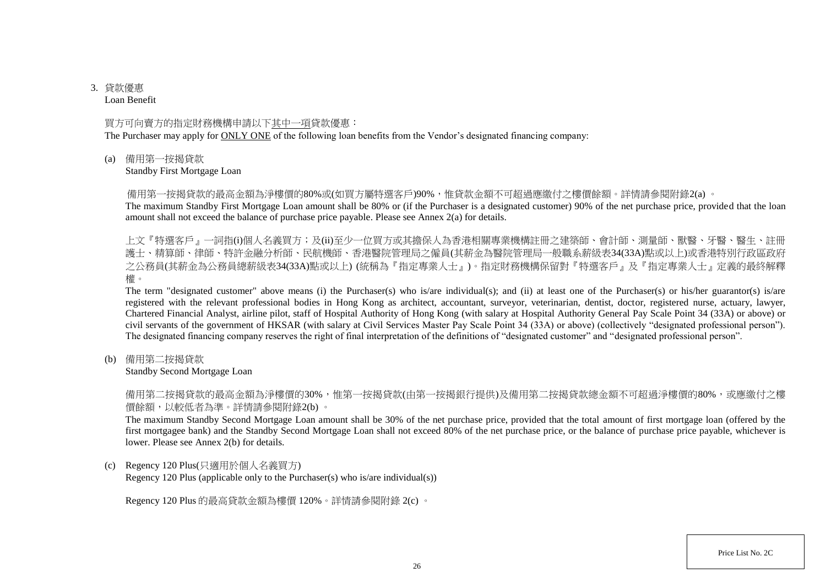# 3. 貸款優惠

Loan Benefit

### 買方可向賣方的指定財務機構申請以下其中一項貸款優惠:

The Purchaser may apply for ONLY ONE of the following loan benefits from the Vendor's designated financing company:

(a) 備用第一按揭貸款

Standby First Mortgage Loan

備用第一按揭貸款的最高金額為淨樓價的80%或(如買方屬特選客戶)90%,惟貸款金額不可超過應繳付之樓價餘額。詳情請參閱附錄2(a) 。

The maximum Standby First Mortgage Loan amount shall be 80% or (if the Purchaser is a designated customer) 90% of the net purchase price, provided that the loan amount shall not exceed the balance of purchase price payable. Please see Annex 2(a) for details.

上文『特選客戶』一詞指(i)個人名義買方;及(ii)至少一位買方或其擔保人為香港相關專業機構註冊之建築師、會計師、測量師、獸醫、牙醫、醫生、註冊 護士、精算師、律師、特許金融分析師、民航機師、香港醫院管理局之僱員(其薪金為醫院管理局一般職系薪級表34(33A)點或以上)或香港特別行政區政府 之公務員(其薪金為公務員總薪級表34(33A)點或以上) (統稱為『指定專業人士』)。指定財務機構保留對『特選客戶』及『指定專業人士』定義的最終解釋 權。

The term "designated customer" above means (i) the Purchaser(s) who is/are individual(s); and (ii) at least one of the Purchaser(s) or his/her guarantor(s) is/are registered with the relevant professional bodies in Hong Kong as architect, accountant, surveyor, veterinarian, dentist, doctor, registered nurse, actuary, lawyer, Chartered Financial Analyst, airline pilot, staff of Hospital Authority of Hong Kong (with salary at Hospital Authority General Pay Scale Point 34 (33A) or above) or civil servants of the government of HKSAR (with salary at Civil Services Master Pay Scale Point 34 (33A) or above) (collectively "designated professional person"). The designated financing company reserves the right of final interpretation of the definitions of "designated customer" and "designated professional person".

(b) 備用第二按揭貸款

Standby Second Mortgage Loan

備用第二按揭貸款的最高金額為淨樓價的30%,惟第一按揭貸款(由第一按揭銀行提供)及備用第二按揭貸款總金額不可超過淨樓價的80%,或應繳付之樓 價餘額,以較低者為準。詳情請參閱附錄2(b) 。

The maximum Standby Second Mortgage Loan amount shall be 30% of the net purchase price, provided that the total amount of first mortgage loan (offered by the first mortgagee bank) and the Standby Second Mortgage Loan shall not exceed 80% of the net purchase price, or the balance of purchase price payable, whichever is lower. Please see Annex 2(b) for details.

(c) Regency 120 Plus(只適用於個人名義買方)

Regency 120 Plus (applicable only to the Purchaser(s) who is/are individual(s))

Regency 120 Plus 的最高貸款金額為樓價 120%。詳情請參閱附錄 2(c) 。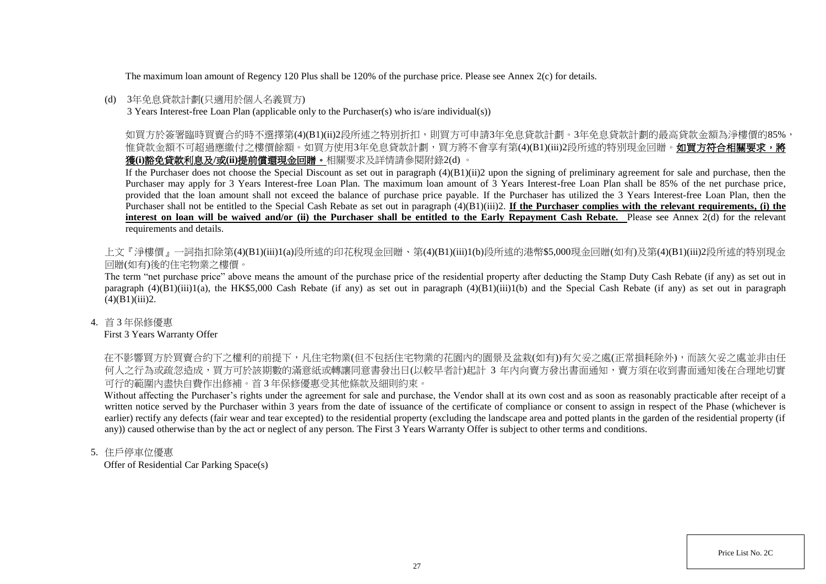The maximum loan amount of Regency 120 Plus shall be 120% of the purchase price. Please see Annex 2(c) for details.

### (d) 3年免息貸款計劃(只適用於個人名義買方)

3 Years Interest-free Loan Plan (applicable only to the Purchaser(s) who is/are individual(s))

如買方於簽署臨時買賣合約時不選擇第(4)(B1)(ii)2段所述之特別折扣,則買方可申請3年免息貸款計劃。3年免息貸款計劃的最高貸款金額為淨樓價的85%, 惟貸款金額不可超過應繳付之樓價餘額。如買方使用3年免息貸款計劃,買方將不會享有第(4)(B1)(iii)2段所述的特別現金回贈。**如買方符合相關要求,將** 獲**(i)**豁免貸款利息及**/**或**(ii)**提前償還現金回贈。相關要求及詳情請參閱附錄2(d) 。

If the Purchaser does not choose the Special Discount as set out in paragraph  $(4)(B1)(ii)2$  upon the signing of preliminary agreement for sale and purchase, then the Purchaser may apply for 3 Years Interest-free Loan Plan. The maximum loan amount of 3 Years Interest-free Loan Plan shall be 85% of the net purchase price, provided that the loan amount shall not exceed the balance of purchase price payable. If the Purchaser has utilized the 3 Years Interest-free Loan Plan, then the Purchaser shall not be entitled to the Special Cash Rebate as set out in paragraph (4)(B1)(iii)2. **If the Purchaser complies with the relevant requirements, (i) the interest on loan will be waived and/or (ii) the Purchaser shall be entitled to the Early Repayment Cash Rebate.** Please see Annex 2(d) for the relevant requirements and details.

上文『淨樓價』一詞指扣除第(4)(B1)(iii)1(a)段所述的印花稅現金回贈、第(4)(B1)(iii)1(b)段所述的港幣\$5,000現金回贈(如有)及第(4)(B1)(iii)2段所述的特別現金 回贈(如有)後的住宅物業之樓價。

The term "net purchase price" above means the amount of the purchase price of the residential property after deducting the Stamp Duty Cash Rebate (if any) as set out in paragraph  $(4)(B1)(iii)1(a)$ , the HK\$5,000 Cash Rebate (if any) as set out in paragraph  $(4)(B1)(iii)1(b)$  and the Special Cash Rebate (if any) as set out in paragraph  $(4)(B1)(iii)2.$ 

4. 首 3 年保修優惠

First 3 Years Warranty Offer

在不影響買方於買賣合約下之權利的前提下,凡住宅物業(但不包括住宅物業的花園內的園景及盆栽(如有))有欠妥之處(正常損耗除外),而該欠妥之處並非由任 何人之行為或疏忽造成,買方可於該期數的滿意紙或轉讓同意書發出日(以較早者計)起計 3 年内向賣方發出書面通知,賣方須在收到書面通知後在合理地切實 可行的範圍內盡快自費作出修補。首 3 年保修優惠受其他條款及細則約束。

Without affecting the Purchaser's rights under the agreement for sale and purchase, the Vendor shall at its own cost and as soon as reasonably practicable after receipt of a written notice served by the Purchaser within 3 years from the date of issuance of the certificate of compliance or consent to assign in respect of the Phase (whichever is earlier) rectify any defects (fair wear and tear excepted) to the residential property (excluding the landscape area and potted plants in the garden of the residential property (if any)) caused otherwise than by the act or neglect of any person. The First 3 Years Warranty Offer is subject to other terms and conditions.

5. 住戶停車位優惠

Offer of Residential Car Parking Space(s)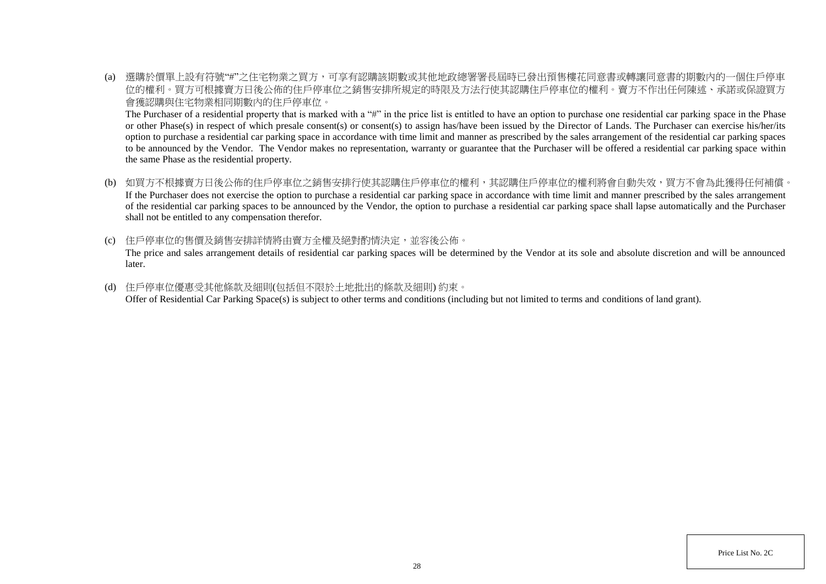(a) 選購於價單上設有符號"#"之住宅物業之買方,可享有認購該期數或其他地政總署署長屆時已發出預售樓花同意書或轉讓同意書的期數內的一個住戶停車 位的權利。買方可根據賣方日後公佈的住戶停車位之銷售安排所規定的時限及方法行使其認購住戶停車位的權利。賣方不作出任何陳述、承諾或保證買方 會獲認購與住宅物業相同期數內的住戶停車位。

The Purchaser of a residential property that is marked with a "#" in the price list is entitled to have an option to purchase one residential car parking space in the Phase or other Phase(s) in respect of which presale consent(s) or consent(s) to assign has/have been issued by the Director of Lands. The Purchaser can exercise his/her/its option to purchase a residential car parking space in accordance with time limit and manner as prescribed by the sales arrangement of the residential car parking spaces to be announced by the Vendor. The Vendor makes no representation, warranty or guarantee that the Purchaser will be offered a residential car parking space within the same Phase as the residential property.

- (b) 如買方不根據賣方日後公佈的住戶停車位之銷售安排行使其認購住戶停車位的權利,其認購住戶停車位的權利將會自動失效,買方不會為此獲得任何補償。 If the Purchaser does not exercise the option to purchase a residential car parking space in accordance with time limit and manner prescribed by the sales arrangement of the residential car parking spaces to be announced by the Vendor, the option to purchase a residential car parking space shall lapse automatically and the Purchaser shall not be entitled to any compensation therefor.
- (c) 住戶停車位的售價及銷售安排詳情將由賣方全權及絕對酌情決定,並容後公佈。 The price and sales arrangement details of residential car parking spaces will be determined by the Vendor at its sole and absolute discretion and will be announced later.
- (d) 住戶停車位優惠受其他條款及細則(包括但不限於土地批出的條款及細則) 約束。 Offer of Residential Car Parking Space(s) is subject to other terms and conditions (including but not limited to terms and conditions of land grant).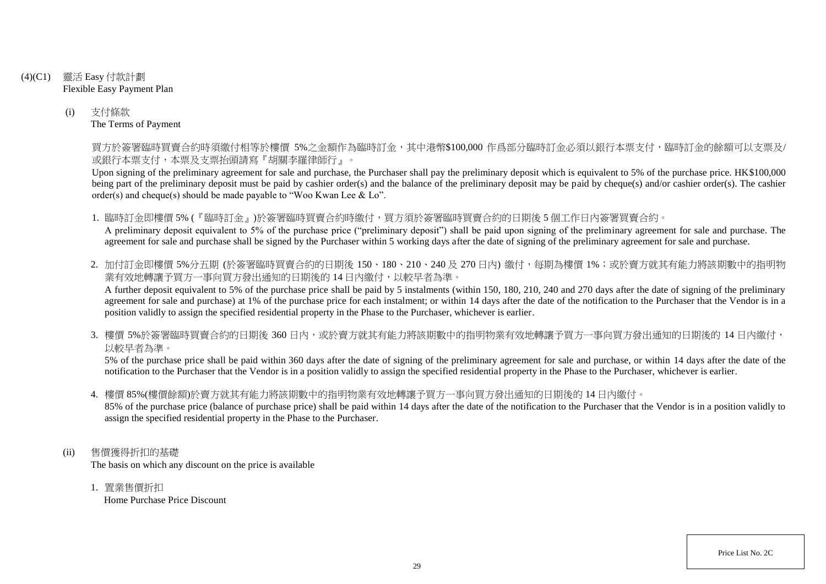- (4)(C1) 靈活 Easy 付款計劃 Flexible Easy Payment Plan
	- (i) 支付條款 The Terms of Payment

買方於簽署臨時買賣合約時須繳付相等於樓價 5%之金額作為臨時訂金,其中港幣\$100,000 作爲部分臨時訂金必須以銀行本票支付,臨時訂金的餘額可以支票及/ 或銀行本票支付,本票及支票抬頭請寫『胡關李羅律師行』。

Upon signing of the preliminary agreement for sale and purchase, the Purchaser shall pay the preliminary deposit which is equivalent to 5% of the purchase price. HK\$100,000 being part of the preliminary deposit must be paid by cashier order(s) and the balance of the preliminary deposit may be paid by cheque(s) and/or cashier order(s). The cashier order(s) and cheque(s) should be made payable to "Woo Kwan Lee & Lo".

1. 臨時訂金即樓價 5% (『臨時訂金』)於簽署臨時買賣合約時繳付,買方須於簽署臨時買賣合約的日期後 5 個工作日內簽署買賣合約。 A preliminary deposit equivalent to 5% of the purchase price ("preliminary deposit") shall be paid upon signing of the preliminary agreement for sale and purchase. The agreement for sale and purchase shall be signed by the Purchaser within 5 working days after the date of signing of the preliminary agreement for sale and purchase.

2. 加付訂金即樓價 5%分五期 (於簽署臨時買賣合約的日期後 150、180、210、240及 270日內) 繳付, 每期為樓價 1%; 或於賣方就其有能力將該期數中的指明物 業有效地轉讓予買方一事向買方發出通知的日期後的14日內繳付,以較早者為準。

A further deposit equivalent to 5% of the purchase price shall be paid by 5 instalments (within 150, 180, 210, 240 and 270 days after the date of signing of the preliminary agreement for sale and purchase) at 1% of the purchase price for each instalment; or within 14 days after the date of the notification to the Purchaser that the Vendor is in a position validly to assign the specified residential property in the Phase to the Purchaser, whichever is earlier.

3. 樓價 5%於簽署臨時買賣合約的日期後 360 日内,或於賣方就其有能力將該期數中的指明物業有效地轉讓予買方一事向買方發出通知的日期後的 14 日內繳付, 以較早者為準。

5% of the purchase price shall be paid within 360 days after the date of signing of the preliminary agreement for sale and purchase, or within 14 days after the date of the notification to the Purchaser that the Vendor is in a position validly to assign the specified residential property in the Phase to the Purchaser, whichever is earlier.

4. 樓價 85%(樓價餘額)於賣方就其有能力將該期數中的指明物業有效地轉讓予買方一事向買方發出通知的日期後的 14 日內繳付。

85% of the purchase price (balance of purchase price) shall be paid within 14 days after the date of the notification to the Purchaser that the Vendor is in a position validly to assign the specified residential property in the Phase to the Purchaser.

- (ii) 售價獲得折扣的基礎 The basis on which any discount on the price is available
	- 1. 置業售價折扣 Home Purchase Price Discount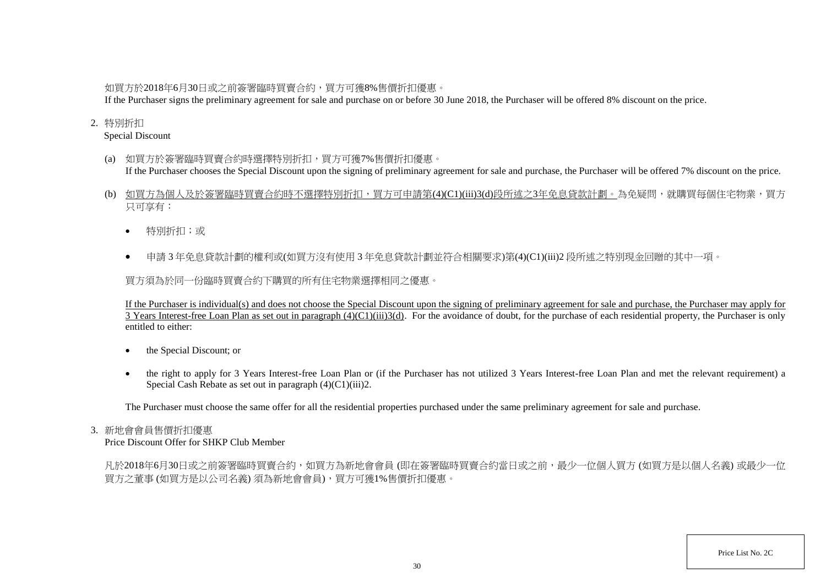## 如買方於2018年6月30日或之前簽署臨時買賣合約,買方可獲8%售價折扣優惠。

If the Purchaser signs the preliminary agreement for sale and purchase on or before 30 June 2018, the Purchaser will be offered 8% discount on the price.

## 2. 特別折扣

Special Discount

- (a) 如買方於簽署臨時買賣合約時選擇特別折扣,買方可獲7%售價折扣優惠。 If the Purchaser chooses the Special Discount upon the signing of preliminary agreement for sale and purchase, the Purchaser will be offered 7% discount on the price.
- (b) 如買方為個人及於簽署臨時買賣合約時不選擇特別折扣,買方可申請第(4)(C1)(iii)3(d)段所述之3年免息貸款計劃。為免疑問,就購買每個住宅物業,買方 只可享有:
	- 特別折扣;或
	- 申請 3 年免息貸款計劃的權利或(如買方沒有使用 3 年免息貸款計劃並符合相關要求)第(4)(C1)(iii)2 段所述之特別現金回贈的其中一項。

買方須為於同一份臨時買賣合約下購買的所有住宅物業選擇相同之優惠。

If the Purchaser is individual(s) and does not choose the Special Discount upon the signing of preliminary agreement for sale and purchase, the Purchaser may apply for 3 Years Interest-free Loan Plan as set out in paragraph  $(4)(C1)(iii)3(d)$ . For the avoidance of doubt, for the purchase of each residential property, the Purchaser is only entitled to either:

- the Special Discount; or
- the right to apply for 3 Years Interest-free Loan Plan or (if the Purchaser has not utilized 3 Years Interest-free Loan Plan and met the relevant requirement) a Special Cash Rebate as set out in paragraph (4)(C1)(iii)2.

The Purchaser must choose the same offer for all the residential properties purchased under the same preliminary agreement for sale and purchase.

### 3. 新地會會員售價折扣優惠

Price Discount Offer for SHKP Club Member

凡於2018年6月30日或之前簽署臨時買賣合約,如買方為新地會會員 (即在簽署臨時買賣合約當日或之前,最少一位個人買方 (如買方是以個人名義) 或最少一位 買方之董事 (如買方是以公司名義) 須為新地會會員),買方可獲1%售價折扣優惠。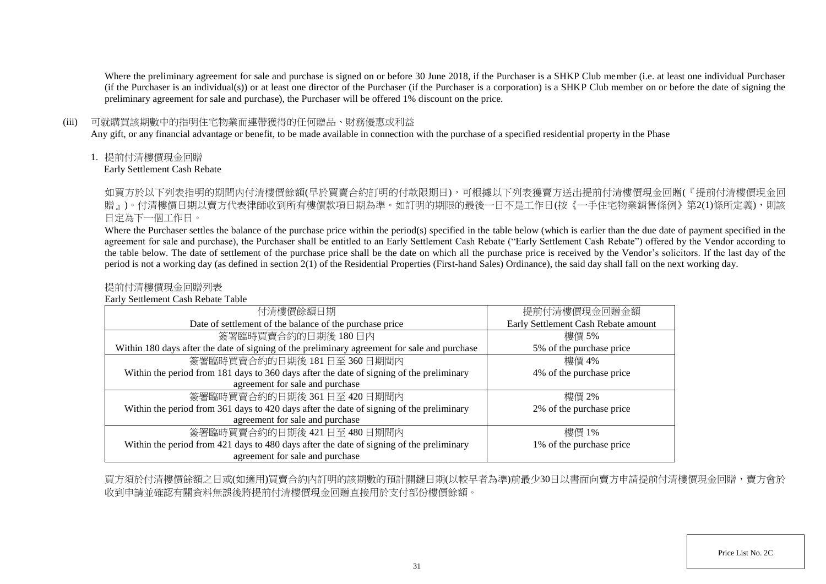Where the preliminary agreement for sale and purchase is signed on or before 30 June 2018, if the Purchaser is a SHKP Club member (i.e. at least one individual Purchaser (if the Purchaser is an individual(s)) or at least one director of the Purchaser (if the Purchaser is a corporation) is a SHKP Club member on or before the date of signing the preliminary agreement for sale and purchase), the Purchaser will be offered 1% discount on the price.

### (iii) 可就購買該期數中的指明住宅物業而連帶獲得的任何贈品、財務優惠或利益

Any gift, or any financial advantage or benefit, to be made available in connection with the purchase of a specified residential property in the Phase

1. 提前付清樓價現金回贈

Early Settlement Cash Rebate

如買方於以下列表指明的期間内付清樓價餘額(早於買賣合約訂明的付款限期日),可根據以下列表獲賣方送出提前付清樓價現金回贈(『提前付清樓價現金回 贈」)。付清樓價日期以賣方代表律師收到所有樓價款項日期為準。如訂明的期限的最後一日不是工作日(按《一手住宅物業銷售條例》第2(1)條所定義),則該 日定為下一個工作日。

Where the Purchaser settles the balance of the purchase price within the period(s) specified in the table below (which is earlier than the due date of payment specified in the agreement for sale and purchase), the Purchaser shall be entitled to an Early Settlement Cash Rebate ("Early Settlement Cash Rebate") offered by the Vendor according to the table below. The date of settlement of the purchase price shall be the date on which all the purchase price is received by the Vendor's solicitors. If the last day of the period is not a working day (as defined in section 2(1) of the Residential Properties (First-hand Sales) Ordinance), the said day shall fall on the next working day.

## 提前付清樓價現金回贈列表

Early Settlement Cash Rebate Table

| 付清樓價餘額日期                                                                                     | 提前付清樓價現金回贈金額                        |
|----------------------------------------------------------------------------------------------|-------------------------------------|
| Date of settlement of the balance of the purchase price                                      | Early Settlement Cash Rebate amount |
| 簽署臨時買賣合約的日期後180日內                                                                            | 樓價 5%                               |
| Within 180 days after the date of signing of the preliminary agreement for sale and purchase | 5% of the purchase price            |
| 簽署臨時買賣合約的日期後 181日至360日期間內                                                                    | 樓價 4%                               |
| Within the period from 181 days to 360 days after the date of signing of the preliminary     | 4% of the purchase price            |
| agreement for sale and purchase                                                              |                                     |
| 簽署臨時買賣合約的日期後 361日至 420日期間內                                                                   | 樓價 2%                               |
| Within the period from 361 days to 420 days after the date of signing of the preliminary     | 2% of the purchase price            |
| agreement for sale and purchase                                                              |                                     |
| 簽署臨時買賣合約的日期後 421日至 480日期間內                                                                   | 樓價 1%                               |
| Within the period from 421 days to 480 days after the date of signing of the preliminary     | 1% of the purchase price            |
| agreement for sale and purchase                                                              |                                     |

買方須於付清樓價餘額之日或(如適用)買賣合約內訂明的該期數的預計關鍵日期(以較早者為準)前最少30日以書面向賣方申請提前付清樓價現金回贈,賣方會於 收到申請並確認有關資料無誤後將提前付清樓價現金回贈直接用於支付部份樓價餘額。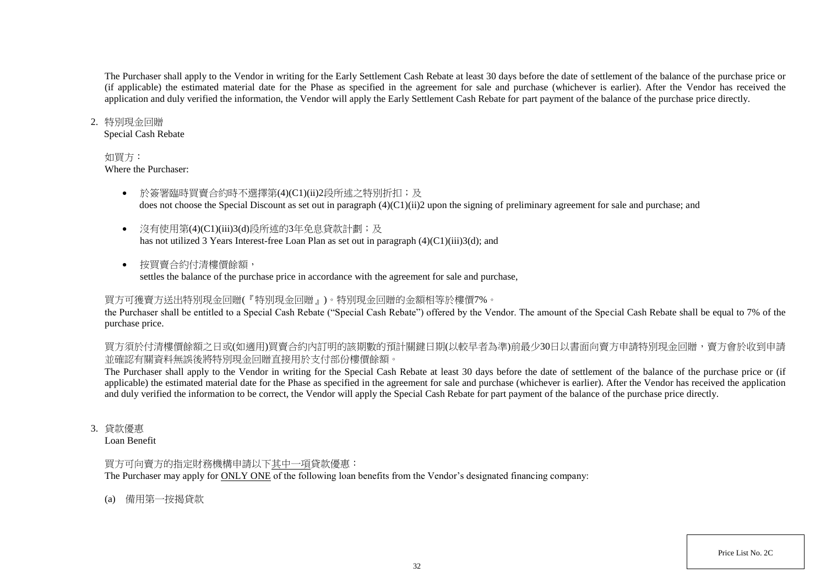The Purchaser shall apply to the Vendor in writing for the Early Settlement Cash Rebate at least 30 days before the date of settlement of the balance of the purchase price or (if applicable) the estimated material date for the Phase as specified in the agreement for sale and purchase (whichever is earlier). After the Vendor has received the application and duly verified the information, the Vendor will apply the Early Settlement Cash Rebate for part payment of the balance of the purchase price directly.

### 2. 特別現金回贈

Special Cash Rebate

### 如買方:

Where the Purchaser:

- 於簽署臨時買賣合約時不選擇第(4)(C1)(ii)2段所述之特別折扣;及 does not choose the Special Discount as set out in paragraph (4)(C1)(ii)2 upon the signing of preliminary agreement for sale and purchase; and
- 沒有使用第(4)(C1)(iii)3(d)段所述的3年免息貸款計劃;及 has not utilized 3 Years Interest-free Loan Plan as set out in paragraph (4)(C1)(iii)3(d); and
- 按買賣合約付清樓價餘額, settles the balance of the purchase price in accordance with the agreement for sale and purchase,

## 買方可獲賣方送出特別現金回贈(『特別現金回贈』)。特別現金回贈的金額相等於樓價7%。

the Purchaser shall be entitled to a Special Cash Rebate ("Special Cash Rebate") offered by the Vendor. The amount of the Special Cash Rebate shall be equal to 7% of the purchase price.

買方須於付清樓價餘額之日或(如適用)買賣合約內訂明的該期數的預計關鍵日期(以較早者為準)前最少30日以書面向賣方申請特別現金回贈,賣方會於收到申請 並確認有關資料無誤後將特別現金回贈直接用於支付部份樓價餘額。

The Purchaser shall apply to the Vendor in writing for the Special Cash Rebate at least 30 days before the date of settlement of the balance of the purchase price or (if applicable) the estimated material date for the Phase as specified in the agreement for sale and purchase (whichever is earlier). After the Vendor has received the application and duly verified the information to be correct, the Vendor will apply the Special Cash Rebate for part payment of the balance of the purchase price directly.

3. 貸款優惠

Loan Benefit

## 買方可向賣方的指定財務機構申請以下其中一項貸款優惠:

The Purchaser may apply for ONLY ONE of the following loan benefits from the Vendor's designated financing company:

(a) 備用第一按揭貸款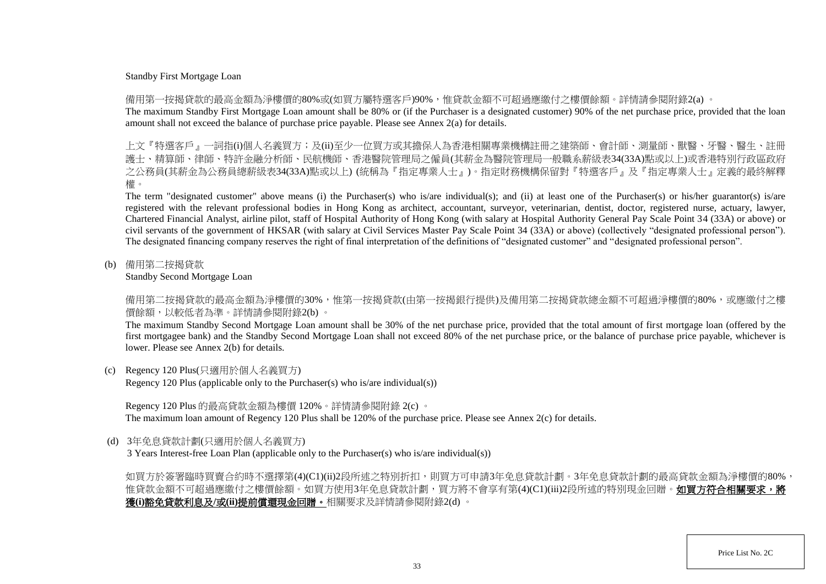#### Standby First Mortgage Loan

備用第一按揭貸款的最高金額為淨樓價的80%或(如買方屬特選客戶)90%,惟貸款金額不可超過應繳付之樓價餘額。詳情請參閱附錄2(a) 。

The maximum Standby First Mortgage Loan amount shall be 80% or (if the Purchaser is a designated customer) 90% of the net purchase price, provided that the loan amount shall not exceed the balance of purchase price payable. Please see Annex 2(a) for details.

上文『特選客戶』一詞指(i)個人名義買方;及(ii)至少一位買方或其擔保人為香港相關專業機構註冊之建築師、會計師、測量師、獸醫、牙醫、醫生、 護士、精算師、律師、特許金融分析師、民航機師、香港醫院管理局之僱員(其薪金為醫院管理局一般職系薪級表34(33A)點或以上)或香港特別行政區政府 之公務員(其薪金為公務員總薪級表34(33A)點或以上) (統稱為『指定專業人士』)。指定財務機構保留對『特選客戶』及『指定專業人士』定義的最終解釋 權。

The term "designated customer" above means (i) the Purchaser(s) who is/are individual(s); and (ii) at least one of the Purchaser(s) or his/her guarantor(s) is/are registered with the relevant professional bodies in Hong Kong as architect, accountant, surveyor, veterinarian, dentist, doctor, registered nurse, actuary, lawyer, Chartered Financial Analyst, airline pilot, staff of Hospital Authority of Hong Kong (with salary at Hospital Authority General Pay Scale Point 34 (33A) or above) or civil servants of the government of HKSAR (with salary at Civil Services Master Pay Scale Point 34 (33A) or above) (collectively "designated professional person"). The designated financing company reserves the right of final interpretation of the definitions of "designated customer" and "designated professional person".

(b) 備用第二按揭貸款

Standby Second Mortgage Loan

備用第二按揭貸款的最高金額為淨樓價的30%,惟第一按揭貸款(由第一按揭銀行提供)及備用第二按揭貸款總金額不可超過淨樓價的80%,或應繳付之樓 價餘額,以較低者為準。詳情請參閱附錄2(b) 。

The maximum Standby Second Mortgage Loan amount shall be 30% of the net purchase price, provided that the total amount of first mortgage loan (offered by the first mortgagee bank) and the Standby Second Mortgage Loan shall not exceed 80% of the net purchase price, or the balance of purchase price payable, whichever is lower. Please see Annex 2(b) for details.

(c) Regency 120 Plus(只適用於個人名義買方)

Regency 120 Plus (applicable only to the Purchaser(s) who is/are individual(s))

Regency 120 Plus 的最高貸款金額為樓價 120%。詳情請參閱附錄 2(c) 。 The maximum loan amount of Regency 120 Plus shall be 120% of the purchase price. Please see Annex 2(c) for details.

(d) 3年免息貸款計劃(只適用於個人名義買方)

3 Years Interest-free Loan Plan (applicable only to the Purchaser(s) who is/are individual(s))

如買方於簽署臨時買賣合約時不選擇第(4)(C1)(ii)2段所述之特別折扣,則買方可申請3年免息貸款計劃。3年免息貸款計劃的最高貸款金額為淨樓價的80%, 惟貸款金額不可超過應繳付之樓價餘額。如買方使用3年免息貸款計劃,買方將不會享有第(4)(C1)(iii)2段所述的特別現金回贈。**如買方符合相關要求,將** 獲**(i)**豁免貸款利息及**/**或**(ii)**提前償還現金回贈。相關要求及詳情請參閱附錄2(d) 。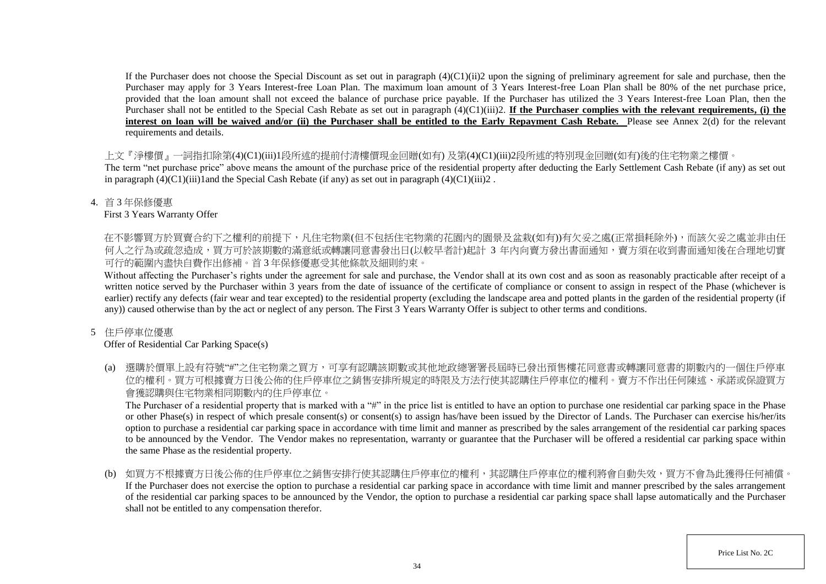If the Purchaser does not choose the Special Discount as set out in paragraph  $(4)(C1)(ii)$  upon the signing of preliminary agreement for sale and purchase, then the Purchaser may apply for 3 Years Interest-free Loan Plan. The maximum loan amount of 3 Years Interest-free Loan Plan shall be 80% of the net purchase price, provided that the loan amount shall not exceed the balance of purchase price payable. If the Purchaser has utilized the 3 Years Interest-free Loan Plan, then the Purchaser shall not be entitled to the Special Cash Rebate as set out in paragraph (4)(C1)(iii)2. **If the Purchaser complies with the relevant requirements, (i) the** interest on loan will be waived and/or (ii) the Purchaser shall be entitled to the Early Repayment Cash Rebate. Please see Annex 2(d) for the relevant requirements and details.

上文『淨樓價』一詞指扣除第(4)(C1)(iii)1段所述的提前付清樓價現金回贈(如有) 及第(4)(C1)(iii)2段所述的特別現金回贈(如有)後的住宅物業之樓價。

The term "net purchase price" above means the amount of the purchase price of the residential property after deducting the Early Settlement Cash Rebate (if any) as set out in paragraph  $(4)(C1)(iii)1$  and the Special Cash Rebate (if any) as set out in paragraph  $(4)(C1)(iii)2$ .

4. 首 3 年保修優惠

First 3 Years Warranty Offer

在不影響買方於買賣合約下之權利的前提下,凡住宅物業(但不包括住宅物業的花園内的園景及盆栽(如有))有欠妥之處(正常損耗除外),而該欠妥之處並非由任 何人之行為或疏忽造成,買方可於該期數的滿意紙或轉讓同意書發出日(以較早者計)起計 3 年内向賣方發出書面通知,賣方須在收到書面通知後在合理地切實 可行的範圍內盡快自費作出修補。首 3 年保修優惠受其他條款及細則約束。

Without affecting the Purchaser's rights under the agreement for sale and purchase, the Vendor shall at its own cost and as soon as reasonably practicable after receipt of a written notice served by the Purchaser within 3 years from the date of issuance of the certificate of compliance or consent to assign in respect of the Phase (whichever is earlier) rectify any defects (fair wear and tear excepted) to the residential property (excluding the landscape area and potted plants in the garden of the residential property (if any)) caused otherwise than by the act or neglect of any person. The First 3 Years Warranty Offer is subject to other terms and conditions.

## 5 住戶停車位優惠

## Offer of Residential Car Parking Space(s)

(a) 選購於價單上設有符號"#"之住宅物業之買方,可享有認購該期數或其他地政總署署長屆時已發出預售樓花同意書或轉讓同意書的期數內的一個住戶停車 位的權利。買方可根據賣方日後公佈的住戶停車位之銷售安排所規定的時限及方法行使其認購住戶停車位的權利。賣方不作出任何陳述、承諾或保證買方 會獲認購與住宅物業相同期數內的住戶停車位。

The Purchaser of a residential property that is marked with a "#" in the price list is entitled to have an option to purchase one residential car parking space in the Phase or other Phase(s) in respect of which presale consent(s) or consent(s) to assign has/have been issued by the Director of Lands. The Purchaser can exercise his/her/its option to purchase a residential car parking space in accordance with time limit and manner as prescribed by the sales arrangement of the residential car parking spaces to be announced by the Vendor. The Vendor makes no representation, warranty or guarantee that the Purchaser will be offered a residential car parking space within the same Phase as the residential property.

(b) 如買方不根據賣方日後公佈的住戶停車位之銷售安排行使其認購住戶停車位的權利,其認購住戶停車位的權利將會自動失效,買方不會為此獲得任何補償。 If the Purchaser does not exercise the option to purchase a residential car parking space in accordance with time limit and manner prescribed by the sales arrangement of the residential car parking spaces to be announced by the Vendor, the option to purchase a residential car parking space shall lapse automatically and the Purchaser shall not be entitled to any compensation therefor.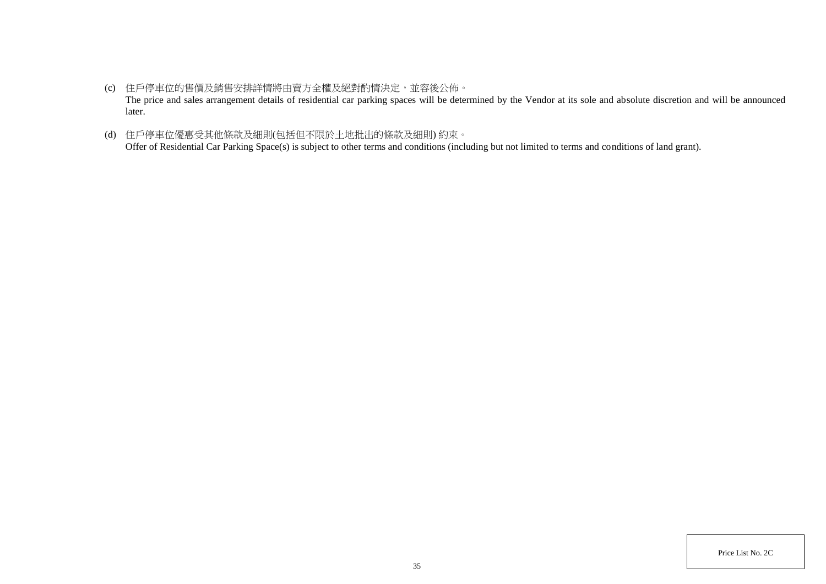- (c) 住戶停車位的售價及銷售安排詳情將由賣方全權及絕對酌情決定,並容後公佈。 The price and sales arrangement details of residential car parking spaces will be determined by the Vendor at its sole and absolute discretion and will be announced later.
- (d) 住戶停車位優惠受其他條款及細則(包括但不限於土地批出的條款及細則) 約束。 Offer of Residential Car Parking Space(s) is subject to other terms and conditions (including but not limited to terms and conditions of land grant).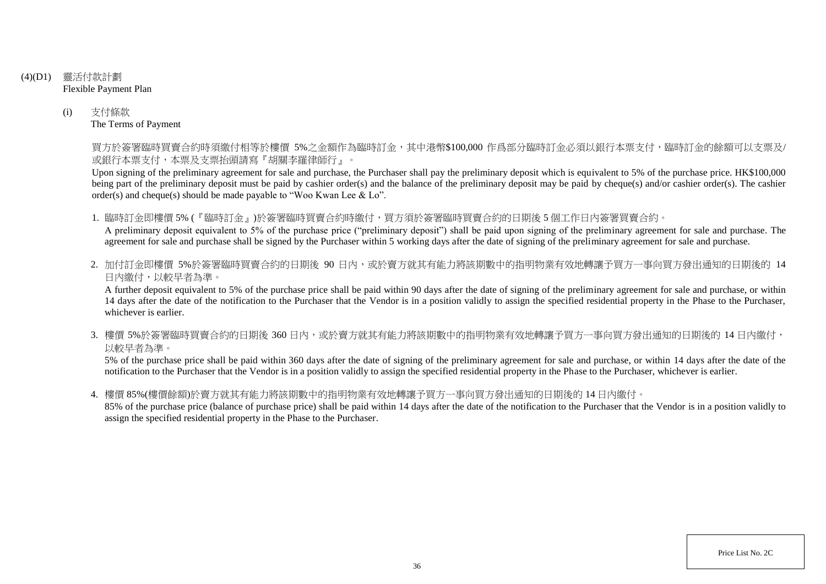- (4)(D1) 靈活付款計劃 Flexible Payment Plan
	- (i) 支付條款 The Terms of Payment

買方於簽署臨時買賣合約時須繳付相等於樓價 5%之金額作為臨時訂金,其中港幣\$100,000 作爲部分臨時訂金必須以銀行本票支付,臨時訂金的餘額可以支票及/ 或銀行本票支付,本票及支票抬頭請寫『胡關李羅律師行』。

Upon signing of the preliminary agreement for sale and purchase, the Purchaser shall pay the preliminary deposit which is equivalent to 5% of the purchase price. HK\$100,000 being part of the preliminary deposit must be paid by cashier order(s) and the balance of the preliminary deposit may be paid by cheque(s) and/or cashier order(s). The cashier order(s) and cheque(s) should be made payable to "Woo Kwan Lee & Lo".

1. 臨時訂金即樓價 5% (『臨時訂金』)於簽署臨時買賣合約時繳付,買方須於簽署臨時買賣合約的日期後 5 個工作日內簽署買賣合約。

A preliminary deposit equivalent to 5% of the purchase price ("preliminary deposit") shall be paid upon signing of the preliminary agreement for sale and purchase. The agreement for sale and purchase shall be signed by the Purchaser within 5 working days after the date of signing of the preliminary agreement for sale and purchase.

2. 加付訂金即樓價 5%於簽署臨時買賣合約的日期後 90 日内,或於賣方就其有能力將該期數中的指明物業有效地轉讓予買方一事向買方發出通知的日期後的 14 日內繳付,以較早者為準。

A further deposit equivalent to 5% of the purchase price shall be paid within 90 days after the date of signing of the preliminary agreement for sale and purchase, or within 14 days after the date of the notification to the Purchaser that the Vendor is in a position validly to assign the specified residential property in the Phase to the Purchaser, whichever is earlier.

3. 樓價 5%於簽署臨時買賣合約的日期後 360 日内,或於賣方就其有能力將該期數中的指明物業有效地轉讓予買方一事向買方發出通知的日期後的 14 日內繳付, 以較早者為準。

5% of the purchase price shall be paid within 360 days after the date of signing of the preliminary agreement for sale and purchase, or within 14 days after the date of the notification to the Purchaser that the Vendor is in a position validly to assign the specified residential property in the Phase to the Purchaser, whichever is earlier.

4. 樓價 85%(樓價餘額)於賣方就其有能力將該期數中的指明物業有效地轉讓予買方一事向買方發出通知的日期後的 14 日內繳付。

85% of the purchase price (balance of purchase price) shall be paid within 14 days after the date of the notification to the Purchaser that the Vendor is in a position validly to assign the specified residential property in the Phase to the Purchaser.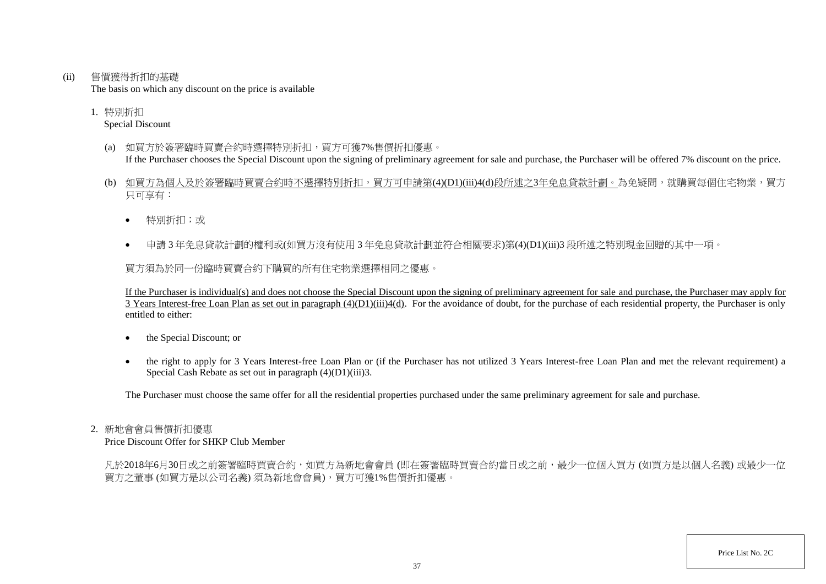(ii) 售價獲得折扣的基礎

The basis on which any discount on the price is available

1. 特別折扣 Special Discount

- (a) 如買方於簽署臨時買賣合約時選擇特別折扣,買方可獲7%售價折扣優惠。 If the Purchaser chooses the Special Discount upon the signing of preliminary agreement for sale and purchase, the Purchaser will be offered 7% discount on the price.
- (b) 如買方為個人及於簽署臨時買賣合約時不選擇特別折扣,買方可申請第(4)(D1)(iii)4(d)段所述之3年免息貸款計劃。為免疑問,就購買每個住宅物業,買方 只可享有:
	- 特別折扣;或
	- 申請 3 年免息貸款計劃的權利或(如買方沒有使用 3 年免息貸款計劃並符合相關要求)第(4)(D1)(iii)3 段所述之特別現金回贈的其中一項。

買方須為於同一份臨時買賣合約下購買的所有住宅物業選擇相同之優惠。

If the Purchaser is individual(s) and does not choose the Special Discount upon the signing of preliminary agreement for sale and purchase, the Purchaser may apply for  $\overline{3}$  Years Interest-free Loan Plan as set out in paragraph  $(4)(D1)(iii)4(d)$ . For the avoidance of doubt, for the purchase of each residential property, the Purchaser is only entitled to either:

- the Special Discount; or
- the right to apply for 3 Years Interest-free Loan Plan or (if the Purchaser has not utilized 3 Years Interest-free Loan Plan and met the relevant requirement) a Special Cash Rebate as set out in paragraph (4)(D1)(iii)3.

The Purchaser must choose the same offer for all the residential properties purchased under the same preliminary agreement for sale and purchase.

#### 2. 新地會會員售價折扣優惠

Price Discount Offer for SHKP Club Member

凡於2018年6月30日或之前簽署臨時買賣合約,如買方為新地會會員 (即在簽署臨時買賣合約當日或之前,最少一位個人買方 (如買方是以個人名義) 或最少一位 買方之董事 (如買方是以公司名義) 須為新地會會員),買方可獲1%售價折扣優惠。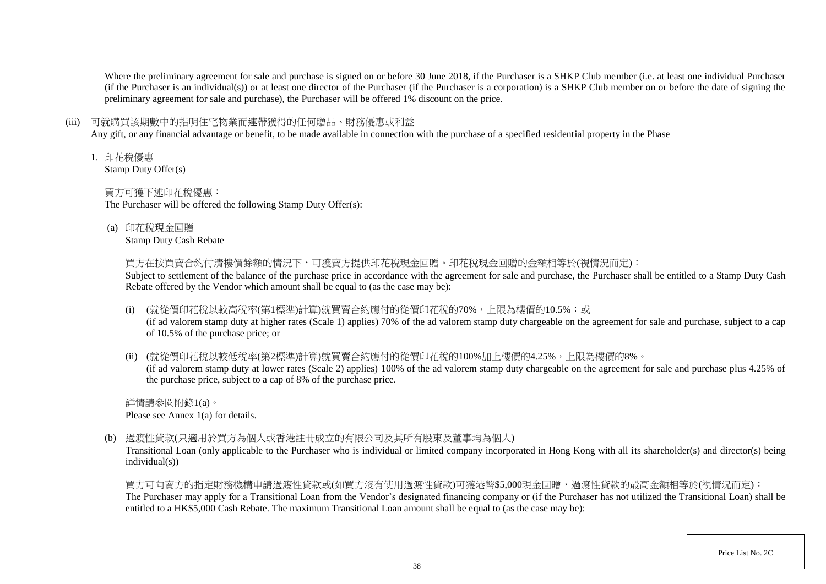Where the preliminary agreement for sale and purchase is signed on or before 30 June 2018, if the Purchaser is a SHKP Club member (i.e. at least one individual Purchaser (if the Purchaser is an individual(s)) or at least one director of the Purchaser (if the Purchaser is a corporation) is a SHKP Club member on or before the date of signing the preliminary agreement for sale and purchase), the Purchaser will be offered 1% discount on the price.

## (iii) 可就購買該期數中的指明住宅物業而連帶獲得的任何贈品、財務優惠或利益

Any gift, or any financial advantage or benefit, to be made available in connection with the purchase of a specified residential property in the Phase

1. 印花稅優惠

Stamp Duty Offer(s)

## 買方可獲下述印花稅優惠:

The Purchaser will be offered the following Stamp Duty Offer(s):

(a) 印花稅現金回贈

Stamp Duty Cash Rebate

買方在按買賣合約付清樓價餘額的情況下,可獲賣方提供印花稅現金回贈。印花稅現金回贈的金額相等於(視情況而定):

Subject to settlement of the balance of the purchase price in accordance with the agreement for sale and purchase, the Purchaser shall be entitled to a Stamp Duty Cash Rebate offered by the Vendor which amount shall be equal to (as the case may be):

(i) (就從價印花稅以較高稅率(第1標準)計算)就買賣合約應付的從價印花稅的70%,上限為樓價的10.5%;或

(if ad valorem stamp duty at higher rates (Scale 1) applies) 70% of the ad valorem stamp duty chargeable on the agreement for sale and purchase, subject to a cap of 10.5% of the purchase price; or

(ii) (就從價印花稅以較低稅率(第2標準)計算)就買賣合約應付的從價印花稅的100%加上樓價的4.25%,上限為樓價的8%。

(if ad valorem stamp duty at lower rates (Scale 2) applies) 100% of the ad valorem stamp duty chargeable on the agreement for sale and purchase plus 4.25% of the purchase price, subject to a cap of 8% of the purchase price.

詳情請參閱附錄1(a)。 Please see Annex 1(a) for details.

(b) 過渡性貸款(只適用於買方為個人或香港註冊成立的有限公司及其所有股東及董事均為個人)

Transitional Loan (only applicable to the Purchaser who is individual or limited company incorporated in Hong Kong with all its shareholder(s) and director(s) being individual(s))

買方可向賣方的指定財務機構申請過渡性貸款或(如買方沒有使用過渡性貸款)可獲港幣\$5,000現金回贈,過渡性貸款的最高金額相等於(視情況而定): The Purchaser may apply for a Transitional Loan from the Vendor's designated financing company or (if the Purchaser has not utilized the Transitional Loan) shall be entitled to a HK\$5,000 Cash Rebate. The maximum Transitional Loan amount shall be equal to (as the case may be):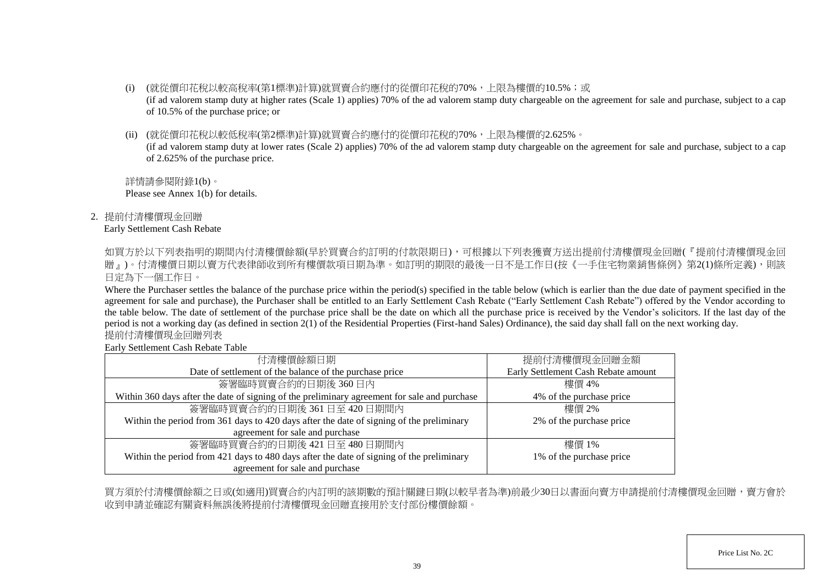- (i) (就從價印花稅以較高稅率(第1標準)計算)就買賣合約應付的從價印花稅的70%,上限為樓價的10.5%;或 (if ad valorem stamp duty at higher rates (Scale 1) applies) 70% of the ad valorem stamp duty chargeable on the agreement for sale and purchase, subject to a cap of 10.5% of the purchase price; or
- (ii) (就從價印花稅以較低稅率(第2標準)計算)就買賣合約應付的從價印花稅的70%,上限為樓價的2.625%。

(if ad valorem stamp duty at lower rates (Scale 2) applies) 70% of the ad valorem stamp duty chargeable on the agreement for sale and purchase, subject to a cap of 2.625% of the purchase price.

詳情請參閱附錄1(b)。 Please see Annex 1(b) for details.

2. 提前付清樓價現金回贈

#### Early Settlement Cash Rebate

如買方於以下列表指明的期間内付清樓價餘額(早於買賣合約訂明的付款限期日),可根據以下列表獲賣方送出提前付清樓價現金回贈(『提前付清樓價現金回 贈」)。付清樓價日期以賣方代表律師收到所有樓價款項日期為準。如訂明的期限的最後一日不是工作日(按《一手住宅物業銷售條例》第2(1)條所定義),則該 日定為下一個工作日。

Where the Purchaser settles the balance of the purchase price within the period(s) specified in the table below (which is earlier than the due date of payment specified in the agreement for sale and purchase), the Purchaser shall be entitled to an Early Settlement Cash Rebate ("Early Settlement Cash Rebate") offered by the Vendor according to the table below. The date of settlement of the purchase price shall be the date on which all the purchase price is received by the Vendor's solicitors. If the last day of the period is not a working day (as defined in section 2(1) of the Residential Properties (First-hand Sales) Ordinance), the said day shall fall on the next working day. 提前付清樓價現金回贈列表

Early Settlement Cash Rebate Table

| 付清樓價餘額日期                                                                                     | 提前付清樓價現金回贈金額                        |
|----------------------------------------------------------------------------------------------|-------------------------------------|
| Date of settlement of the balance of the purchase price                                      | Early Settlement Cash Rebate amount |
| 簽署臨時買賣合約的日期後360日內                                                                            | 樓價 4%                               |
| Within 360 days after the date of signing of the preliminary agreement for sale and purchase | 4% of the purchase price            |
| 簽署臨時買賣合約的日期後 361日至 420日期間内                                                                   | 樓價 2%                               |
| Within the period from 361 days to 420 days after the date of signing of the preliminary     | 2% of the purchase price            |
| agreement for sale and purchase                                                              |                                     |
| 簽署臨時買賣合約的日期後 421日至 480日期間内                                                                   | 樓價 1%                               |
| Within the period from 421 days to 480 days after the date of signing of the preliminary     | 1% of the purchase price            |
| agreement for sale and purchase                                                              |                                     |

買方須於付清樓價餘額之日或(如適用)買賣合約內訂明的該期數的預計關鍵日期(以較早者為準)前最少30日以書面向賣方申請提前付清樓價現金回贈,賣方會於 收到申請並確認有關資料無誤後將提前付清樓價現金回贈直接用於支付部份樓價餘額。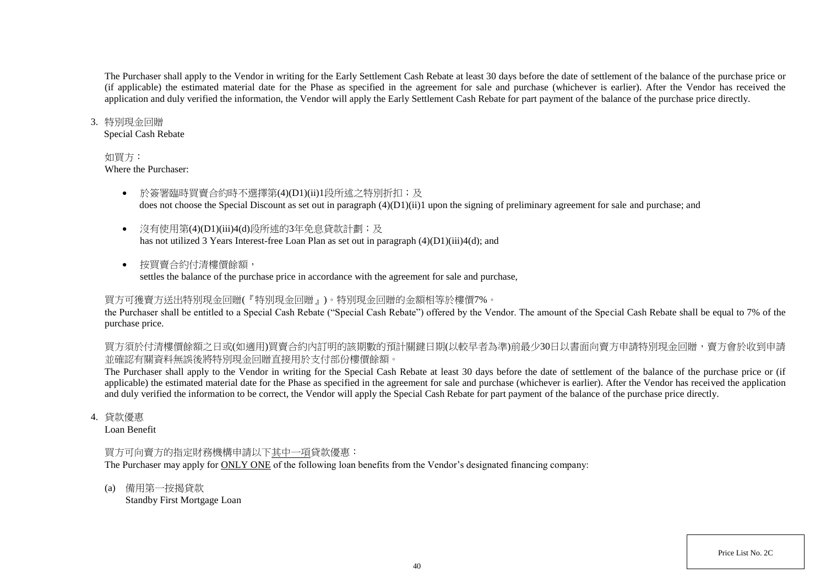The Purchaser shall apply to the Vendor in writing for the Early Settlement Cash Rebate at least 30 days before the date of settlement of the balance of the purchase price or (if applicable) the estimated material date for the Phase as specified in the agreement for sale and purchase (whichever is earlier). After the Vendor has received the application and duly verified the information, the Vendor will apply the Early Settlement Cash Rebate for part payment of the balance of the purchase price directly.

#### 3. 特別現金回贈

Special Cash Rebate

#### 如買方:

Where the Purchaser:

- 於簽署臨時買賣合約時不選擇第(4)(D1)(ii)1段所述之特別折扣;及 does not choose the Special Discount as set out in paragraph (4)(D1)(ii)1 upon the signing of preliminary agreement for sale and purchase; and
- 沒有使用第(4)(D1)(iii)4(d)段所述的3年免息貸款計劃;及 has not utilized 3 Years Interest-free Loan Plan as set out in paragraph (4)(D1)(iii)4(d); and
- 按買賣合約付清樓價餘額, settles the balance of the purchase price in accordance with the agreement for sale and purchase,

# 買方可獲賣方送出特別現金回贈(『特別現金回贈』)。特別現金回贈的金額相等於樓價7%。

the Purchaser shall be entitled to a Special Cash Rebate ("Special Cash Rebate") offered by the Vendor. The amount of the Special Cash Rebate shall be equal to 7% of the purchase price.

買方須於付清樓價餘額之日或(如適用)買賣合約內訂明的該期數的預計關鍵日期(以較早者為準)前最少30日以書面向賣方申請特別現金回贈,賣方會於收到申請 並確認有關資料無誤後將特別現金回贈直接用於支付部份樓價餘額。

The Purchaser shall apply to the Vendor in writing for the Special Cash Rebate at least 30 days before the date of settlement of the balance of the purchase price or (if applicable) the estimated material date for the Phase as specified in the agreement for sale and purchase (whichever is earlier). After the Vendor has received the application and duly verified the information to be correct, the Vendor will apply the Special Cash Rebate for part payment of the balance of the purchase price directly.

4. 貸款優惠

Loan Benefit

## 買方可向賣方的指定財務機構申請以下其中一項貸款優惠:

The Purchaser may apply for ONLY ONE of the following loan benefits from the Vendor's designated financing company:

(a) 備用第一按揭貸款

Standby First Mortgage Loan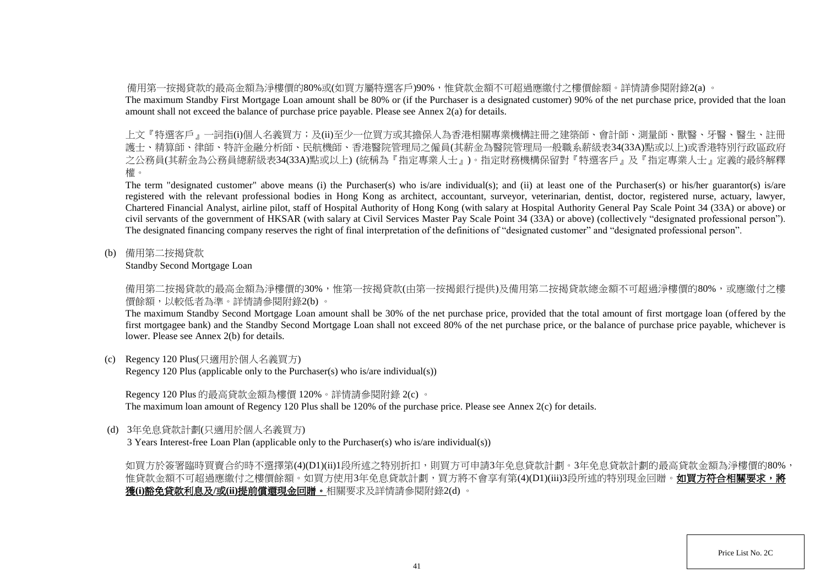備用第一按揭貸款的最高金額為淨樓價的80%或(如買方屬特選客戶)90%,惟貸款金額不可超過應繳付之樓價餘額。詳情請參閱附錄2(a) 。

The maximum Standby First Mortgage Loan amount shall be 80% or (if the Purchaser is a designated customer) 90% of the net purchase price, provided that the loan amount shall not exceed the balance of purchase price payable. Please see Annex 2(a) for details.

上文『特選客戶』一詞指(i)個人名義買方;及(ii)至少一位買方或其擔保人為香港相關專業機構註冊之建築師、會計師、測量師、獸醫、牙醫、醫生、註冊 護士、精算師、律師、特許金融分析師、民航機師、香港醫院管理局之僱員(其薪金為醫院管理局一般職系薪級表34(33A)點或以上)或香港特別行政區政府 之公務員(其薪金為公務員總薪級表34(33A)點或以上) (統稱為『指定專業人士』)。指定財務機構保留對『特選客戶』及『指定專業人士』定義的最終解釋 權。

The term "designated customer" above means (i) the Purchaser(s) who is/are individual(s); and (ii) at least one of the Purchaser(s) or his/her guarantor(s) is/are registered with the relevant professional bodies in Hong Kong as architect, accountant, surveyor, veterinarian, dentist, doctor, registered nurse, actuary, lawyer, Chartered Financial Analyst, airline pilot, staff of Hospital Authority of Hong Kong (with salary at Hospital Authority General Pay Scale Point 34 (33A) or above) or civil servants of the government of HKSAR (with salary at Civil Services Master Pay Scale Point 34 (33A) or above) (collectively "designated professional person"). The designated financing company reserves the right of final interpretation of the definitions of "designated customer" and "designated professional person".

(b) 備用第二按揭貸款

Standby Second Mortgage Loan

備用第二按揭貸款的最高金額為淨樓價的30%,惟第一按揭貸款(由第一按揭銀行提供)及備用第二按揭貸款總金額不可超過淨樓價的80%,或應繳付之樓 價餘額,以較低者為準。詳情請參閱附錄2(b) 。

The maximum Standby Second Mortgage Loan amount shall be 30% of the net purchase price, provided that the total amount of first mortgage loan (offered by the first mortgagee bank) and the Standby Second Mortgage Loan shall not exceed 80% of the net purchase price, or the balance of purchase price payable, whichever is lower. Please see Annex 2(b) for details.

(c) Regency 120 Plus(只適用於個人名義買方)

Regency 120 Plus (applicable only to the Purchaser(s) who is/are individual(s))

Regency 120 Plus 的最高貸款金額為樓價 120%。詳情請參閱附錄 2(c) 。

The maximum loan amount of Regency 120 Plus shall be 120% of the purchase price. Please see Annex 2(c) for details.

(d) 3年免息貸款計劃(只適用於個人名義買方)

3 Years Interest-free Loan Plan (applicable only to the Purchaser(s) who is/are individual(s))

如買方於簽署臨時買賣合約時不選擇第(4)(D1)(ii)1段所述之特別折扣,則買方可申請3年免息貸款計劃。3年免息貸款計劃的最高貸款金額為淨樓價的80%, 惟貸款金額不可超過應繳付之樓價餘額。如買方使用3年免息貸款計劃,買方將不會享有第(4)(D1)(iii)3段所述的特別現金回贈。**如買方符合相關要求,將** 獲**(i)**豁免貸款利息及**/**或**(ii)**提前償還現金回贈。相關要求及詳情請參閱附錄2(d) 。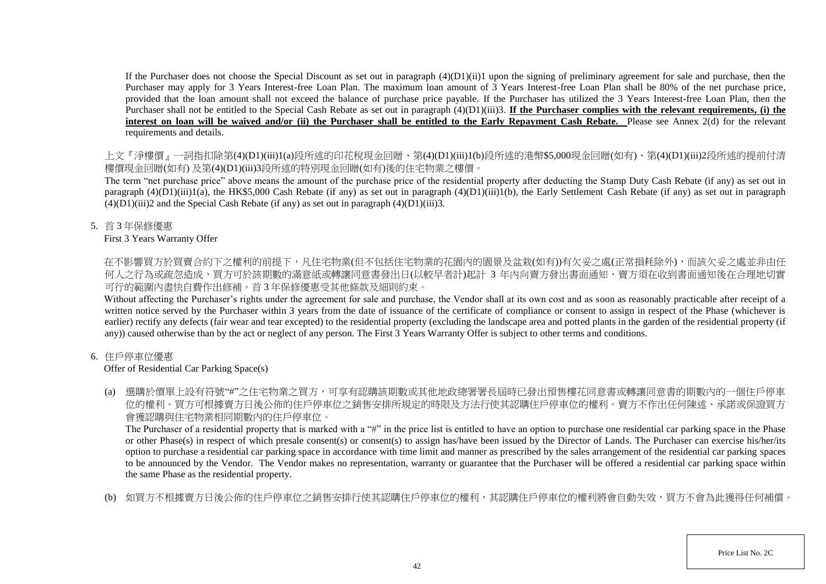If the Purchaser does not choose the Special Discount as set out in paragraph  $(4)(D1)(ii)1$  upon the signing of preliminary agreement for sale and purchase, then the Purchaser may apply for 3 Years Interest-free Loan Plan. The maximum loan amount of 3 Years Interest-free Loan Plan shall be 80% of the net purchase price, provided that the loan amount shall not exceed the balance of purchase price payable. If the Purchaser has utilized the 3 Years Interest-free Loan Plan, then the Purchaser shall not be entitled to the Special Cash Rebate as set out in paragraph (4)(D1)(iii)3. **If the Purchaser complies with the relevant requirements, (i) the** interest on loan will be waived and/or (ii) the Purchaser shall be entitled to the Early Repayment Cash Rebate. Please see Annex 2(d) for the relevant requirements and details.

上文『淨樓價』一詞指扣除第(4)(D1)(iii)1(a)段所述的印花稅現金回贈、第(4)(D1)(iii)1(b)段所述的港幣\$5,000現金回贈(如有)、第(4)(D1)(iii)2段所述的提前付清 樓價現金回贈(如有) 及第(4)(D1)(iii)3段所述的特別現金回贈(如有)後的住宅物業之樓價。

The term "net purchase price" above means the amount of the purchase price of the residential property after deducting the Stamp Duty Cash Rebate (if any) as set out in paragraph  $(4)(D1)(iii)1(a)$ , the HK\$5,000 Cash Rebate (if any) as set out in paragraph  $(4)(D1)(iii)1(b)$ , the Early Settlement Cash Rebate (if any) as set out in paragraph  $(4)(D1)(iii)2$  and the Special Cash Rebate (if any) as set out in paragraph  $(4)(D1)(iii)3$ .

5. 首 3 年保修優惠

## First 3 Years Warranty Offer

在不影響買方於買賣合約下之權利的前提下,凡住宅物業(但不包括住宅物業的花園内的園景及盆栽(如有))有欠妥之處(正常損耗除外),而該欠妥之處並非由任 何人之行為或疏忽造成,買方可於該期數的滿意紙或轉讓同意書發出日(以較早者計)起計 3 年内向賣方發出書面通知,賣方須在收到書面通知後在合理地切實 可行的範圍內盡快自費作出修補。首 3 年保修優惠受其他條款及細則約束。

Without affecting the Purchaser's rights under the agreement for sale and purchase, the Vendor shall at its own cost and as soon as reasonably practicable after receipt of a written notice served by the Purchaser within 3 years from the date of issuance of the certificate of compliance or consent to assign in respect of the Phase (whichever is earlier) rectify any defects (fair wear and tear excepted) to the residential property (excluding the landscape area and potted plants in the garden of the residential property (if any)) caused otherwise than by the act or neglect of any person. The First 3 Years Warranty Offer is subject to other terms and conditions.

# 6. 住戶停車位優惠

# Offer of Residential Car Parking Space(s)

(a) 選購於價單上設有符號"#"之住宅物業之買方,可享有認購該期數或其他地政總署署長屆時已發出預售樓花同意書或轉讓同意書的期數內的一個住戶停車 位的權利。買方可根據賣方日後公佈的住戶停車位之銷售安排所規定的時限及方法行使其認購住戶停車位的權利。賣方不作出任何陳述、承諾或保證買方 會獲認購與住宅物業相同期數內的住戶停車位。

The Purchaser of a residential property that is marked with a "#" in the price list is entitled to have an option to purchase one residential car parking space in the Phase or other Phase(s) in respect of which presale consent(s) or consent(s) to assign has/have been issued by the Director of Lands. The Purchaser can exercise his/her/its option to purchase a residential car parking space in accordance with time limit and manner as prescribed by the sales arrangement of the residential car parking spaces to be announced by the Vendor. The Vendor makes no representation, warranty or guarantee that the Purchaser will be offered a residential car parking space within the same Phase as the residential property.

(b) 如買方不根據賣方日後公佈的住戶停車位之銷售安排行使其認購住戶停車位的權利,其認購住戶停車位的權利將會自動失效,買方不會為此獲得任何補償。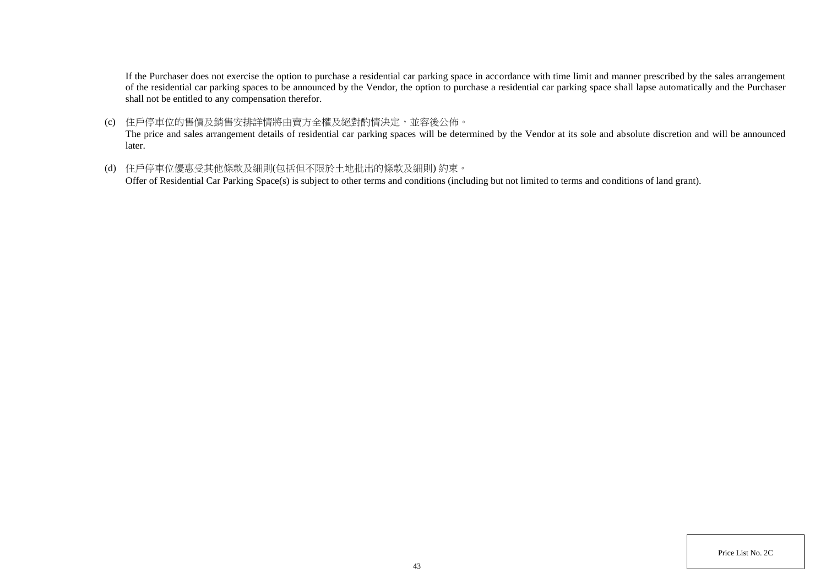If the Purchaser does not exercise the option to purchase a residential car parking space in accordance with time limit and manner prescribed by the sales arrangement of the residential car parking spaces to be announced by the Vendor, the option to purchase a residential car parking space shall lapse automatically and the Purchaser shall not be entitled to any compensation therefor.

(c) 住戶停車位的售價及銷售安排詳情將由賣方全權及絕對酌情決定,並容後公佈。

The price and sales arrangement details of residential car parking spaces will be determined by the Vendor at its sole and absolute discretion and will be announced later.

(d) 住戶停車位優惠受其他條款及細則(包括但不限於土地批出的條款及細則) 約束。

Offer of Residential Car Parking Space(s) is subject to other terms and conditions (including but not limited to terms and conditions of land grant).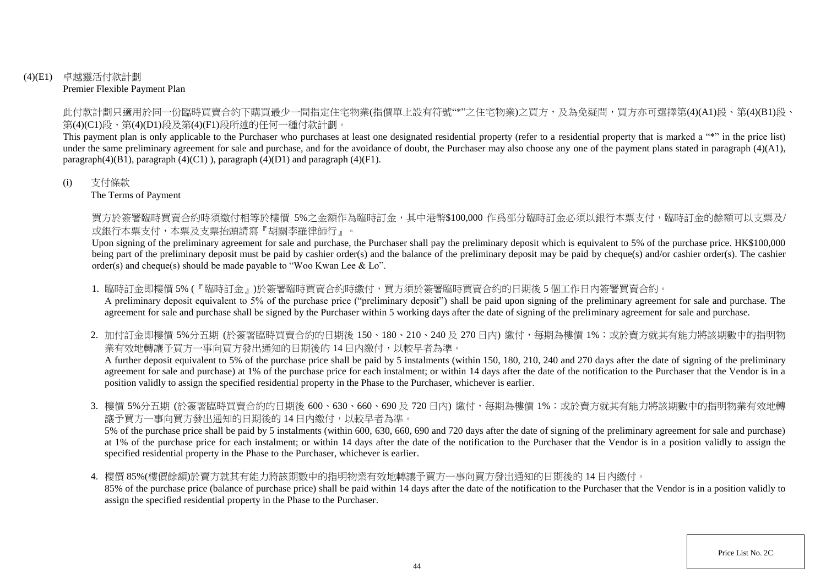## (4)(E1) 卓越靈活付款計劃 Premier Flexible Payment Plan

此付款計劃只適用於同一份臨時買賣合約下購買最少一間指定住宅物業(指價單上設有符號"\*"之住宅物業)之買方,及為免疑問,買方亦可選擇第(4)(A1)段、第(4)(B1)段、 第(4)(C1)段、第(4)(D1)段及第(4)(F1)段所述的任何一種付款計劃。

This payment plan is only applicable to the Purchaser who purchases at least one designated residential property (refer to a residential property that is marked a "\*" in the price list) under the same preliminary agreement for sale and purchase, and for the avoidance of doubt, the Purchaser may also choose any one of the payment plans stated in paragraph (4)(A1), paragraph $(4)(B1)$ , paragraph  $(4)(C1)$ ), paragraph  $(4)(D1)$  and paragraph  $(4)(F1)$ .

#### (i) 支付條款

The Terms of Payment

買方於簽署臨時買賣合約時須繳付相等於樓價 5%之金額作為臨時訂金,其中港幣\$100,000 作爲部分臨時訂金必須以銀行本票支付,臨時訂金的餘額可以支票及/ 或銀行本票支付,本票及支票抬頭請寫『胡關李羅律師行』。

Upon signing of the preliminary agreement for sale and purchase, the Purchaser shall pay the preliminary deposit which is equivalent to 5% of the purchase price. HK\$100,000 being part of the preliminary deposit must be paid by cashier order(s) and the balance of the preliminary deposit may be paid by cheque(s) and/or cashier order(s). The cashier order(s) and cheque(s) should be made payable to "Woo Kwan Lee & Lo".

1. 臨時訂金即樓價 5% (『臨時訂金』)於簽署臨時買賣合約時繳付,買方須於簽署臨時買賣合約的日期後 5 個工作日内簽署買賣合約。

A preliminary deposit equivalent to 5% of the purchase price ("preliminary deposit") shall be paid upon signing of the preliminary agreement for sale and purchase. The agreement for sale and purchase shall be signed by the Purchaser within 5 working days after the date of signing of the preliminary agreement for sale and purchase.

2. 加付訂金即樓價 5%分五期 (於簽署臨時買賣合約的日期後 150、180、210、240 及 270 日内) 繳付,每期為樓價 1%;或於賣方就其有能力將該期數中的指明物 業有效地轉讓予買方一事向買方發出通知的日期後的 14 日内繳付,以較早者為準。

A further deposit equivalent to 5% of the purchase price shall be paid by 5 instalments (within 150, 180, 210, 240 and 270 days after the date of signing of the preliminary agreement for sale and purchase) at 1% of the purchase price for each instalment; or within 14 days after the date of the notification to the Purchaser that the Vendor is in a position validly to assign the specified residential property in the Phase to the Purchaser, whichever is earlier.

3. 樓價 5%分五期 (於簽署臨時買賣合約的日期後 600、630、660、690 及 720 日內) 繳付,每期為樓價 1%;或於賣方就其有能力將該期數中的指明物業有效地轉 讓予買方一事向買方發出通知的日期後的 14 日內繳付,以較早者為準。

5% of the purchase price shall be paid by 5 instalments (within 600, 630, 660, 690 and 720 days after the date of signing of the preliminary agreement for sale and purchase) at 1% of the purchase price for each instalment; or within 14 days after the date of the notification to the Purchaser that the Vendor is in a position validly to assign the specified residential property in the Phase to the Purchaser, whichever is earlier.

4. 樓價 85%(樓價餘額)於賣方就其有能力將該期數中的指明物業有效地轉讓予買方一事向買方發出通知的日期後的 14 日內繳付。

85% of the purchase price (balance of purchase price) shall be paid within 14 days after the date of the notification to the Purchaser that the Vendor is in a position validly to assign the specified residential property in the Phase to the Purchaser.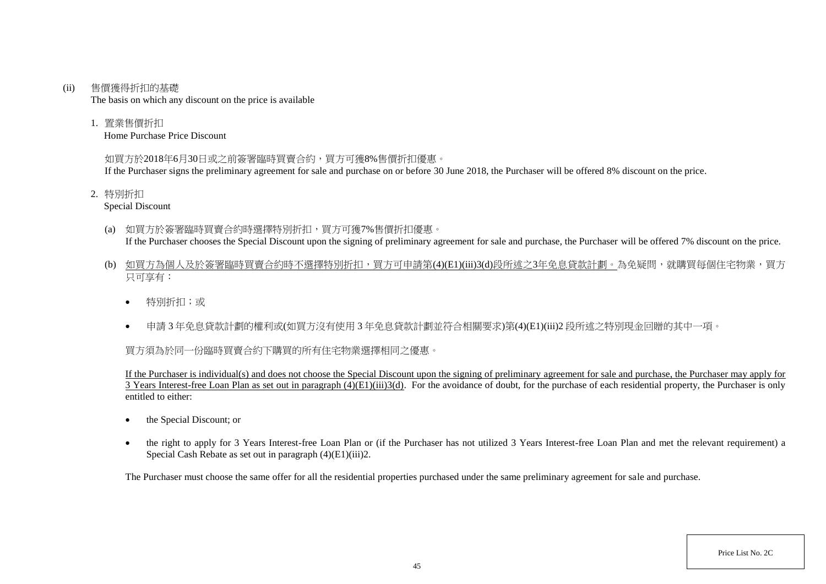#### (ii) 售價獲得折扣的基礎

The basis on which any discount on the price is available

1. 置業售價折扣

Home Purchase Price Discount

## 如買方於2018年6月30日或之前簽署臨時買賣合約,買方可獲8%售價折扣優惠。

If the Purchaser signs the preliminary agreement for sale and purchase on or before 30 June 2018, the Purchaser will be offered 8% discount on the price.

2. 特別折扣

Special Discount

- (a) 如買方於簽署臨時買賣合約時選擇特別折扣,買方可獲7%售價折扣優惠。 If the Purchaser chooses the Special Discount upon the signing of preliminary agreement for sale and purchase, the Purchaser will be offered 7% discount on the price.
- (b) 如買方為個人及於簽署臨時買賣合約時不選擇特別折扣,買方可申請第(4)(E1)(iii)3(d)段所述之3年免息貸款計劃。為免疑問,就購買每個住宅物業,買方 只可享有:
	- 特別折扣;或
	- 申請 3 年免息貸款計劃的權利或(如買方沒有使用 3 年免息貸款計劃並符合相關要求)第(4)(E1)(iii)2 段所述之特別現金回贈的其中一項。

# 買方須為於同一份臨時買賣合約下購買的所有住宅物業選擇相同之優惠。

If the Purchaser is individual(s) and does not choose the Special Discount upon the signing of preliminary agreement for sale and purchase, the Purchaser may apply for  $\overline{3}$  Years Interest-free Loan Plan as set out in paragraph (4)(E1)(iii)3(d). For the avoidance of doubt, for the purchase of each residential property, the Purchaser is only entitled to either:

- the Special Discount: or
- the right to apply for 3 Years Interest-free Loan Plan or (if the Purchaser has not utilized 3 Years Interest-free Loan Plan and met the relevant requirement) a Special Cash Rebate as set out in paragraph (4)(E1)(iii)2.

The Purchaser must choose the same offer for all the residential properties purchased under the same preliminary agreement for sale and purchase.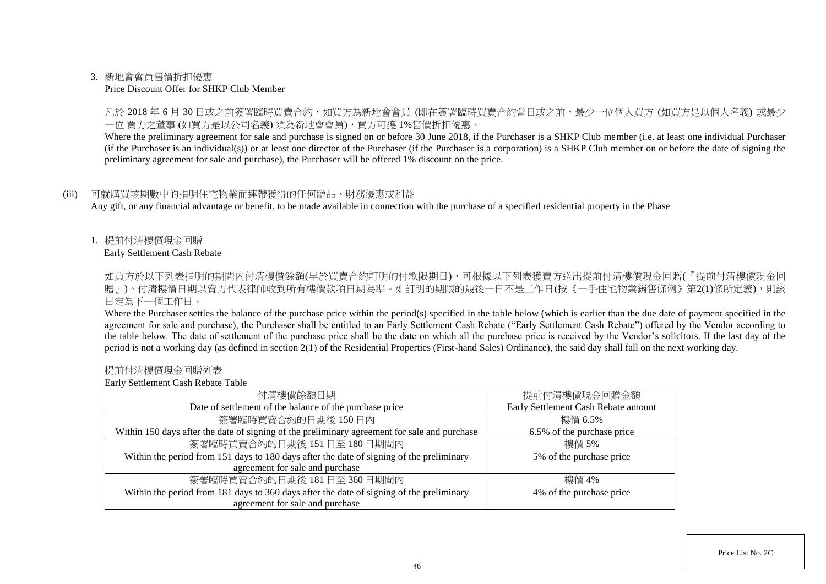#### 3. 新地會會員售價折扣優惠

#### Price Discount Offer for SHKP Club Member

凡於 2018 年 6 月 30 日或之前簽署臨時買賣合約,如買方為新地會會員 (即在簽署臨時買賣合約當日或之前,最少一位個人買方 (如買方是以個人名義) 或最少 一位 買方之董事 (如買方是以公司名義) 須為新地會會員),買方可獲 1%售價折扣優惠。

Where the preliminary agreement for sale and purchase is signed on or before 30 June 2018, if the Purchaser is a SHKP Club member (i.e. at least one individual Purchaser (if the Purchaser is an individual(s)) or at least one director of the Purchaser (if the Purchaser is a corporation) is a SHKP Club member on or before the date of signing the preliminary agreement for sale and purchase), the Purchaser will be offered 1% discount on the price.

#### (iii) 可就購買該期數中的指明住宅物業而連帶獲得的任何贈品、財務優惠或利益

Any gift, or any financial advantage or benefit, to be made available in connection with the purchase of a specified residential property in the Phase

1. 提前付清樓價現金回贈

Early Settlement Cash Rebate

如買方於以下列表指明的期間内付清樓價餘額(早於買賣合約訂明的付款限期日),可根據以下列表獲賣方送出提前付清樓價現金回贈(『提前付清樓價現金回 贈』)。付清樓價日期以賣方代表律師收到所有樓價款項日期為準。如訂明的期限的最後一日不是工作日(按《一手住宅物業銷售條例》第2(1)條所定義),則該 日定為下一個工作日。

Where the Purchaser settles the balance of the purchase price within the period(s) specified in the table below (which is earlier than the due date of payment specified in the agreement for sale and purchase), the Purchaser shall be entitled to an Early Settlement Cash Rebate ("Early Settlement Cash Rebate") offered by the Vendor according to the table below. The date of settlement of the purchase price shall be the date on which all the purchase price is received by the Vendor's solicitors. If the last day of the period is not a working day (as defined in section 2(1) of the Residential Properties (First-hand Sales) Ordinance), the said day shall fall on the next working day.

#### 提前付清樓價現金回贈列表

Early Settlement Cash Rebate Table

| 付清樓價餘額日期                                                                                     | 提前付清樓價現金回贈金額                        |
|----------------------------------------------------------------------------------------------|-------------------------------------|
| Date of settlement of the balance of the purchase price                                      | Early Settlement Cash Rebate amount |
| 簽署臨時買賣合約的日期後150日內                                                                            | 樓價 6.5%                             |
| Within 150 days after the date of signing of the preliminary agreement for sale and purchase | 6.5% of the purchase price          |
| 簽署臨時買賣合約的日期後 151日至 180日期間內                                                                   | 樓價 5%                               |
| Within the period from 151 days to 180 days after the date of signing of the preliminary     | 5% of the purchase price            |
| agreement for sale and purchase                                                              |                                     |
| 簽署臨時買賣合約的日期後 181日至 360日期間內                                                                   | 樓價 4%                               |
| Within the period from 181 days to 360 days after the date of signing of the preliminary     | 4% of the purchase price            |
| agreement for sale and purchase                                                              |                                     |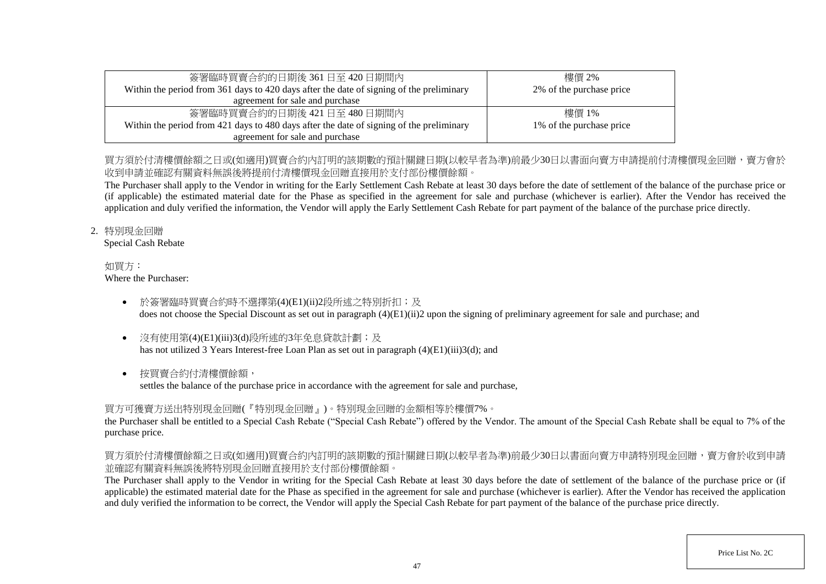| 簽署臨時買賣合約的日期後 361 日至 420 日期間內                                                             | 樓價 2%                    |
|------------------------------------------------------------------------------------------|--------------------------|
| Within the period from 361 days to 420 days after the date of signing of the preliminary | 2% of the purchase price |
| agreement for sale and purchase                                                          |                          |
| 簽署臨時買賣合約的日期後 421日至 480日期間内                                                               | 樓價 1%                    |
| Within the period from 421 days to 480 days after the date of signing of the preliminary | 1% of the purchase price |
| agreement for sale and purchase                                                          |                          |

# 買方須於付清樓價餘額之日或(如適用)買賣合約內訂明的該期數的預計關鍵日期(以較早者為進)前最少30日以書面向賣方申請提前付清樓價現金回贈,賣方會於 收到申請並確認有關資料無誤後將提前付清樓價現金回贈直接用於支付部份樓價餘額。

The Purchaser shall apply to the Vendor in writing for the Early Settlement Cash Rebate at least 30 days before the date of settlement of the balance of the purchase price or (if applicable) the estimated material date for the Phase as specified in the agreement for sale and purchase (whichever is earlier). After the Vendor has received the application and duly verified the information, the Vendor will apply the Early Settlement Cash Rebate for part payment of the balance of the purchase price directly.

## 2. 特別現金回贈

Special Cash Rebate

#### 如買方: Where the Purchaser:

- 於簽署臨時買賣合約時不選擇第(4)(E1)(ii)2段所述之特別折扣;及 does not choose the Special Discount as set out in paragraph (4)(E1)(ii)2 upon the signing of preliminary agreement for sale and purchase; and
- 沒有使用第(4)(E1)(iii)3(d)段所述的3年免息貸款計劃;及 has not utilized 3 Years Interest-free Loan Plan as set out in paragraph (4)(E1)(iii)3(d); and
- 按買賣合約付清樓價餘額,

settles the balance of the purchase price in accordance with the agreement for sale and purchase,

# 買方可獲賣方送出特別現金回贈(『特別現金回贈』)。特別現金回贈的金額相等於樓價7%。

the Purchaser shall be entitled to a Special Cash Rebate ("Special Cash Rebate") offered by the Vendor. The amount of the Special Cash Rebate shall be equal to 7% of the purchase price.

# 買方須於付清樓價餘額之日或(如適用)買賣合約內訂明的該期數的預計關鍵日期(以較早者為準)前最少30日以書面向賣方申請特別現金回贈,賣方會於收到申請 並確認有關資料無誤後將特別現金回贈直接用於支付部份樓價餘額。

The Purchaser shall apply to the Vendor in writing for the Special Cash Rebate at least 30 days before the date of settlement of the balance of the purchase price or (if applicable) the estimated material date for the Phase as specified in the agreement for sale and purchase (whichever is earlier). After the Vendor has received the application and duly verified the information to be correct, the Vendor will apply the Special Cash Rebate for part payment of the balance of the purchase price directly.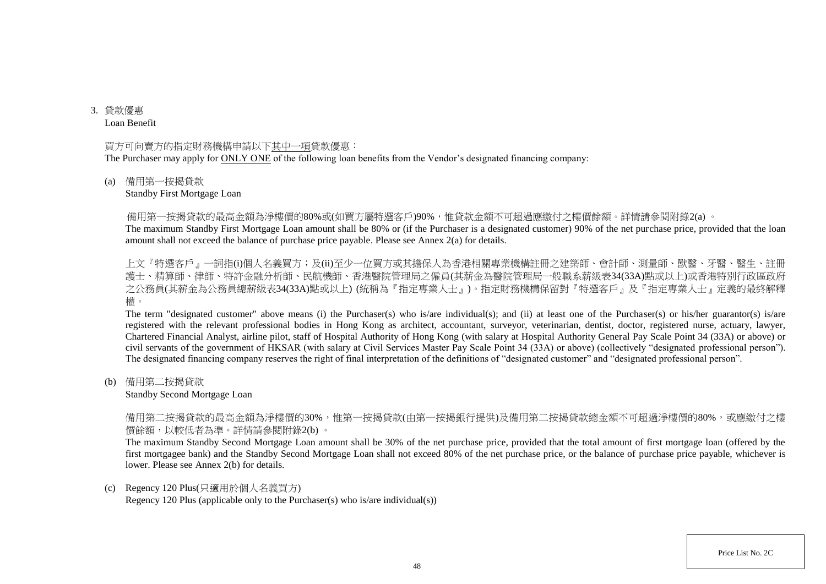3. 貸款優惠 Loan Benefit

#### 買方可向賣方的指定財務機構申請以下其中一項貸款優惠:

The Purchaser may apply for ONLY ONE of the following loan benefits from the Vendor's designated financing company:

#### (a) 備用第一按揭貸款

#### Standby First Mortgage Loan

備用第一按揭貸款的最高金額為淨樓價的80%或(如買方屬特選客戶)90%,惟貸款金額不可超過應繳付之樓價餘額。詳情請參閱附錄2(a) 。

The maximum Standby First Mortgage Loan amount shall be 80% or (if the Purchaser is a designated customer) 90% of the net purchase price, provided that the loan amount shall not exceed the balance of purchase price payable. Please see Annex 2(a) for details.

上文『特選客戶』一詞指(i)個人名義買方;及(ii)至少一位買方或其擔保人為香港相關專業機構註冊之建築師、會計師、測量師、獸醫、牙醫、醫生、註冊 護士、精算師、律師、特許金融分析師、民航機師、香港醫院管理局之僱員(其薪金為醫院管理局一般職系薪級表34(33A)點或以上)或香港特別行政區政府 之公務員(其薪金為公務員總薪級表34(33A)點或以上) (統稱為『指定專業人士』)。指定財務機構保留對『特選客戶』及『指定專業人士』定義的最終解釋 權。

The term "designated customer" above means (i) the Purchaser(s) who is/are individual(s); and (ii) at least one of the Purchaser(s) or his/her guarantor(s) is/are registered with the relevant professional bodies in Hong Kong as architect, accountant, surveyor, veterinarian, dentist, doctor, registered nurse, actuary, lawyer, Chartered Financial Analyst, airline pilot, staff of Hospital Authority of Hong Kong (with salary at Hospital Authority General Pay Scale Point 34 (33A) or above) or civil servants of the government of HKSAR (with salary at Civil Services Master Pay Scale Point 34 (33A) or above) (collectively "designated professional person"). The designated financing company reserves the right of final interpretation of the definitions of "designated customer" and "designated professional person".

(b) 備用第二按揭貸款

#### Standby Second Mortgage Loan

備用第二按揭貸款的最高金額為淨樓價的30%,惟第一按揭貸款(由第一按揭銀行提供)及備用第二按揭貸款總金額不可超過淨樓價的80%,或應繳付之樓 價餘額,以較低者為準。詳情請參閱附錄2(b) 。

The maximum Standby Second Mortgage Loan amount shall be 30% of the net purchase price, provided that the total amount of first mortgage loan (offered by the first mortgagee bank) and the Standby Second Mortgage Loan shall not exceed 80% of the net purchase price, or the balance of purchase price payable, whichever is lower. Please see Annex 2(b) for details.

#### (c) Regency 120 Plus(只適用於個人名義買方)

Regency 120 Plus (applicable only to the Purchaser(s) who is/are individual(s))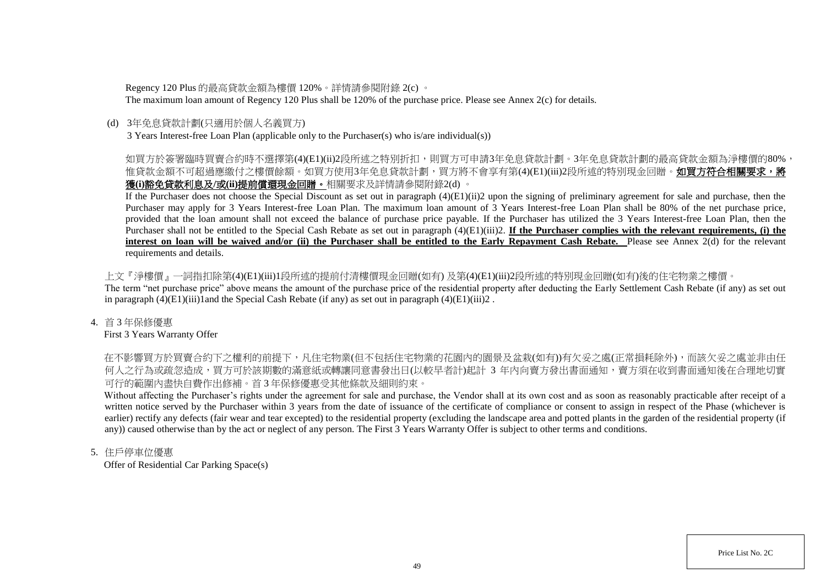Regency 120 Plus 的最高貸款金額為樓價 120%。詳情請參閱附錄 2(c) 。

The maximum loan amount of Regency 120 Plus shall be 120% of the purchase price. Please see Annex 2(c) for details.

## (d) 3年免息貸款計劃(只適用於個人名義買方)

3 Years Interest-free Loan Plan (applicable only to the Purchaser(s) who is/are individual(s))

# 如買方於簽署臨時買賣合約時不選擇第(4)(E1)(ii)2段所述之特別折扣,則買方可申請3年免息貸款計劃。3年免息貸款計劃的最高貸款金額為淨樓價的80%, 惟貸款金額不可超過應繳付之樓價餘額。如買方使用3年免息貸款計劃,買方將不會享有第(4)(E1)(iii)2段所述的特別現金回贈。**如買方符合相關要求,將** 獲**(i)**豁免貸款利息及**/**或**(ii)**提前償還現金回贈。相關要求及詳情請參閱附錄2(d) 。

If the Purchaser does not choose the Special Discount as set out in paragraph (4)(E1)(ii)2 upon the signing of preliminary agreement for sale and purchase, then the Purchaser may apply for 3 Years Interest-free Loan Plan. The maximum loan amount of 3 Years Interest-free Loan Plan shall be 80% of the net purchase price, provided that the loan amount shall not exceed the balance of purchase price payable. If the Purchaser has utilized the 3 Years Interest-free Loan Plan, then the Purchaser shall not be entitled to the Special Cash Rebate as set out in paragraph  $(4)(E1)(iii)2$ . **If the Purchaser complies with the relevant requirements, (i) the interest on loan will be waived and/or (ii) the Purchaser shall be entitled to the Early Repayment Cash Rebate.** Please see Annex 2(d) for the relevant requirements and details.

上文『淨樓價』一詞指扣除第(4)(E1)(iii)1段所述的提前付清樓價現金回贈(如有) 及第(4)(E1)(iii)2段所述的特別現金回贈(如有)後的住宅物業之樓價。 The term "net purchase price" above means the amount of the purchase price of the residential property after deducting the Early Settlement Cash Rebate (if any) as set out in paragraph  $(4)(E1)(iii)1$  and the Special Cash Rebate (if any) as set out in paragraph  $(4)(E1)(iii)2$ .

## 4. 首 3 年保修優惠

First 3 Years Warranty Offer

在不影響買方於買賣合約下之權利的前提下,凡住宅物業(但不包括住宅物業的花園內的園景及盆栽(如有))有欠妥之處(正常損耗除外),而該欠妥之處並非由任 何人之行為或疏忽造成,買方可於該期數的滿意紙或轉讓同意書發出日(以較早者計)起計 3 年内向賣方發出書面通知,賣方須在收到書面通知後在合理地切實 可行的範圍內盡快自費作出修補。首 3 年保修優惠受其他條款及細則約束。

Without affecting the Purchaser's rights under the agreement for sale and purchase, the Vendor shall at its own cost and as soon as reasonably practicable after receipt of a written notice served by the Purchaser within 3 years from the date of issuance of the certificate of compliance or consent to assign in respect of the Phase (whichever is earlier) rectify any defects (fair wear and tear excepted) to the residential property (excluding the landscape area and potted plants in the garden of the residential property (if any)) caused otherwise than by the act or neglect of any person. The First 3 Years Warranty Offer is subject to other terms and conditions.

## 5. 住戶停車位優惠

Offer of Residential Car Parking Space(s)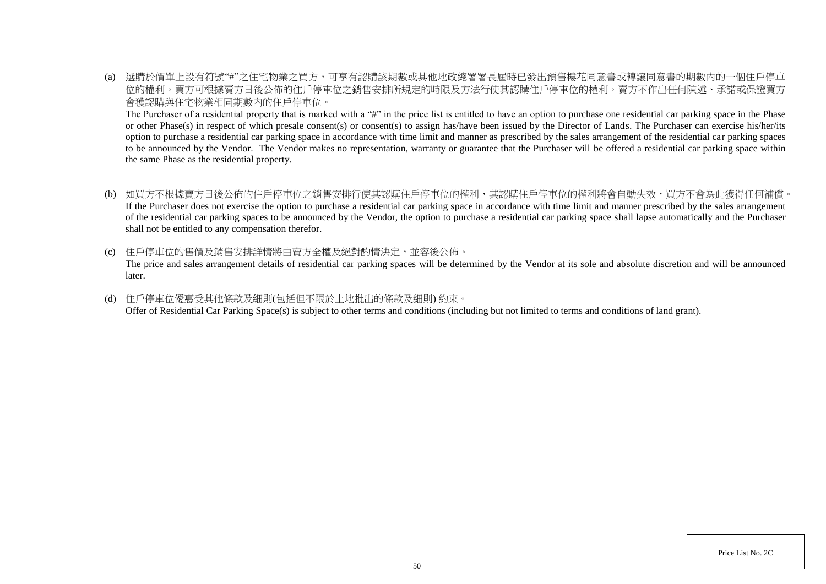(a) 選購於價單上設有符號"#"之住宅物業之買方,可享有認購該期數或其他地政總署署長屆時已發出預售樓花同意書或轉讓同意書的期數內的一個住戶停車 位的權利。買方可根據賣方日後公佈的住戶停車位之銷售安排所規定的時限及方法行使其認購住戶停車位的權利。賣方不作出任何陳述、承諾或保證買方 會獲認購與住宅物業相同期數內的住戶停車位。

The Purchaser of a residential property that is marked with a "#" in the price list is entitled to have an option to purchase one residential car parking space in the Phase or other Phase(s) in respect of which presale consent(s) or consent(s) to assign has/have been issued by the Director of Lands. The Purchaser can exercise his/her/its option to purchase a residential car parking space in accordance with time limit and manner as prescribed by the sales arrangement of the residential car parking spaces to be announced by the Vendor. The Vendor makes no representation, warranty or guarantee that the Purchaser will be offered a residential car parking space within the same Phase as the residential property.

- (b) 如買方不根據賣方日後公佈的住戶停車位之銷售安排行使其認購住戶停車位的權利,其認購住戶停車位的權利將會自動失效,買方不會為此獲得任何補償。 If the Purchaser does not exercise the option to purchase a residential car parking space in accordance with time limit and manner prescribed by the sales arrangement of the residential car parking spaces to be announced by the Vendor, the option to purchase a residential car parking space shall lapse automatically and the Purchaser shall not be entitled to any compensation therefor.
- (c) 住戶停車位的售價及銷售安排詳情將由賣方全權及絕對酌情決定,並容後公佈。

The price and sales arrangement details of residential car parking spaces will be determined by the Vendor at its sole and absolute discretion and will be announced later.

(d) 住戶停車位優惠受其他條款及細則(包括但不限於土地批出的條款及細則) 約束。 Offer of Residential Car Parking Space(s) is subject to other terms and conditions (including but not limited to terms and conditions of land grant).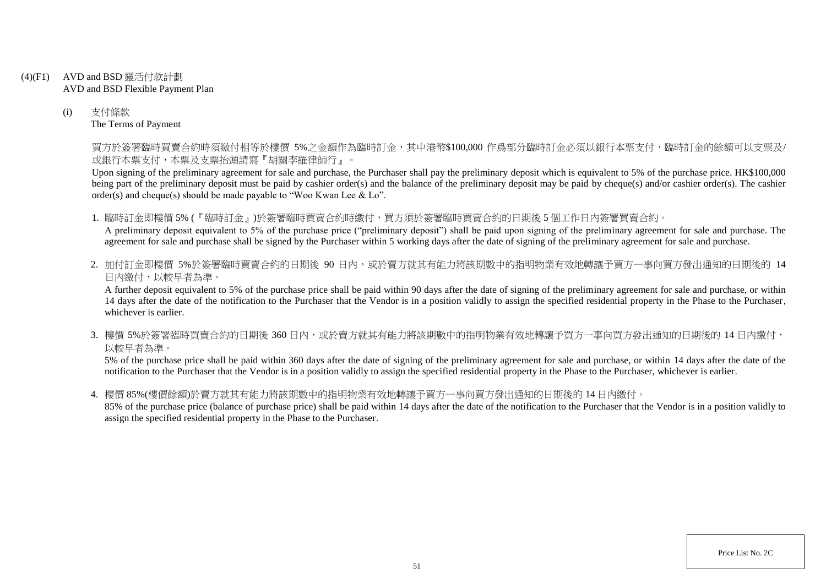- (4)(F1) AVD and BSD 靈活付款計劃 AVD and BSD Flexible Payment Plan
	- (i) 支付條款 The Terms of Payment

買方於簽署臨時買賣合約時須繳付相等於樓價 5%之金額作為臨時訂金,其中港幣\$100,000 作爲部分臨時訂金必須以銀行本票支付,臨時訂金的餘額可以支票及/ 或銀行本票支付,本票及支票抬頭請寫『胡關李羅律師行』。

Upon signing of the preliminary agreement for sale and purchase, the Purchaser shall pay the preliminary deposit which is equivalent to 5% of the purchase price. HK\$100,000 being part of the preliminary deposit must be paid by cashier order(s) and the balance of the preliminary deposit may be paid by cheque(s) and/or cashier order(s). The cashier order(s) and cheque(s) should be made payable to "Woo Kwan Lee & Lo".

1. 臨時訂金即樓價 5% (『臨時訂金』)於簽署臨時買賣合約時繳付,買方須於簽署臨時買賣合約的日期後 5 個工作日內簽署買賣合約。

A preliminary deposit equivalent to 5% of the purchase price ("preliminary deposit") shall be paid upon signing of the preliminary agreement for sale and purchase. The agreement for sale and purchase shall be signed by the Purchaser within 5 working days after the date of signing of the preliminary agreement for sale and purchase.

2. 加付訂金即樓價 5%於簽署臨時買賣合約的日期後 90 日内,或於賣方就其有能力將該期數中的指明物業有效地轉讓予買方一事向買方發出通知的日期後的 14 日內繳付,以較早者為準。

A further deposit equivalent to 5% of the purchase price shall be paid within 90 days after the date of signing of the preliminary agreement for sale and purchase, or within 14 days after the date of the notification to the Purchaser that the Vendor is in a position validly to assign the specified residential property in the Phase to the Purchaser, whichever is earlier.

3. 樓價 5%於簽署臨時買賣合約的日期後 360 日内,或於賣方就其有能力將該期數中的指明物業有效地轉讓予買方一事向買方發出通知的日期後的 14 日內繳付, 以較早者為準。

5% of the purchase price shall be paid within 360 days after the date of signing of the preliminary agreement for sale and purchase, or within 14 days after the date of the notification to the Purchaser that the Vendor is in a position validly to assign the specified residential property in the Phase to the Purchaser, whichever is earlier.

4. 樓價 85%(樓價餘額)於賣方就其有能力將該期數中的指明物業有效地轉讓予買方一事向買方發出通知的日期後的 14 日內繳付。

85% of the purchase price (balance of purchase price) shall be paid within 14 days after the date of the notification to the Purchaser that the Vendor is in a position validly to assign the specified residential property in the Phase to the Purchaser.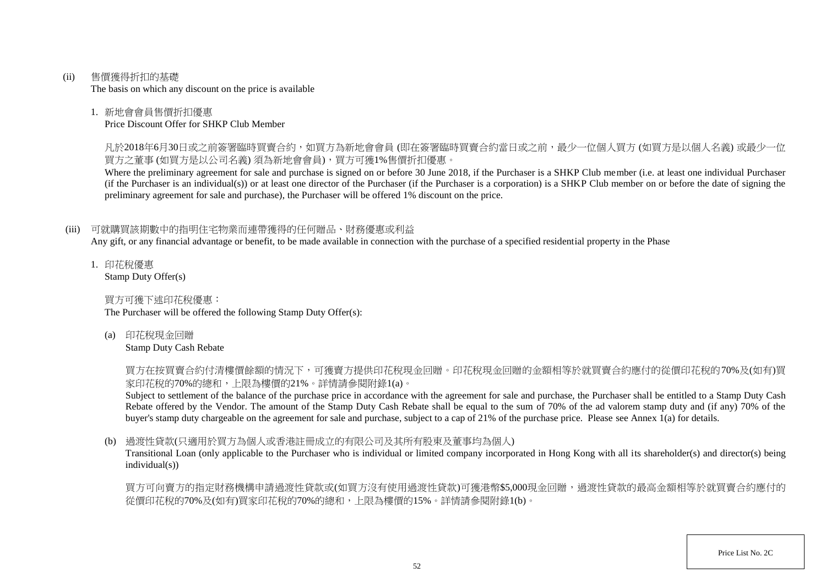(ii) 售價獲得折扣的基礎

The basis on which any discount on the price is available

## 1. 新地會會員售價折扣優惠

Price Discount Offer for SHKP Club Member

凡於2018年6月30日或之前簽署臨時買賣合約,如買方為新地會會員 (即在簽署臨時買賣合約當日或之前,最少一位個人買方 (如買方是以個人名義) 或最少一位 買方之董事 (如買方是以公司名義) 須為新地會會員),買方可獲1%售價折扣優惠。

Where the preliminary agreement for sale and purchase is signed on or before 30 June 2018, if the Purchaser is a SHKP Club member (i.e. at least one individual Purchaser (if the Purchaser is an individual(s)) or at least one director of the Purchaser (if the Purchaser is a corporation) is a SHKP Club member on or before the date of signing the preliminary agreement for sale and purchase), the Purchaser will be offered 1% discount on the price.

# (iii) 可就購買該期數中的指明住宅物業而連帶獲得的任何贈品、財務優惠或利益

Any gift, or any financial advantage or benefit, to be made available in connection with the purchase of a specified residential property in the Phase

1. 印花稅優惠 Stamp Duty Offer(s)

買方可獲下述印花稅優惠:

The Purchaser will be offered the following Stamp Duty Offer(s):

(a) 印花稅現金回贈

Stamp Duty Cash Rebate

買方在按買賣合約付清樓價餘額的情況下,可獲賣方提供印花稅現金回贈。印花稅現金回贈的金額相等於就買賣合約應付的從價印花稅的70%及(如有)買 家印花稅的70%的總和,上限為樓價的21%。詳情請參閱附錄1(a)。

Subject to settlement of the balance of the purchase price in accordance with the agreement for sale and purchase, the Purchaser shall be entitled to a Stamp Duty Cash Rebate offered by the Vendor. The amount of the Stamp Duty Cash Rebate shall be equal to the sum of 70% of the ad valorem stamp duty and (if any) 70% of the buyer's stamp duty chargeable on the agreement for sale and purchase, subject to a cap of 21% of the purchase price. Please see Annex 1(a) for details.

# (b) 過渡性貸款(只適用於買方為個人或香港註冊成立的有限公司及其所有股東及董事均為個人)

Transitional Loan (only applicable to the Purchaser who is individual or limited company incorporated in Hong Kong with all its shareholder(s) and director(s) being individual(s))

買方可向賣方的指定財務機構申請過渡性貸款或(如買方沒有使用過渡性貸款)可獲港幣\$5,000現金回贈,過渡性貸款的最高金額相等於就買賣合約應付的 從價印花稅的70%及(如有)買家印花稅的70%的總和,上限為樓價的15%。詳情請參閱附錄1(b)。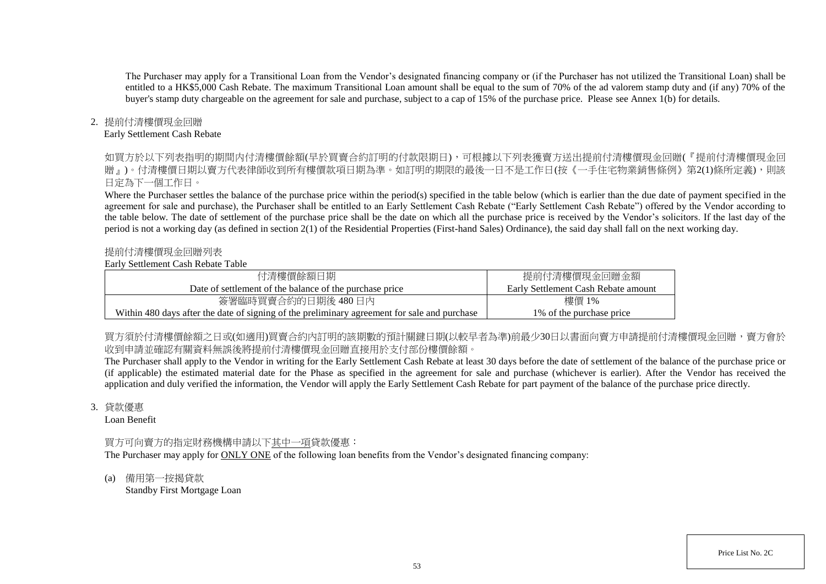The Purchaser may apply for a Transitional Loan from the Vendor's designated financing company or (if the Purchaser has not utilized the Transitional Loan) shall be entitled to a HK\$5,000 Cash Rebate. The maximum Transitional Loan amount shall be equal to the sum of 70% of the ad valorem stamp duty and (if any) 70% of the buyer's stamp duty chargeable on the agreement for sale and purchase, subject to a cap of 15% of the purchase price. Please see Annex 1(b) for details.

## 2. 提前付清樓價現金回贈

#### Early Settlement Cash Rebate

如買方於以下列表指明的期間内付清樓價餘額(早於買賣合約訂明的付款限期日),可根據以下列表獲賣方送出提前付清樓價現金回贈(『提前付清樓價現金回 贈』)。付清樓價日期以賣方代表律師收到所有樓價款項日期為進。如訂明的期限的最後一日不是工作日(按《一手住宅物業銷售條例》第2(1)條所定義),則該 日定為下一個工作日。

Where the Purchaser settles the balance of the purchase price within the period(s) specified in the table below (which is earlier than the due date of payment specified in the agreement for sale and purchase), the Purchaser shall be entitled to an Early Settlement Cash Rebate ("Early Settlement Cash Rebate") offered by the Vendor according to the table below. The date of settlement of the purchase price shall be the date on which all the purchase price is received by the Vendor's solicitors. If the last day of the period is not a working day (as defined in section 2(1) of the Residential Properties (First-hand Sales) Ordinance), the said day shall fall on the next working day.

#### 提前付清樓價現金回贈列表

#### Early Settlement Cash Rebate Table

| 付清樓價餘額日期                                                                                     | 提前付清樓價現金回贈金額                        |
|----------------------------------------------------------------------------------------------|-------------------------------------|
| Date of settlement of the balance of the purchase price                                      | Early Settlement Cash Rebate amount |
| 簽署臨時買賣合約的日期後 480日內                                                                           | 樓價 1%                               |
| Within 480 days after the date of signing of the preliminary agreement for sale and purchase | 1\% of the purchase price           |

買方須於付清樓價餘額之日或(如適用)買賣合約内訂明的該期數的預計關鍵日期(以較早者為準)前最少30日以書面向賣方申請提前付清樓價現金回贈,賣方會於 收到申請並確認有關資料無誤後將提前付清樓價現金回贈直接用於支付部份樓價餘額。

The Purchaser shall apply to the Vendor in writing for the Early Settlement Cash Rebate at least 30 days before the date of settlement of the balance of the purchase price or (if applicable) the estimated material date for the Phase as specified in the agreement for sale and purchase (whichever is earlier). After the Vendor has received the application and duly verified the information, the Vendor will apply the Early Settlement Cash Rebate for part payment of the balance of the purchase price directly.

#### 3. 貸款優惠

Loan Benefit

# 買方可向賣方的指定財務機構申請以下其中一項貸款優惠:

The Purchaser may apply for ONLY ONE of the following loan benefits from the Vendor's designated financing company:

(a) 備用第一按揭貸款 Standby First Mortgage Loan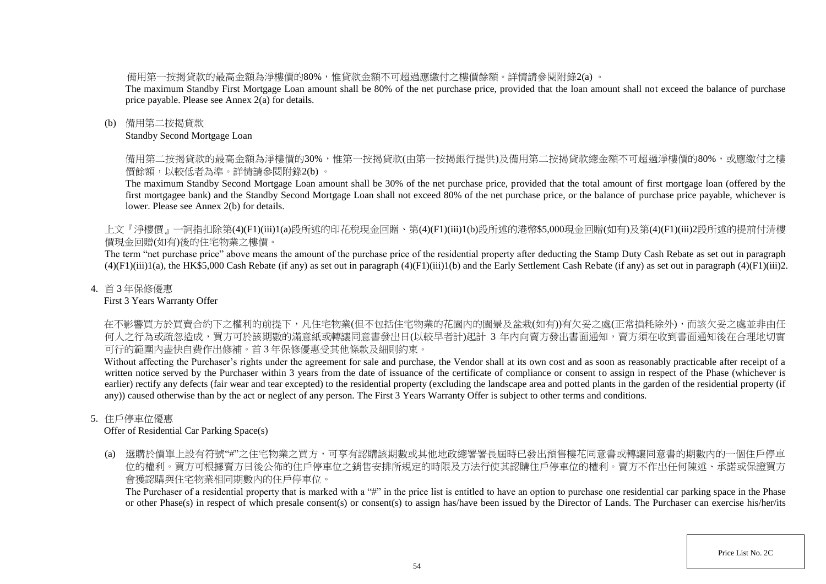備用第一按揭貸款的最高金額為淨樓價的80%,惟貸款金額不可超過應繳付之樓價餘額。詳情請參閱附錄2(a) 。

The maximum Standby First Mortgage Loan amount shall be 80% of the net purchase price, provided that the loan amount shall not exceed the balance of purchase price payable. Please see Annex 2(a) for details.

## (b) 備用第二按揭貸款

Standby Second Mortgage Loan

備用第二按揭貸款的最高金額為淨樓價的30%,惟第一按揭貸款(由第一按揭銀行提供)及備用第二按揭貸款總金額不可超過淨樓價的80%,或應繳付之樓 價餘額,以較低者為準。詳情請參閱附錄2(b) 。

The maximum Standby Second Mortgage Loan amount shall be 30% of the net purchase price, provided that the total amount of first mortgage loan (offered by the first mortgagee bank) and the Standby Second Mortgage Loan shall not exceed 80% of the net purchase price, or the balance of purchase price payable, whichever is lower. Please see Annex 2(b) for details.

上文『淨樓價』一詞指扣除第(4)(F1)(iii)1(a)段所述的印花稅現金回贈、第(4)(F1)(iii)1(b)段所述的港幣\$5,000現金回贈(如有)及第(4)(F1)(iii)2段所述的提前付清樓 價現金回贈(如有)後的住宅物業之樓價。

The term "net purchase price" above means the amount of the purchase price of the residential property after deducting the Stamp Duty Cash Rebate as set out in paragraph  $(4)(F1)(iii)1(a)$ , the HK\$5,000 Cash Rebate (if any) as set out in paragraph  $(4)(F1)(iii)1(b)$  and the Early Settlement Cash Rebate (if any) as set out in paragraph  $(4)(F1)(iii)2$ .

## 4. 首 3 年保修優惠

First 3 Years Warranty Offer

在不影響買方於買賣合約下之權利的前提下,凡住宅物業(但不包括住宅物業的花園內的園景及盆栽(如有))有欠妥之處(正常損耗除外),而該欠妥之處並非由任 何人之行為或疏忽造成,買方可於該期數的滿意紙或轉讓同意書發出日(以較早者計)起計 3 年内向賣方發出書面通知,賣方須在收到書面通知後在合理地切實 可行的範圍內盡快自費作出修補。首 3 年保修優惠受其他條款及細則約束。

Without affecting the Purchaser's rights under the agreement for sale and purchase, the Vendor shall at its own cost and as soon as reasonably practicable after receipt of a written notice served by the Purchaser within 3 years from the date of issuance of the certificate of compliance or consent to assign in respect of the Phase (whichever is earlier) rectify any defects (fair wear and tear excepted) to the residential property (excluding the landscape area and potted plants in the garden of the residential property (if any)) caused otherwise than by the act or neglect of any person. The First 3 Years Warranty Offer is subject to other terms and conditions.

# 5. 住戶停車位優惠

Offer of Residential Car Parking Space(s)

(a) 選購於價單上設有符號"#"之住宅物業之買方,可享有認購該期數或其他地政總署署長屆時已發出預售樓花同意書或轉讓同意書的期數內的一個住戶停車 位的權利。買方可根據賣方日後公佈的住戶停車位之銷售安排所規定的時限及方法行使其認購住戶停車位的權利。賣方不作出任何陳述、承諾或保證買方 會獲認購與住宅物業相同期數內的住戶停車位。

The Purchaser of a residential property that is marked with a "#" in the price list is entitled to have an option to purchase one residential car parking space in the Phase or other Phase(s) in respect of which presale consent(s) or consent(s) to assign has/have been issued by the Director of Lands. The Purchaser can exercise his/her/its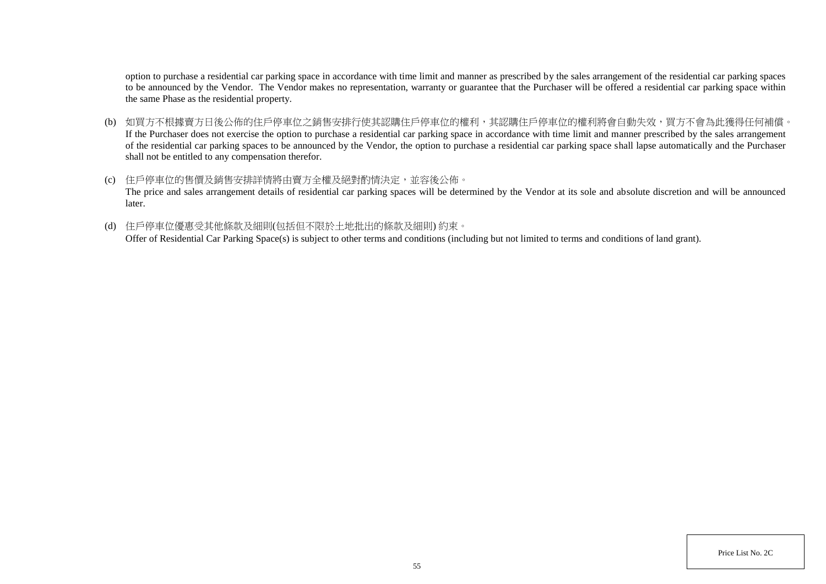option to purchase a residential car parking space in accordance with time limit and manner as prescribed by the sales arrangement of the residential car parking spaces to be announced by the Vendor. The Vendor makes no representation, warranty or guarantee that the Purchaser will be offered a residential car parking space within the same Phase as the residential property.

- (b) 如買方不根據賣方日後公佈的住戶停車位之銷售安排行使其認購住戶停車位的權利,其認購住戶停車位的權利將會自動失效,買方不會為此獲得任何補償。 If the Purchaser does not exercise the option to purchase a residential car parking space in accordance with time limit and manner prescribed by the sales arrangement of the residential car parking spaces to be announced by the Vendor, the option to purchase a residential car parking space shall lapse automatically and the Purchaser shall not be entitled to any compensation therefor.
- (c) 住戶停車位的售價及銷售安排詳情將由賣方全權及絕對酌情決定,並容後公佈。 The price and sales arrangement details of residential car parking spaces will be determined by the Vendor at its sole and absolute discretion and will be announced later.
- (d) 住戶停車位優惠受其他條款及細則(包括但不限於土地批出的條款及細則) 約束。

Offer of Residential Car Parking Space(s) is subject to other terms and conditions (including but not limited to terms and conditions of land grant).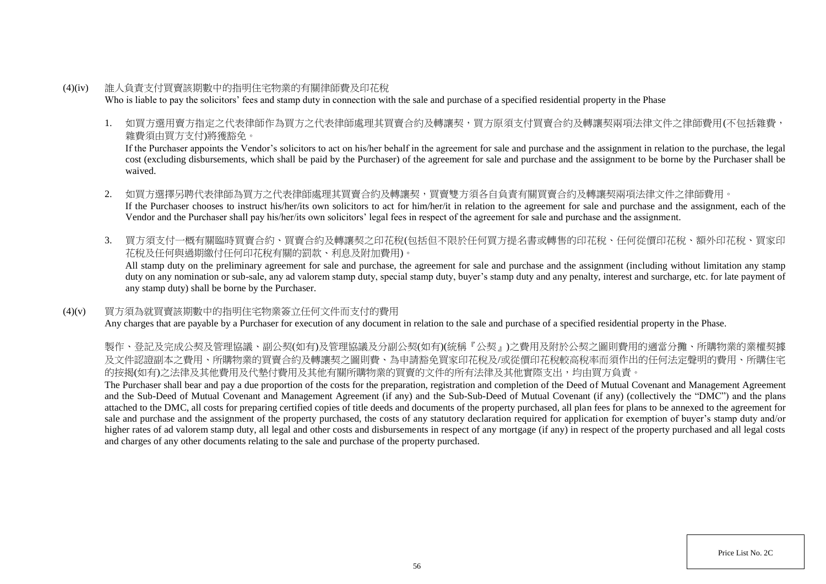- (4)(iv) 誰人負責支付買賣該期數中的指明住宅物業的有關律師費及印花稅 Who is liable to pay the solicitors' fees and stamp duty in connection with the sale and purchase of a specified residential property in the Phase
	- 1. 如買方選用賣方指定之代表律師作為買方之代表律師處理其買賣合約及轉讓契,買方原須支付買賣合約及轉讓契兩項法律文件之律師費用(不包括雜費, 雜費須由買方支付)將獲豁免。

If the Purchaser appoints the Vendor's solicitors to act on his/her behalf in the agreement for sale and purchase and the assignment in relation to the purchase, the legal cost (excluding disbursements, which shall be paid by the Purchaser) of the agreement for sale and purchase and the assignment to be borne by the Purchaser shall be waived.

- 2. 如買方選擇另聘代表律師為買方之代表律師處理其買賣合約及轉讓契,買賣雙方須各自負責有關買賣合約及轉讓契兩項法律文件之律師費用。 If the Purchaser chooses to instruct his/her/its own solicitors to act for him/her/it in relation to the agreement for sale and purchase and the assignment, each of the Vendor and the Purchaser shall pay his/her/its own solicitors' legal fees in respect of the agreement for sale and purchase and the assignment.
- 3. 買方須支付一概有關臨時買賣合約、買賣合約及轉讓契之印花稅(包括但不限於任何買方提名書或轉售的印花稅、任何從價印花稅、額外印花稅、買家印 花稅及任何與過期繳付任何印花稅有關的罰款、利息及附加費用)。

All stamp duty on the preliminary agreement for sale and purchase, the agreement for sale and purchase and the assignment (including without limitation any stamp duty on any nomination or sub-sale, any ad valorem stamp duty, special stamp duty, buyer's stamp duty and any penalty, interest and surcharge, etc. for late payment of any stamp duty) shall be borne by the Purchaser.

## (4)(v) 買方須為就買賣該期數中的指明住宅物業簽立任何文件而支付的費用

Any charges that are payable by a Purchaser for execution of any document in relation to the sale and purchase of a specified residential property in the Phase.

製作、登記及完成公契及管理協議、副公契(如有)及管理協議及分副公契(如有)(統稱『公契』)之費用及附於公契之圖則費用的適當分攤、所購物業的業權契據 及文件認證副本之費用、所購物業的買賣合約及轉讓契之圖則費、為申請豁免買家印花稅及/或從價印花稅較高稅率而須作出的任何法定聲明的費用、所購住宅 的按揭(如有)之法律及其他費用及代墊付費用及其他有關所購物業的買賣的文件的所有法律及其他實際支出,均由買方負責。

The Purchaser shall bear and pay a due proportion of the costs for the preparation, registration and completion of the Deed of Mutual Covenant and Management Agreement and the Sub-Deed of Mutual Covenant and Management Agreement (if any) and the Sub-Sub-Deed of Mutual Covenant (if any) (collectively the "DMC") and the plans attached to the DMC, all costs for preparing certified copies of title deeds and documents of the property purchased, all plan fees for plans to be annexed to the agreement for sale and purchase and the assignment of the property purchased, the costs of any statutory declaration required for application for exemption of buyer's stamp duty and/or higher rates of ad valorem stamp duty, all legal and other costs and disbursements in respect of any mortgage (if any) in respect of the property purchased and all legal costs and charges of any other documents relating to the sale and purchase of the property purchased.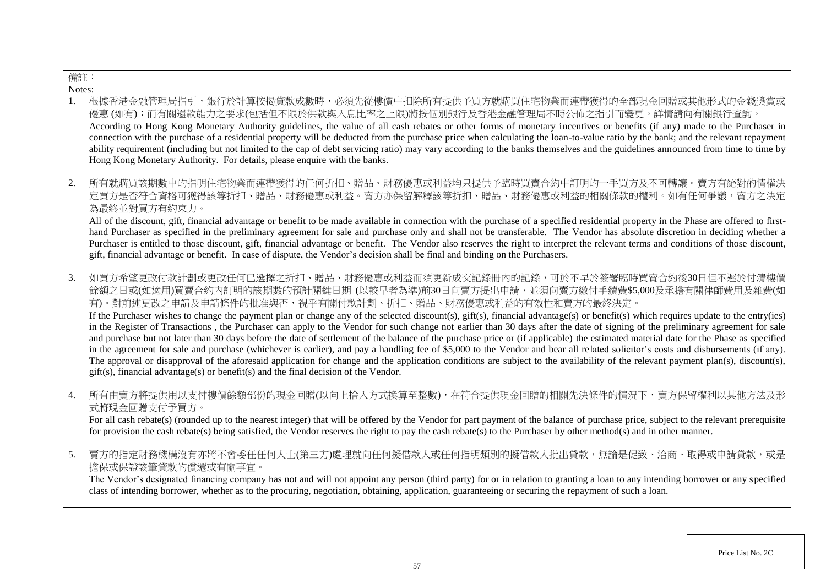# 備註:

Notes:

- 1. 根據香港金融管理局指引,銀行於計算按揭貸款成數時,必須先從樓價中扣除所有提供予買方就購買住宅物業而連帶獲得的全部現金回贈或其他形式的金錢獎賞或 優惠 (如有);而有關還款能力之要求(包括但不限於供款與入息比率之上限)將按個別銀行及香港金融管理局不時公佈之指引而變更。詳情請向有關銀行查詢。 According to Hong Kong Monetary Authority guidelines, the value of all cash rebates or other forms of monetary incentives or benefits (if any) made to the Purchaser in connection with the purchase of a residential property will be deducted from the purchase price when calculating the loan-to-value ratio by the bank; and the relevant repayment ability requirement (including but not limited to the cap of debt servicing ratio) may vary according to the banks themselves and the guidelines announced from time to time by Hong Kong Monetary Authority. For details, please enquire with the banks.
- 2. 所有就購買該期數中的指明住宅物業而連帶獲得的任何折扣、贈品、財務優惠或利益均只提供予臨時買賣合約中訂明的一手買方及不可轉讓。賣方有絕對酌情權決 定買方是否符合資格可獲得該等折扣、贈品、財務優惠或利益。賣方亦保留解釋該等折扣、贈品、財務優惠或利益的相關條款的權利。如有任何爭議,賣方之決定 為最終並對買方有約束力。

All of the discount, gift, financial advantage or benefit to be made available in connection with the purchase of a specified residential property in the Phase are offered to firsthand Purchaser as specified in the preliminary agreement for sale and purchase only and shall not be transferable. The Vendor has absolute discretion in deciding whether a Purchaser is entitled to those discount, gift, financial advantage or benefit. The Vendor also reserves the right to interpret the relevant terms and conditions of those discount, gift, financial advantage or benefit. In case of dispute, the Vendor's decision shall be final and binding on the Purchasers.

3. 如買方希望更改付款計劃或更改任何已選擇之折扣、贈品、財務優惠或利益而須更新成交記錄冊內的記錄,可於不早於簽署臨時買賣合約後30日但不遲於付清樓價 餘額之日或(如適用)買賣合約內訂明的該期數的預計關鍵日期 (以較早者為準)前30日向賣方提出申請,並須向賣方繳付手續費\$5,000及承擔有關律師費用及雜費(如 有)。對前述更改之申請及申請條件的批准與否,視乎有關付款計劃、折扣、贈品、財務優惠或利益的有效性和賣方的最終決定。

If the Purchaser wishes to change the payment plan or change any of the selected discount(s), gift(s), financial advantage(s) or benefit(s) which requires update to the entry(ies) in the Register of Transactions , the Purchaser can apply to the Vendor for such change not earlier than 30 days after the date of signing of the preliminary agreement for sale and purchase but not later than 30 days before the date of settlement of the balance of the purchase price or (if applicable) the estimated material date for the Phase as specified in the agreement for sale and purchase (whichever is earlier), and pay a handling fee of \$5,000 to the Vendor and bear all related solicitor's costs and disbursements (if any). The approval or disapproval of the aforesaid application for change and the application conditions are subject to the availability of the relevant payment plan(s), discount(s), gift(s), financial advantage(s) or benefit(s) and the final decision of the Vendor.

4. 所有由賣方將提供用以支付樓價餘額部份的現金回贈(以向上捨入方式換算至整數),在符合提供現金回贈的相關先決條件的情況下,賣方保留權利以其他方法及形 式將現金回贈支付予買方。

For all cash rebate(s) (rounded up to the nearest integer) that will be offered by the Vendor for part payment of the balance of purchase price, subject to the relevant prerequisite for provision the cash rebate(s) being satisfied, the Vendor reserves the right to pay the cash rebate(s) to the Purchaser by other method(s) and in other manner.

5. 賣方的指定財務機構沒有亦將不會委任任何人士(第三方)處理就向任何擬借款人或任何指明類別的擬借款人批出貸款,無論是促致、洽商、取得或申請貸款,或是 擔保或保證該筆貸款的償還或有關事宜。

The Vendor's designated financing company has not and will not appoint any person (third party) for or in relation to granting a loan to any intending borrower or any specified class of intending borrower, whether as to the procuring, negotiation, obtaining, application, guaranteeing or securing the repayment of such a loan.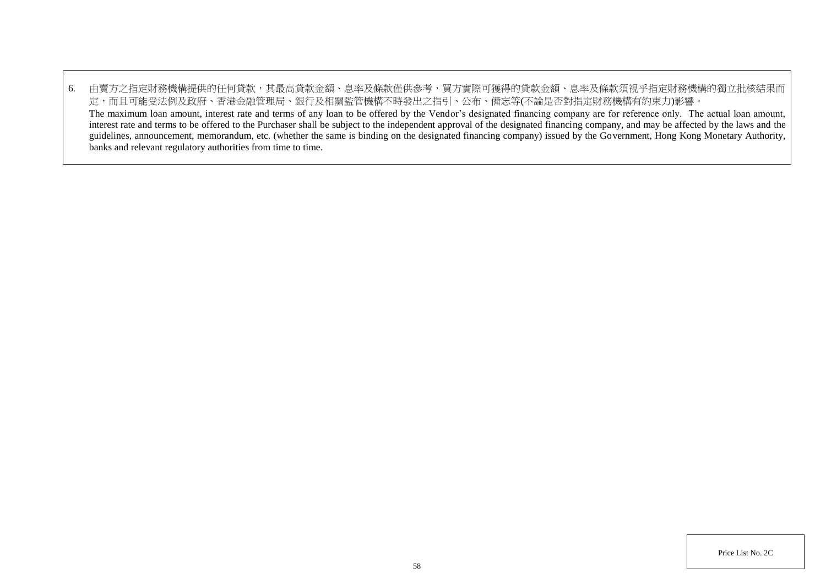6. 由賣方之指定財務機構提供的任何貸款,其最高貸款金額、息率及條款僅供參考,買方實際可獲得的貸款金額、息率及條款須視乎指定財務機構的獨立批核結果而 定,而且可能受法例及政府、香港金融管理局、銀行及相關監管機構不時發出之指引、公布、備忘等(不論是否對指定財務機構有約束力)影響。 The maximum loan amount, interest rate and terms of any loan to be offered by the Vendor's designated financing company are for reference only. The actual loan amount, interest rate and terms to be offered to the Purchaser shall be subject to the independent approval of the designated financing company, and may be affected by the laws and the guidelines, announcement, memorandum, etc. (whether the same is binding on the designated financing company) issued by the Government, Hong Kong Monetary Authority, banks and relevant regulatory authorities from time to time.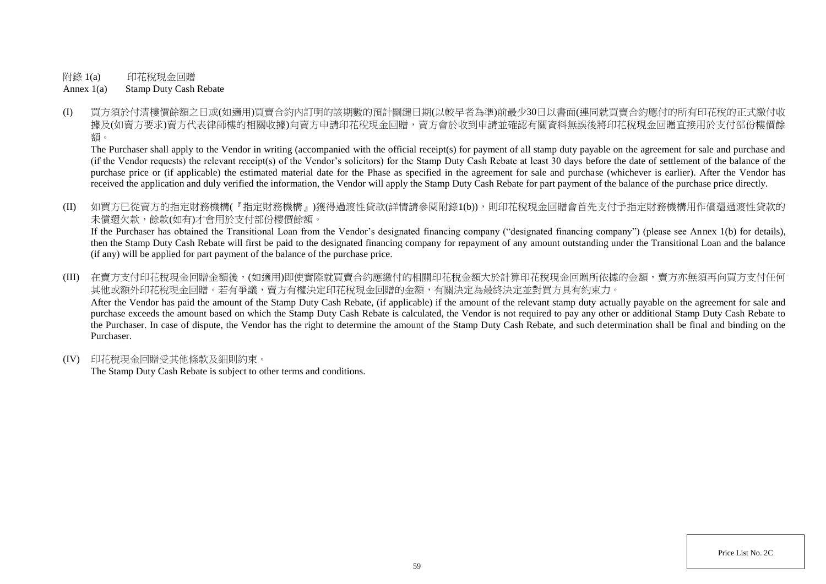附錄 1(a) 印花稅現金回贈

Annex 1(a) Stamp Duty Cash Rebate

(I) 買方須於付清樓價餘額之日或(如適用)買賣合約內訂明的該期數的預計關鍵日期(以較早者為準)前最少30日以書面(連同就買賣合約應付的所有印花稅的正式繳付收 據及(如賣方要求)賣方代表律師樓的相關收據)向賣方申請印花稅現金回贈,賣方會於收到申請並確認有關資料無誤後將印花稅現金回贈直接用於支付部份樓價餘 額。

The Purchaser shall apply to the Vendor in writing (accompanied with the official receipt(s) for payment of all stamp duty payable on the agreement for sale and purchase and (if the Vendor requests) the relevant receipt(s) of the Vendor's solicitors) for the Stamp Duty Cash Rebate at least 30 days before the date of settlement of the balance of the purchase price or (if applicable) the estimated material date for the Phase as specified in the agreement for sale and purchase (whichever is earlier). After the Vendor has received the application and duly verified the information, the Vendor will apply the Stamp Duty Cash Rebate for part payment of the balance of the purchase price directly.

(II) 如買方已從賣方的指定財務機構(『指定財務機構』)獲得過渡性貸款(詳情請參閱附錄1(b)),則印花稅現金回贈會首先支付予指定財務機構用作償還過渡性貸款的 未償還欠款,餘款(如有)才會用於支付部份樓價餘額。

If the Purchaser has obtained the Transitional Loan from the Vendor's designated financing company ("designated financing company") (please see Annex 1(b) for details), then the Stamp Duty Cash Rebate will first be paid to the designated financing company for repayment of any amount outstanding under the Transitional Loan and the balance (if any) will be applied for part payment of the balance of the purchase price.

(III) 在賣方支付印花稅現金回贈金額後,(如適用)即使實際就買賣合約應繳付的相關印花稅金額大於計算印花稅現金回贈所依據的金額,賣方亦無須再向買方支付任何 其他或額外印花稅現金回贈。若有爭議,賣方有權決定印花稅現金回贈的金額,有關決定為最終決定並對買方具有約束力。 After the Vendor has paid the amount of the Stamp Duty Cash Rebate, (if applicable) if the amount of the relevant stamp duty actually payable on the agreement for sale and purchase exceeds the amount based on which the Stamp Duty Cash Rebate is calculated, the Vendor is not required to pay any other or additional Stamp Duty Cash Rebate to the Purchaser. In case of dispute, the Vendor has the right to determine the amount of the Stamp Duty Cash Rebate, and such determination shall be final and binding on the Purchaser.

(IV) 印花稅現金回贈受其他條款及細則約束。

The Stamp Duty Cash Rebate is subject to other terms and conditions.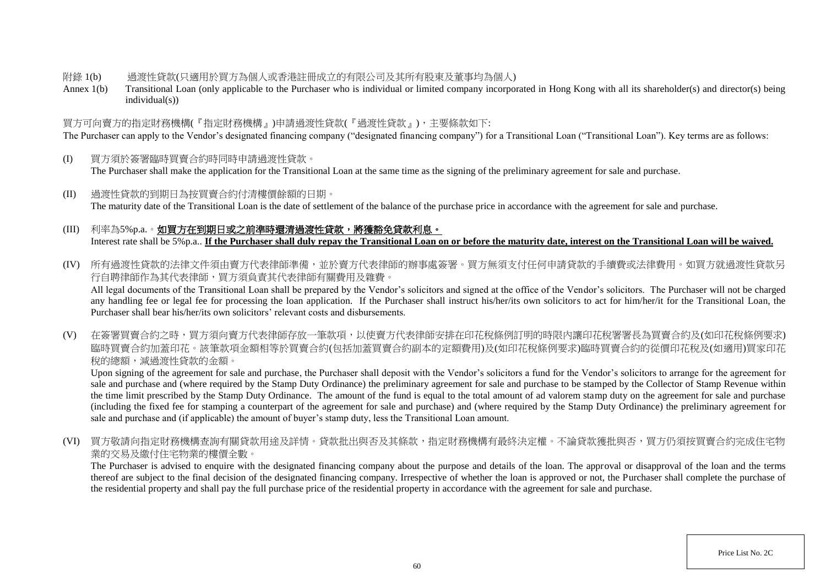#### 附錄 1(b) 過渡性貸款(只適用於買方為個人或香港註冊成立的有限公司及其所有股東及董事均為個人)

Annex 1(b) Transitional Loan (only applicable to the Purchaser who is individual or limited company incorporated in Hong Kong with all its shareholder(s) and director(s) being individual(s))

# 買方可向賣方的指定財務機構(『指定財務機構』)申請過渡性貸款(『過渡性貸款』),主要條款如下:

The Purchaser can apply to the Vendor's designated financing company ("designated financing company") for a Transitional Loan ("Transitional Loan"). Key terms are as follows:

- (I) 買方須於簽署臨時買賣合約時同時申請過渡性貸款。 The Purchaser shall make the application for the Transitional Loan at the same time as the signing of the preliminary agreement for sale and purchase.
- (II) 過渡性貸款的到期日為按買賣合約付清樓價餘額的日期。 The maturity date of the Transitional Loan is the date of settlement of the balance of the purchase price in accordance with the agreement for sale and purchase.

# (III) 利率為5%p.a.。如買方在到期日或之前準時還清過渡性貸款,將獲豁免貸款利息。 Interest rate shall be 5%p.a.. **If the Purchaser shall duly repay the Transitional Loan on or before the maturity date, interest on the Transitional Loan will be waived.**

(IV) 所有過渡性貸款的法律文件須由賣方代表律師準備,並於賣方代表律師的辦事處簽署。買方無須支付任何申請貸款的手續費或法律費用。如買方就過渡性貸款另 行自聘律師作為其代表律師,買方須負責其代表律師有關費用及雜費。

All legal documents of the Transitional Loan shall be prepared by the Vendor's solicitors and signed at the office of the Vendor's solicitors. The Purchaser will not be charged any handling fee or legal fee for processing the loan application. If the Purchaser shall instruct his/her/its own solicitors to act for him/her/it for the Transitional Loan, the Purchaser shall bear his/her/its own solicitors' relevant costs and disbursements.

(V) 在簽署買賣合約之時,買方須向賣方代表律師存放一筆款項,以使賣方代表律師安排在印花稅條例訂明的時限內讓印花稅署署長為買賣合約及(如印花稅條例要求) 臨時買賣合約加蓋印花。該筆款項金額相等於買賣合約(包括加蓋買賣合約副本的定額費用)及(如印花稅條例要求)臨時買賣合約的從價印花稅及(如適用)買家印花 稅的總額,減過渡性貸款的金額。

Upon signing of the agreement for sale and purchase, the Purchaser shall deposit with the Vendor's solicitors a fund for the Vendor's solicitors to arrange for the agreement for sale and purchase and (where required by the Stamp Duty Ordinance) the preliminary agreement for sale and purchase to be stamped by the Collector of Stamp Revenue within the time limit prescribed by the Stamp Duty Ordinance. The amount of the fund is equal to the total amount of ad valorem stamp duty on the agreement for sale and purchase (including the fixed fee for stamping a counterpart of the agreement for sale and purchase) and (where required by the Stamp Duty Ordinance) the preliminary agreement for sale and purchase and (if applicable) the amount of buyer's stamp duty, less the Transitional Loan amount.

(VI) 買方敬請向指定財務機構查詢有關貸款用途及詳情。貸款批出與否及其條款,指定財務機構有最終決定權。不論貸款獲批與否,買方仍須按買賣合約完成住宅物 業的交易及繳付住宅物業的樓價全數。

The Purchaser is advised to enquire with the designated financing company about the purpose and details of the loan. The approval or disapproval of the loan and the terms thereof are subject to the final decision of the designated financing company. Irrespective of whether the loan is approved or not, the Purchaser shall complete the purchase of the residential property and shall pay the full purchase price of the residential property in accordance with the agreement for sale and purchase.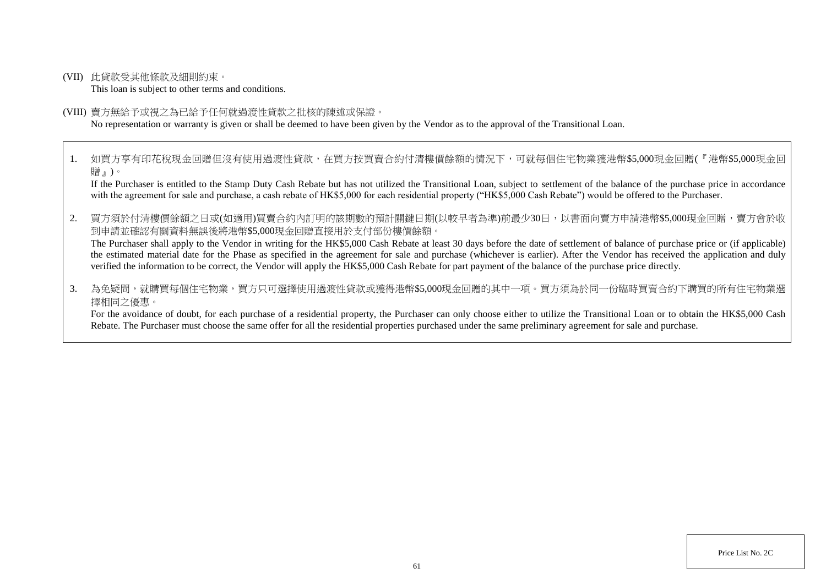(VII) 此貸款受其他條款及細則約束。

This loan is subject to other terms and conditions.

#### (VIII) 賣方無給予或視之為已給予任何就過渡性貸款之批核的陳述或保證。

No representation or warranty is given or shall be deemed to have been given by the Vendor as to the approval of the Transitional Loan.

1. 如買方享有印花稅現金回贈但沒有使用過渡性貸款,在買方按買賣合約付清樓價餘額的情況下,可就每個住宅物業獲港幣\$5,000現金回贈(『港幣\$5,000現金回 贈』)。

If the Purchaser is entitled to the Stamp Duty Cash Rebate but has not utilized the Transitional Loan, subject to settlement of the balance of the purchase price in accordance with the agreement for sale and purchase, a cash rebate of HK\$5,000 for each residential property ("HK\$5,000 Cash Rebate") would be offered to the Purchaser.

2. 買方須於付清樓價餘額之日或(如適用)買賣合約內訂明的該期數的預計關鍵日期(以較早者為準)前最少30日,以書面向賣方申請港幣\$5,000現金回贈,賣方會於收 到申請並確認有關資料無誤後將港幣\$5,000現金回贈直接用於支付部份樓價餘額。

The Purchaser shall apply to the Vendor in writing for the HK\$5,000 Cash Rebate at least 30 days before the date of settlement of balance of purchase price or (if applicable) the estimated material date for the Phase as specified in the agreement for sale and purchase (whichever is earlier). After the Vendor has received the application and duly verified the information to be correct, the Vendor will apply the HK\$5,000 Cash Rebate for part payment of the balance of the purchase price directly.

3. 為免疑問,就購買每個住宅物業,買方只可選擇使用過渡性貸款或獲得港幣\$5.000現金回贈的其中一項。買方須為於同一份臨時買賣合約下購買的所有住宅物業選 擇相同之優惠。

For the avoidance of doubt, for each purchase of a residential property, the Purchaser can only choose either to utilize the Transitional Loan or to obtain the HK\$5,000 Cash Rebate. The Purchaser must choose the same offer for all the residential properties purchased under the same preliminary agreement for sale and purchase.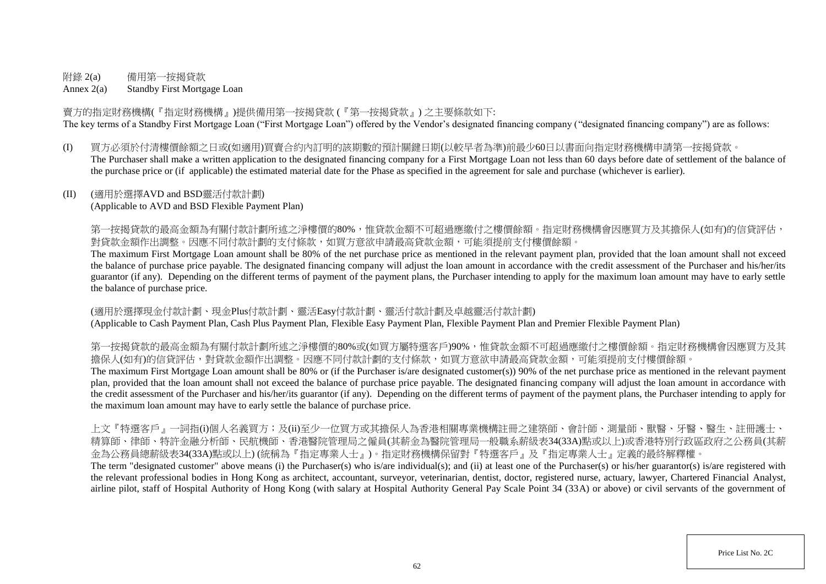# 附錄 2(a) 備用第一按揭貸款

Annex 2(a) Standby First Mortgage Loan

賣方的指定財務機構(『指定財務機構』)提供備用第一按揭貸款 (『第一按揭貸款』) 之主要條款如下: The key terms of a Standby First Mortgage Loan ("First Mortgage Loan") offered by the Vendor's designated financing company ("designated financing company") are as follows:

(I) 買方必須於付清樓價餘額之日或(如適用)買賣合約內訂明的該期數的預計關鍵日期(以較早者為準)前最少60日以書面向指定財務機構申請第一按揭貸款。 The Purchaser shall make a written application to the designated financing company for a First Mortgage Loan not less than 60 days before date of settlement of the balance of the purchase price or (if applicable) the estimated material date for the Phase as specified in the agreement for sale and purchase (whichever is earlier).

## (II) (適用於選擇AVD and BSD靈活付款計劃)

(Applicable to AVD and BSD Flexible Payment Plan)

第一按揭貸款的最高金額為有關付款計劃所述之淨樓價的80%,惟貸款金額不可超過應繳付之樓價餘額。指定財務機構會因應買方及其擔保人(如有)的信貸評估, 對貸款金額作出調整。因應不同付款計劃的支付條款,如買方意欲申請最高貸款金額,可能須提前支付樓價餘額。

The maximum First Mortgage Loan amount shall be 80% of the net purchase price as mentioned in the relevant payment plan, provided that the loan amount shall not exceed the balance of purchase price payable. The designated financing company will adjust the loan amount in accordance with the credit assessment of the Purchaser and his/her/its guarantor (if any). Depending on the different terms of payment of the payment plans, the Purchaser intending to apply for the maximum loan amount may have to early settle the balance of purchase price.

(適用於選擇現金付款計劃、現金Plus付款計劃、靈活Easy付款計劃、靈活付款計劃及卓越靈活付款計劃) (Applicable to Cash Payment Plan, Cash Plus Payment Plan, Flexible Easy Payment Plan, Flexible Payment Plan and Premier Flexible Payment Plan)

第一按揭貸款的最高金額為有關付款計劃所述之淨樓價的80%或(如買方屬特選客戶)90%,惟貸款金額不可超過應繳付之樓價餘額。指定財務機構會因應買方及其 擔保人(如有)的信貸評估,對貸款金額作出調整。因應不同付款計劃的支付條款,如買方意欲申請最高貸款金額,可能須提前支付樓價餘額。

The maximum First Mortgage Loan amount shall be 80% or (if the Purchaser is/are designated customer(s)) 90% of the net purchase price as mentioned in the relevant payment plan, provided that the loan amount shall not exceed the balance of purchase price payable. The designated financing company will adjust the loan amount in accordance with the credit assessment of the Purchaser and his/her/its guarantor (if any). Depending on the different terms of payment of the payment plans, the Purchaser intending to apply for the maximum loan amount may have to early settle the balance of purchase price.

上文『特選客戶』一詞指(i)個人名義買方;及(ii)至少一位買方或其擔保人為香港相關專業機構註冊之建築師、會計師、測量師、獸醫、牙醫、醫生、註冊護士、 精算師、律師、特許金融分析師、民航機師、香港醫院管理局之僱員(其薪金為醫院管理局一般職系薪級表34(33A)點或以上)或香港特別行政區政府之公務員(其薪 金為公務員總薪級表34(33A)點或以上) (統稱為『指定專業人士』)。指定財務機構保留對『特選客戶』及『指定專業人士』定義的最終解釋權。

The term "designated customer" above means (i) the Purchaser(s) who is/are individual(s); and (ii) at least one of the Purchaser(s) or his/her guarantor(s) is/are registered with the relevant professional bodies in Hong Kong as architect, accountant, surveyor, veterinarian, dentist, doctor, registered nurse, actuary, lawyer, Chartered Financial Analyst, airline pilot, staff of Hospital Authority of Hong Kong (with salary at Hospital Authority General Pay Scale Point 34 (33A) or above) or civil servants of the government of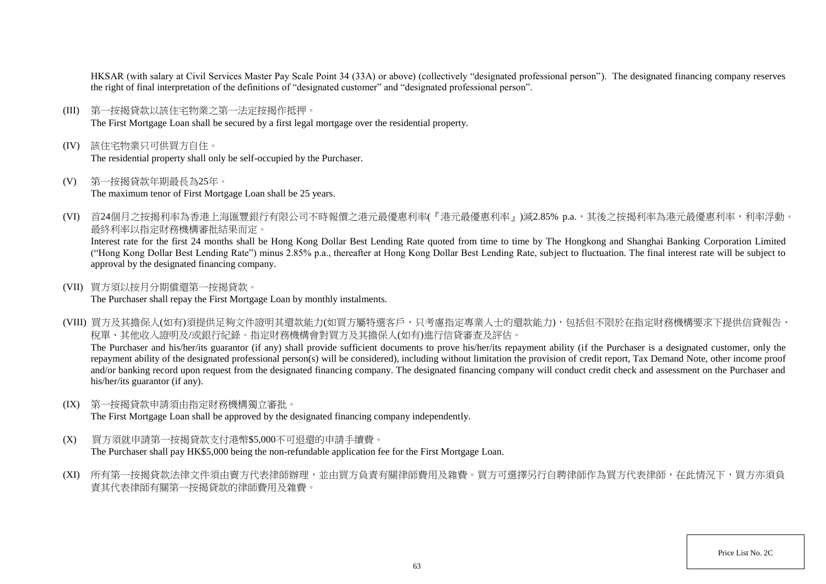HKSAR (with salary at Civil Services Master Pay Scale Point 34 (33A) or above) (collectively "designated professional person"). The designated financing company reserves the right of final interpretation of the definitions of "designated customer" and "designated professional person".

- (III) 第一按揭貸款以該住宅物業之第一法定按揭作抵押。 The First Mortgage Loan shall be secured by a first legal mortgage over the residential property.
- (IV) 該住宅物業只可供買方自住。 The residential property shall only be self-occupied by the Purchaser.
- (V) 第一按揭貸款年期最長為25年。 The maximum tenor of First Mortgage Loan shall be 25 years.
- (VI) 首24個月之按揭利率為香港上海匯豐銀行有限公司不時報價之港元最優惠利率(『港元最優惠利率』)減2.85% p.a.,其後之按揭利率為港元最優惠利率,利率浮動。 最終利率以指定財務機構審批結果而定。

Interest rate for the first 24 months shall be Hong Kong Dollar Best Lending Rate quoted from time to time by The Hongkong and Shanghai Banking Corporation Limited ("Hong Kong Dollar Best Lending Rate") minus 2.85% p.a., thereafter at Hong Kong Dollar Best Lending Rate, subject to fluctuation. The final interest rate will be subject to approval by the designated financing company.

(VII) 買方須以按月分期償還第一按揭貸款。

The Purchaser shall repay the First Mortgage Loan by monthly instalments.

(VIII) 買方及其擔保人(如有)須提供足夠文件證明其還款能力(如買方屬特選客戶,只考慮指定專業人士的還款能力),包括但不限於在指定財務機構要求下提供信貸報告、 稅單、其他收入證明及/或銀行紀錄。指定財務機構會對買方及其擔保人(如有)進行信貸審查及評估。 The Purchaser and his/her/its guarantor (if any) shall provide sufficient documents to prove his/her/its repayment ability (if the Purchaser is a designated customer, only the

repayment ability of the designated professional person(s) will be considered), including without limitation the provision of credit report, Tax Demand Note, other income proof and/or banking record upon request from the designated financing company. The designated financing company will conduct credit check and assessment on the Purchaser and his/her/its guarantor (if any).

(IX) 第一按揭貸款申請須由指定財務機構獨立審批。

The First Mortgage Loan shall be approved by the designated financing company independently.

- (X) 買方須就申請第一按揭貸款支付港幣\$5,000不可退還的申請手續費。 The Purchaser shall pay HK\$5,000 being the non-refundable application fee for the First Mortgage Loan.
- (XI) 所有第一按揭貸款法律文件須由賣方代表律師辦理,並由買方負責有關律師費用及雜費。買方可選擇另行自聘律師作為買方代表律師,在此情況下,買方亦須負 責其代表律師有關第一按揭貸款的律師費用及雜費。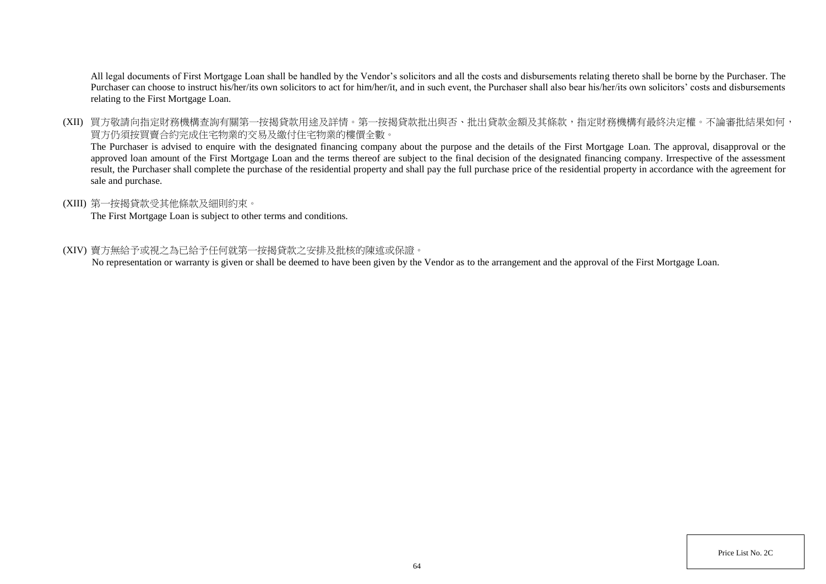All legal documents of First Mortgage Loan shall be handled by the Vendor's solicitors and all the costs and disbursements relating thereto shall be borne by the Purchaser. The Purchaser can choose to instruct his/her/its own solicitors to act for him/her/it, and in such event, the Purchaser shall also bear his/her/its own solicitors' costs and disbursements relating to the First Mortgage Loan.

(XII) 買方敬請向指定財務機構查詢有關第一按揭貸款用途及詳情。第一按揭貸款批出與否、批出貸款金額及其條款,指定財務機構有最終決定權。不論審批結果如何, 買方仍須按買賣合約完成住宅物業的交易及繳付住宅物業的樓價全數。

The Purchaser is advised to enquire with the designated financing company about the purpose and the details of the First Mortgage Loan. The approval, disapproval or the approved loan amount of the First Mortgage Loan and the terms thereof are subject to the final decision of the designated financing company. Irrespective of the assessment result, the Purchaser shall complete the purchase of the residential property and shall pay the full purchase price of the residential property in accordance with the agreement for sale and purchase.

## (XIII) 第一按揭貸款受其他條款及細則約束。

The First Mortgage Loan is subject to other terms and conditions.

#### (XIV) 賣方無給予或視之為已給予任何就第一按揭貸款之安排及批核的陳述或保證。

No representation or warranty is given or shall be deemed to have been given by the Vendor as to the arrangement and the approval of the First Mortgage Loan.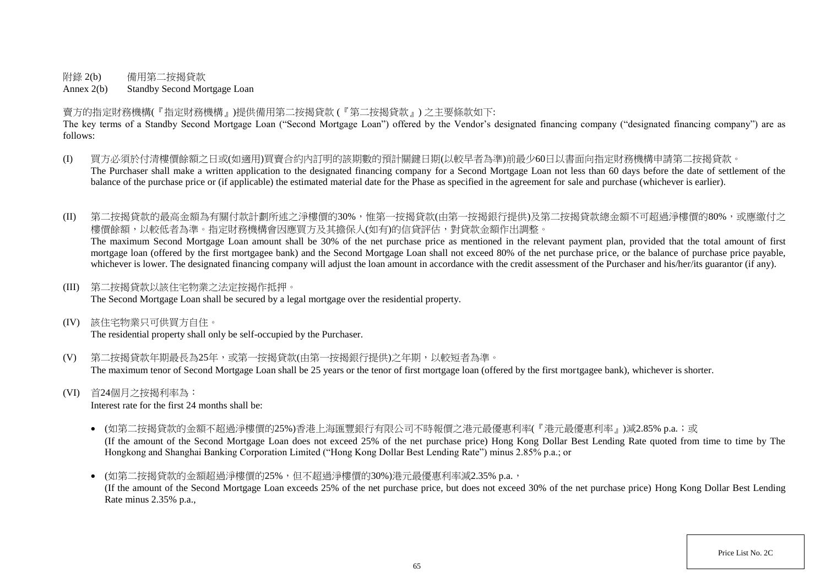附錄 2(b) 備用第二按揭貸款

Annex 2(b) Standby Second Mortgage Loan

賣方的指定財務機構(『指定財務機構』)提供備用第二按揭貸款 (『第二按揭貸款』) 之主要條款如下:

The key terms of a Standby Second Mortgage Loan ("Second Mortgage Loan") offered by the Vendor's designated financing company ("designated financing company") are as follows:

- (I) 買方必須於付清樓價餘額之日或(如適用)買賣合約內訂明的該期數的預計關鍵日期(以較早者為準)前最少60日以書面向指定財務機構申請第二按揭貸款。 The Purchaser shall make a written application to the designated financing company for a Second Mortgage Loan not less than 60 days before the date of settlement of the balance of the purchase price or (if applicable) the estimated material date for the Phase as specified in the agreement for sale and purchase (whichever is earlier).
- (II) 第二按揭貸款的最高金額為有關付款計劃所述之淨樓價的30%,惟第一按揭貸款(由第一按揭銀行提供)及第二按揭貸款總金額不可超過淨樓價的80%,或應繳付之 樓價餘額,以較低者為準。指定財務機構會因應買方及其擔保人(如有)的信貸評估,對貸款金額作出調整。 The maximum Second Mortgage Loan amount shall be 30% of the net purchase price as mentioned in the relevant payment plan, provided that the total amount of first

mortgage loan (offered by the first mortgagee bank) and the Second Mortgage Loan shall not exceed 80% of the net purchase price, or the balance of purchase price payable, whichever is lower. The designated financing company will adjust the loan amount in accordance with the credit assessment of the Purchaser and his/her/its guarantor (if any).

(III) 第二按揭貸款以該住宅物業之法定按揭作抵押。

The Second Mortgage Loan shall be secured by a legal mortgage over the residential property.

(IV) 該住宅物業只可供買方自住。

The residential property shall only be self-occupied by the Purchaser.

- (V) 第二按揭貸款年期最長為25年,或第一按揭貸款(由第一按揭銀行提供)之年期,以較短者為準。 The maximum tenor of Second Mortgage Loan shall be 25 years or the tenor of first mortgage loan (offered by the first mortgagee bank), whichever is shorter.
- (VI) 首24個月之按揭利率為:

Interest rate for the first 24 months shall be:

- (如第二按揭貸款的金額不超過淨樓價的25%)香港上海匯豐銀行有限公司不時報價之港元最優惠利率(『港元最優惠利率』)減2.85% p.a.;或 (If the amount of the Second Mortgage Loan does not exceed 25% of the net purchase price) Hong Kong Dollar Best Lending Rate quoted from time to time by The Hongkong and Shanghai Banking Corporation Limited ("Hong Kong Dollar Best Lending Rate") minus 2.85% p.a.; or
- (如第二按揭貸款的金額超過淨樓價的25%,但不超過淨樓價的30%)港元最優惠利率減2.35% p.a., (If the amount of the Second Mortgage Loan exceeds 25% of the net purchase price, but does not exceed 30% of the net purchase price) Hong Kong Dollar Best Lending Rate minus 2.35% p.a.,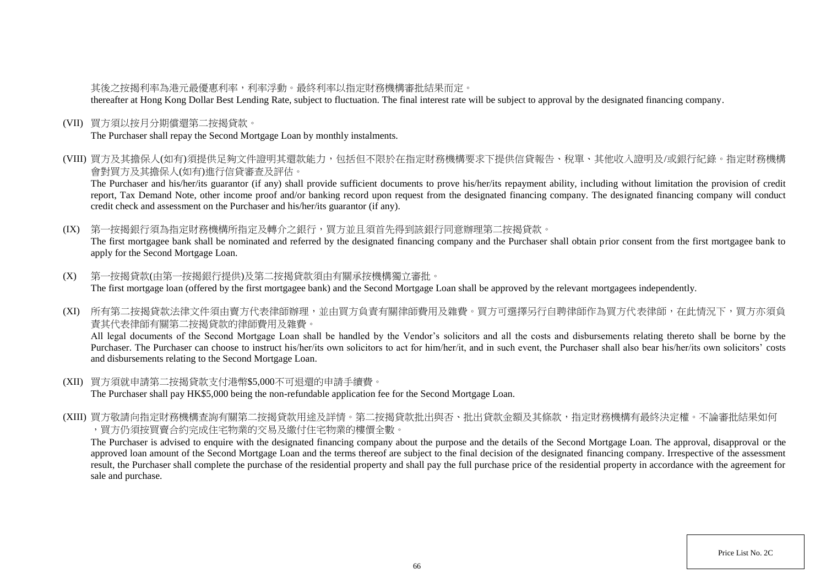# 其後之按揭利率為港元最優惠利率,利率浮動。最終利率以指定財務機構審批結果而定。

thereafter at Hong Kong Dollar Best Lending Rate, subject to fluctuation. The final interest rate will be subject to approval by the designated financing company.

(VII) 買方須以按月分期償還第二按揭貸款。

The Purchaser shall repay the Second Mortgage Loan by monthly instalments.

(VIII) 買方及其擔保人(如有)須提供足夠文件證明其還款能力,包括但不限於在指定財務機構要求下提供信貸報告、稅單、其他收入證明及/或銀行紀錄。指定財務機構 會對買方及其擔保人(如有)進行信貸審查及評估。

The Purchaser and his/her/its guarantor (if any) shall provide sufficient documents to prove his/her/its repayment ability, including without limitation the provision of credit report, Tax Demand Note, other income proof and/or banking record upon request from the designated financing company. The designated financing company will conduct credit check and assessment on the Purchaser and his/her/its guarantor (if any).

(IX) 第一按揭銀行須為指定財務機構所指定及轉介之銀行,買方並且須首先得到該銀行同意辦理第二按揭貸款。 The first mortgagee bank shall be nominated and referred by the designated financing company and the Purchaser shall obtain prior consent from the first mortgagee bank to apply for the Second Mortgage Loan.

- (X) 第一按揭貸款(由第一按揭銀行提供)及第二按揭貸款須由有關承按機構獨立審批。 The first mortgage loan (offered by the first mortgagee bank) and the Second Mortgage Loan shall be approved by the relevant mortgagees independently.
- (XI) 所有第二按揭貸款法律文件須由賣方代表律師辦理,並由買方負責有關律師費用及雜費。買方可選擇另行自聘律師作為買方代表律師,在此情況下,買方亦須負 責其代表律師有關第二按揭貸款的律師費用及雜費。

All legal documents of the Second Mortgage Loan shall be handled by the Vendor's solicitors and all the costs and disbursements relating thereto shall be borne by the Purchaser. The Purchaser can choose to instruct his/her/its own solicitors to act for him/her/it, and in such event, the Purchaser shall also bear his/her/its own solicitors' costs and disbursements relating to the Second Mortgage Loan.

- (XII) 買方須就申請第二按揭貸款支付港幣\$5,000不可退還的申請手續費。 The Purchaser shall pay HK\$5,000 being the non-refundable application fee for the Second Mortgage Loan.
- (XIII) 買方敬請向指定財務機構查詢有關第二按揭貸款用途及詳情。第二按揭貸款批出與否、批出貸款金額及其條款,指定財務機構有最終決定權。不論審批結果如何 ,買方仍須按買賣合約完成住宅物業的交易及繳付住宅物業的樓價全數。

The Purchaser is advised to enquire with the designated financing company about the purpose and the details of the Second Mortgage Loan. The approval, disapproval or the approved loan amount of the Second Mortgage Loan and the terms thereof are subject to the final decision of the designated financing company. Irrespective of the assessment result, the Purchaser shall complete the purchase of the residential property and shall pay the full purchase price of the residential property in accordance with the agreement for sale and purchase.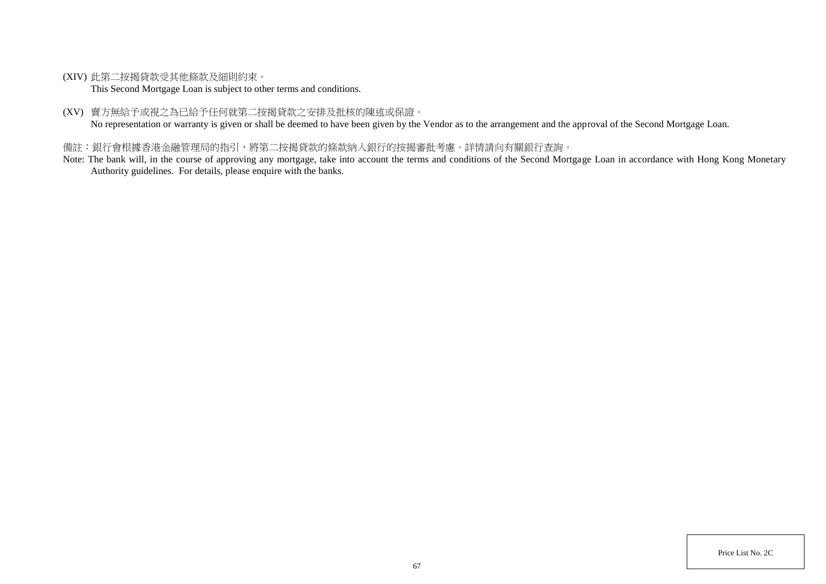(XIV) 此第二按揭貸款受其他條款及細則約束。

This Second Mortgage Loan is subject to other terms and conditions.

(XV) 賣方無給予或視之為已給予任何就第二按揭貸款之安排及批核的陳述或保證。

No representation or warranty is given or shall be deemed to have been given by the Vendor as to the arrangement and the approval of the Second Mortgage Loan.

# 備註:銀行會根據香港金融管理局的指引,將第二按揭貸款的條款納入銀行的按揭審批考慮。詳情請向有關銀行查詢。

Note: The bank will, in the course of approving any mortgage, take into account the terms and conditions of the Second Mortgage Loan in accordance with Hong Kong Monetary Authority guidelines. For details, please enquire with the banks.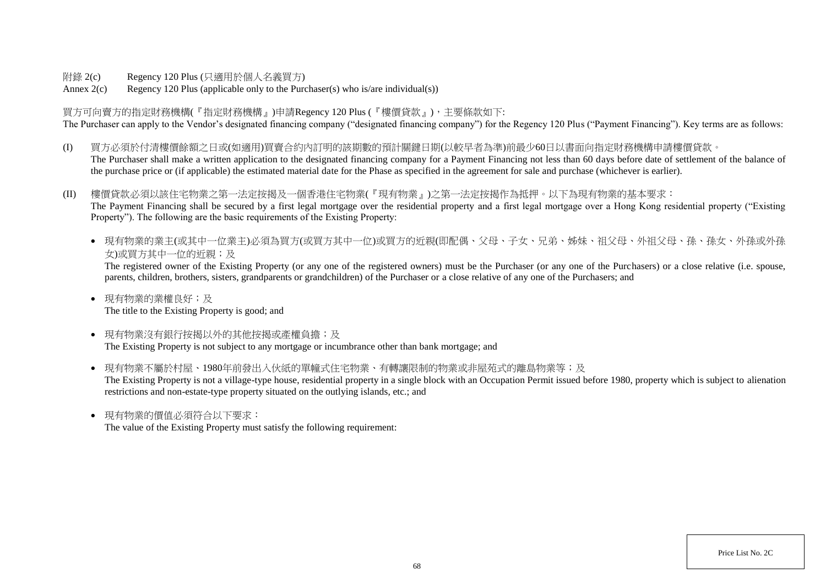附錄 2(c) Regency 120 Plus (只適用於個人名義買方)

Annex  $2(c)$  Regency 120 Plus (applicable only to the Purchaser(s) who is/are individual(s))

買方可向賣方的指定財務機構(『指定財務機構』)申請Regency 120 Plus (『樓價貸款』),主要條款如下: The Purchaser can apply to the Vendor's designated financing company ("designated financing company") for the Regency 120 Plus ("Payment Financing"). Key terms are as follows:

- (I) 買方必須於付清樓價餘額之日或(如適用)買賣合約內訂明的該期數的預計關鍵日期(以較早者為準)前最少60日以書面向指定財務機構申請樓價貸款。 The Purchaser shall make a written application to the designated financing company for a Payment Financing not less than 60 days before date of settlement of the balance of the purchase price or (if applicable) the estimated material date for the Phase as specified in the agreement for sale and purchase (whichever is earlier).
- (II) 樓價貸款必須以該住宅物業之第一法定按揭及一個香港住宅物業(『現有物業』)之第一法定按揭作為抵押。以下為現有物業的基本要求: The Payment Financing shall be secured by a first legal mortgage over the residential property and a first legal mortgage over a Hong Kong residential property ("Existing Property"). The following are the basic requirements of the Existing Property:
	- 現有物業的業主(或其中一位業主)必須為買方(或買方其中一位)或買方的近親(即配偶、父母、子女、兄弟、姊妹、祖父母、外祖父母、孫、孫女、外孫或外孫 女)或買方其中一位的近親;及

The registered owner of the Existing Property (or any one of the registered owners) must be the Purchaser (or any one of the Purchasers) or a close relative (i.e. spouse, parents, children, brothers, sisters, grandparents or grandchildren) of the Purchaser or a close relative of any one of the Purchasers; and

- 現有物業的業權良好;及 The title to the Existing Property is good; and
- 現有物業沒有銀行按揭以外的其他按揭或產權負擔;及 The Existing Property is not subject to any mortgage or incumbrance other than bank mortgage; and
- 現有物業不屬於村屋、1980年前發出入伙紙的單幢式住宅物業、有轉讓限制的物業或非屋苑式的離島物業等;及 The Existing Property is not a village-type house, residential property in a single block with an Occupation Permit issued before 1980, property which is subject to alienation restrictions and non-estate-type property situated on the outlying islands, etc.; and
- 現有物業的價值必須符合以下要求:

The value of the Existing Property must satisfy the following requirement: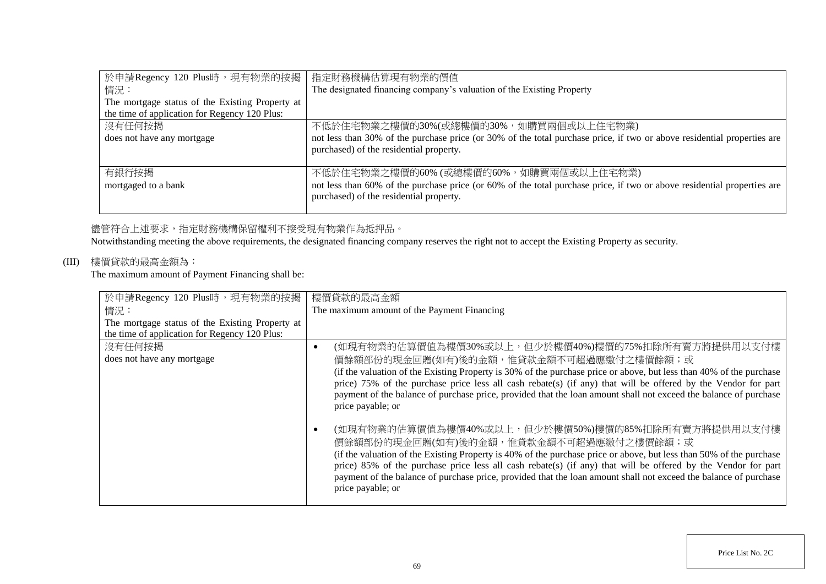| 於申請Regency 120 Plus時,現有物業的按揭                    | 指定財務機構估算現有物業的價值                                                                                                         |
|-------------------------------------------------|-------------------------------------------------------------------------------------------------------------------------|
| 情況:                                             | The designated financing company's valuation of the Existing Property                                                   |
| The mortgage status of the Existing Property at |                                                                                                                         |
| the time of application for Regency 120 Plus:   |                                                                                                                         |
| 沒有任何按揭                                          | 不低於住宅物業之樓價的30%(或總樓價的30%,如購買兩個或以上住宅物業)                                                                                   |
| does not have any mortgage                      | not less than 30% of the purchase price (or 30% of the total purchase price, if two or above residential properties are |
|                                                 | purchased) of the residential property.                                                                                 |
|                                                 |                                                                                                                         |
| 有銀行按揭                                           | 不低於住宅物業之樓價的60% (或總樓價的60%, 如購買兩個或以上住宅物業)                                                                                 |
| mortgaged to a bank                             | not less than 60% of the purchase price (or 60% of the total purchase price, if two or above residential properties are |
|                                                 | purchased) of the residential property.                                                                                 |
|                                                 |                                                                                                                         |

## 儘管符合上述要求,指定財務機構保留權利不接受現有物業作為抵押品。

Notwithstanding meeting the above requirements, the designated financing company reserves the right not to accept the Existing Property as security.

# (III) 樓價貸款的最高金額為:

The maximum amount of Payment Financing shall be:

| 於申請Regency 120 Plus時,現有物業的按揭                    | 樓價貸款的最高金額                                                                                                                                                                                                                                                                                                                                                                                                                                                                     |
|-------------------------------------------------|-------------------------------------------------------------------------------------------------------------------------------------------------------------------------------------------------------------------------------------------------------------------------------------------------------------------------------------------------------------------------------------------------------------------------------------------------------------------------------|
| 情況:                                             | The maximum amount of the Payment Financing                                                                                                                                                                                                                                                                                                                                                                                                                                   |
| The mortgage status of the Existing Property at |                                                                                                                                                                                                                                                                                                                                                                                                                                                                               |
| the time of application for Regency 120 Plus:   |                                                                                                                                                                                                                                                                                                                                                                                                                                                                               |
| 沒有任何按揭                                          | (如現有物業的估算價值為樓價30%或以上,但少於樓價40%)樓價的75%扣除所有賣方將提供用以支付樓                                                                                                                                                                                                                                                                                                                                                                                                                            |
| does not have any mortgage                      | 價餘額部份的現金回贈(如有)後的金額,惟貸款金額不可超過應繳付之樓價餘額;或                                                                                                                                                                                                                                                                                                                                                                                                                                        |
|                                                 | (if the valuation of the Existing Property is 30% of the purchase price or above, but less than 40% of the purchase<br>price) 75% of the purchase price less all cash rebate(s) (if any) that will be offered by the Vendor for part<br>payment of the balance of purchase price, provided that the loan amount shall not exceed the balance of purchase<br>price payable; or                                                                                                 |
|                                                 | (如現有物業的估算價值為樓價40%或以上,但少於樓價50%)樓價的85%扣除所有賣方將提供用以支付樓<br>價餘額部份的現金回贈(如有)後的金額,惟貸款金額不可超過應繳付之樓價餘額;或<br>(if the valuation of the Existing Property is 40% of the purchase price or above, but less than 50% of the purchase<br>price) 85% of the purchase price less all cash rebate(s) (if any) that will be offered by the Vendor for part<br>payment of the balance of purchase price, provided that the loan amount shall not exceed the balance of purchase<br>price payable; or |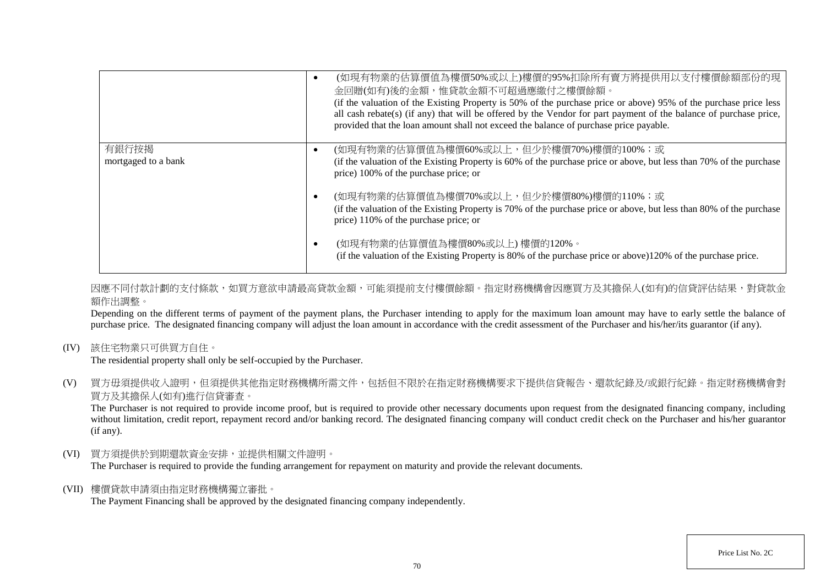|                     | (如現有物業的估算價值為樓價50%或以上)樓價的95%扣除所有賣方將提供用以支付樓價餘額部份的現<br>金回贈(如有)後的金額,惟貸款金額不可超過應繳付之樓價餘額。<br>(if the valuation of the Existing Property is 50% of the purchase price or above) 95% of the purchase price less<br>all cash rebate(s) (if any) that will be offered by the Vendor for part payment of the balance of purchase price,<br>provided that the loan amount shall not exceed the balance of purchase price payable. |
|---------------------|----------------------------------------------------------------------------------------------------------------------------------------------------------------------------------------------------------------------------------------------------------------------------------------------------------------------------------------------------------------------------------------------------------------------|
| 有銀行按揭               | (如現有物業的估算價值為樓價60%或以上,但少於樓價70%)樓價的100%;或                                                                                                                                                                                                                                                                                                                                                                              |
| mortgaged to a bank | (if the valuation of the Existing Property is 60% of the purchase price or above, but less than 70% of the purchase<br>price) 100% of the purchase price; or                                                                                                                                                                                                                                                         |
|                     | (如現有物業的估算價值為樓價70%或以上,但少於樓價80%)樓價的110%;或                                                                                                                                                                                                                                                                                                                                                                              |
|                     | (if the valuation of the Existing Property is 70% of the purchase price or above, but less than 80% of the purchase<br>price) 110% of the purchase price; or                                                                                                                                                                                                                                                         |
|                     | (如現有物業的估算價值為樓價80%或以上)樓價的120%。<br>(if the valuation of the Existing Property is 80% of the purchase price or above)120% of the purchase price.                                                                                                                                                                                                                                                                        |

因應不同付款計劃的支付條款,如買方意欲申請最高貸款金額,可能須提前支付樓價餘額。指定財務機構會因應買方及其擔保人(如有)的信貸評估結果,對貸款金 額作出調整。

Depending on the different terms of payment of the payment plans, the Purchaser intending to apply for the maximum loan amount may have to early settle the balance of purchase price. The designated financing company will adjust the loan amount in accordance with the credit assessment of the Purchaser and his/her/its guarantor (if any).

(IV) 該住宅物業只可供買方自住。

The residential property shall only be self-occupied by the Purchaser.

(V) 買方毋須提供收入證明,但須提供其他指定財務機構所需文件,包括但不限於在指定財務機構要求下提供信貸報告、還款紀錄及/或銀行紀錄。指定財務機構會對 買方及其擔保人(如有)進行信貸審查。

The Purchaser is not required to provide income proof, but is required to provide other necessary documents upon request from the designated financing company, including without limitation, credit report, repayment record and/or banking record. The designated financing company will conduct credit check on the Purchaser and his/her guarantor (if any).

(VI) 買方須提供於到期還款資金安排,並提供相關文件證明。

The Purchaser is required to provide the funding arrangement for repayment on maturity and provide the relevant documents.

(VII) 樓價貸款申請須由指定財務機構獨立審批。

The Payment Financing shall be approved by the designated financing company independently.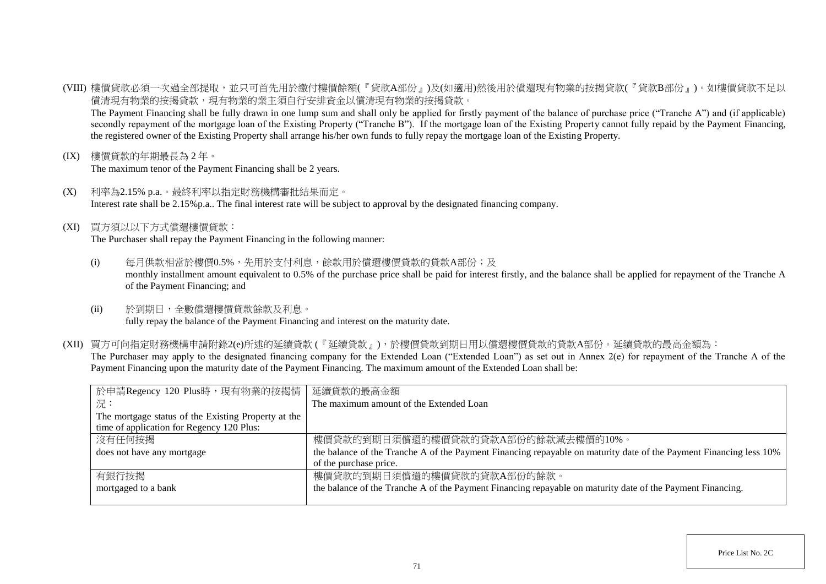(VIII) 樓價貸款必須一次過全部提取,並只可首先用於繳付樓價餘額(『貸款A部份』)及(如適用)然後用於償還現有物業的按揭貸款(『貸款B部份』)。如樓價貸款不足以 償清現有物業的按揭貸款,現有物業的業主須自行安排資金以償清現有物業的按揭貸款。

The Payment Financing shall be fully drawn in one lump sum and shall only be applied for firstly payment of the balance of purchase price ("Tranche A") and (if applicable) secondly repayment of the mortgage loan of the Existing Property ("Tranche B"). If the mortgage loan of the Existing Property cannot fully repaid by the Payment Financing, the registered owner of the Existing Property shall arrange his/her own funds to fully repay the mortgage loan of the Existing Property.

(IX) 樓價貸款的年期最長為 2 年。

The maximum tenor of the Payment Financing shall be 2 years.

- (X) 利率為2.15% p.a.。最終利率以指定財務機構審批結果而定。 Interest rate shall be 2.15%p.a.. The final interest rate will be subject to approval by the designated financing company.
- (XI) 買方須以以下方式償還樓價貸款:

The Purchaser shall repay the Payment Financing in the following manner:

- (i) 每月供款相當於樓價0.5%,先用於支付利息,餘款用於償還樓價貸款的貸款A部份;及 monthly installment amount equivalent to 0.5% of the purchase price shall be paid for interest firstly, and the balance shall be applied for repayment of the Tranche A of the Payment Financing; and
- (ii) 於到期日,全數償還樓價貸款餘款及利息。 fully repay the balance of the Payment Financing and interest on the maturity date.
- (XII) 買方可向指定財務機構申請附錄2(e)所述的延續貸款 (『延續貸款』),於樓價貸款到期日用以償還樓價貸款的貸款A部份。延續貸款的最高金額為: The Purchaser may apply to the designated financing company for the Extended Loan ("Extended Loan") as set out in Annex 2(e) for repayment of the Tranche A of the Payment Financing upon the maturity date of the Payment Financing. The maximum amount of the Extended Loan shall be:

| 於申請Regency 120 Plus時,現有物業的按揭情                       | 延續貸款的最高金額                                                                                                          |
|-----------------------------------------------------|--------------------------------------------------------------------------------------------------------------------|
| 況:                                                  | The maximum amount of the Extended Loan                                                                            |
| The mortgage status of the Existing Property at the |                                                                                                                    |
| time of application for Regency 120 Plus:           |                                                                                                                    |
| 沒有任何按揭                                              | 樓價貸款的到期日須償還的樓價貸款的貸款A部份的餘款減去樓價的10%。                                                                                 |
| does not have any mortgage                          | the balance of the Tranche A of the Payment Financing repayable on maturity date of the Payment Financing less 10% |
|                                                     | of the purchase price.                                                                                             |
| 有銀行按揭                                               | 樓價貸款的到期日須償還的樓價貸款的貸款A部份的餘款。                                                                                         |
| mortgaged to a bank                                 | the balance of the Tranche A of the Payment Financing repayable on maturity date of the Payment Financing.         |
|                                                     |                                                                                                                    |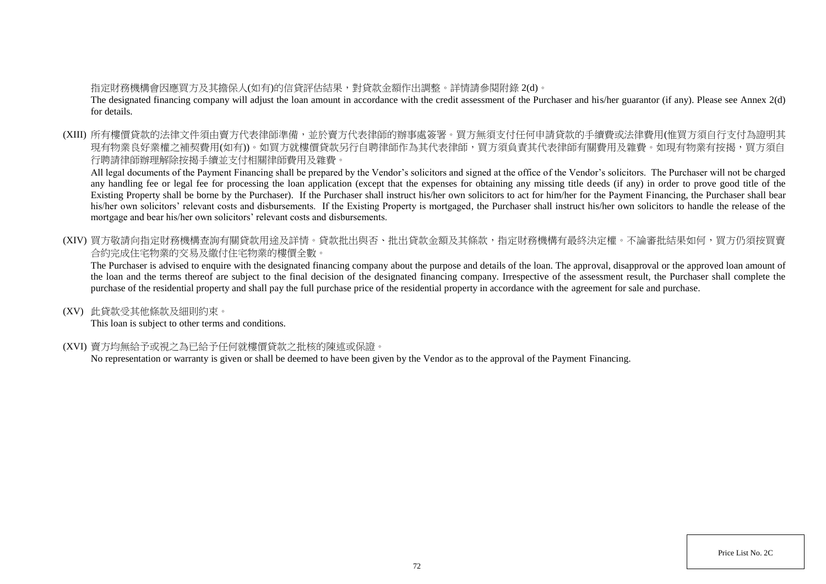## 指定財務機構會因應買方及其擔保人(如有)的信貸評估結果,對貸款金額作出調整。詳情請參閱附錄 2(d)。

The designated financing company will adjust the loan amount in accordance with the credit assessment of the Purchaser and his/her guarantor (if any). Please see Annex 2(d) for details.

(XIII) 所有樓價貸款的法律文件須由賣方代表律師準備,並於賣方代表律師的辦事處簽署。買方無須支付任何申請貸款的手續費或法律費用(惟買方須自行支付為證明其 現有物業良好業權之補契費用(如有))。如買方就樓價貸款另行自聘律師作為其代表律師,買方須負責其代表律師有關費用及雜費。如現有物業有按揭,買方須自 行聘請律師辦理解除按揭手續並支付相關律師費用及雜費。

All legal documents of the Payment Financing shall be prepared by the Vendor's solicitors and signed at the office of the Vendor's solicitors. The Purchaser will not be charged any handling fee or legal fee for processing the loan application (except that the expenses for obtaining any missing title deeds (if any) in order to prove good title of the Existing Property shall be borne by the Purchaser). If the Purchaser shall instruct his/her own solicitors to act for him/her for the Payment Financing, the Purchaser shall bear his/her own solicitors' relevant costs and disbursements. If the Existing Property is mortgaged, the Purchaser shall instruct his/her own solicitors to handle the release of the mortgage and bear his/her own solicitors' relevant costs and disbursements.

(XIV) 買方敬請向指定財務機構查詢有關貸款用途及詳情。貸款批出與否、批出貸款金額及其條款,指定財務機構有最終決定權。不論審批結果如何,買方仍須按買賣 合約完成住宅物業的交易及繳付住宅物業的樓價全數。

The Purchaser is advised to enquire with the designated financing company about the purpose and details of the loan. The approval, disapproval or the approved loan amount of the loan and the terms thereof are subject to the final decision of the designated financing company. Irrespective of the assessment result, the Purchaser shall complete the purchase of the residential property and shall pay the full purchase price of the residential property in accordance with the agreement for sale and purchase.

(XV) 此貸款受其他條款及細則約束。

This loan is subject to other terms and conditions.

(XVI) 賣方均無給予或視之為已給予任何就樓價貸款之批核的陳述或保證。

No representation or warranty is given or shall be deemed to have been given by the Vendor as to the approval of the Payment Financing.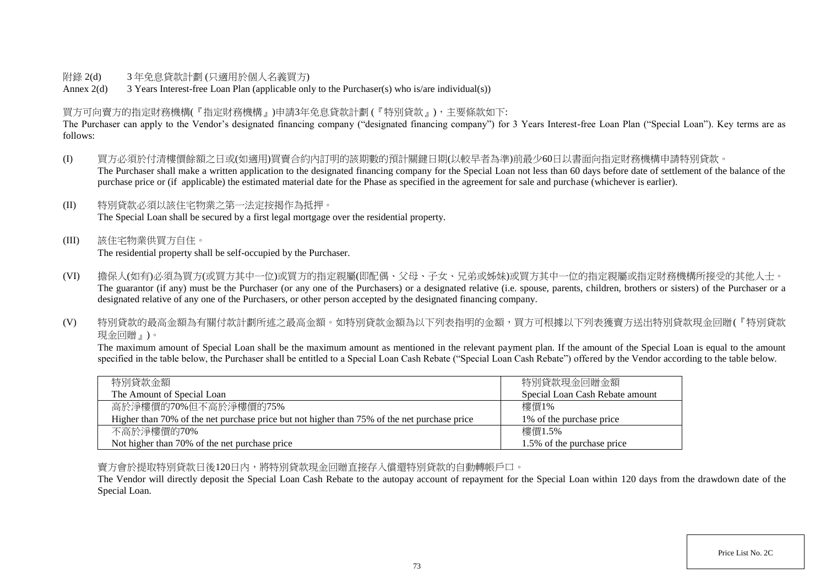## 附錄 2(d) 3 年免息貸款計劃 (只適用於個人名義買方)

Annex 2(d) 3 Years Interest-free Loan Plan (applicable only to the Purchaser(s) who is/are individual(s))

## 買方可向賣方的指定財務機構(『指定財務機構』)申請3年免息貸款計劃 (『特別貸款』),主要條款如下:

The Purchaser can apply to the Vendor's designated financing company ("designated financing company") for 3 Years Interest-free Loan Plan ("Special Loan"). Key terms are as follows:

- (I) 買方必須於付清樓價餘額之日或(如適用)買賣合約內訂明的該期數的預計關鍵日期(以較早者為準)前最少60日以書面向指定財務機構申請特別貸款。 The Purchaser shall make a written application to the designated financing company for the Special Loan not less than 60 days before date of settlement of the balance of the purchase price or (if applicable) the estimated material date for the Phase as specified in the agreement for sale and purchase (whichever is earlier).
- (II) 特別貸款必須以該住宅物業之第一法定按揭作為抵押。 The Special Loan shall be secured by a first legal mortgage over the residential property.
- (III) 該住宅物業供買方自住。 The residential property shall be self-occupied by the Purchaser.
- (VI) 擔保人(如有)必須為買方(或買方其中一位)或買方的指定親屬(即配偶、父母、子女、兄弟或姊妹)或買方其中一位的指定親屬或指定財務機構所接受的其他人士。 The guarantor (if any) must be the Purchaser (or any one of the Purchasers) or a designated relative (i.e. spouse, parents, children, brothers or sisters) of the Purchaser or a designated relative of any one of the Purchasers, or other person accepted by the designated financing company.
- (V) 特別貸款的最高金額為有關付款計劃所述之最高金額。如特別貸款金額為以下列表指明的金額,買方可根據以下列表獲賣方送出特別貸款現金回贈(『特別貸款 現金回贈』)。

The maximum amount of Special Loan shall be the maximum amount as mentioned in the relevant payment plan. If the amount of the Special Loan is equal to the amount specified in the table below, the Purchaser shall be entitled to a Special Loan Cash Rebate ("Special Loan Cash Rebate") offered by the Vendor according to the table below.

| 特別貸款金額                                                                                      | 特別貸款現金回贈金額                      |
|---------------------------------------------------------------------------------------------|---------------------------------|
| The Amount of Special Loan                                                                  | Special Loan Cash Rebate amount |
| 高於淨樓價的70%但不高於淨樓價的75%                                                                        | 樓價1%                            |
| Higher than 70% of the net purchase price but not higher than 75% of the net purchase price | 1\% of the purchase price       |
| 不高於淨樓價的70%                                                                                  | 樓價1.5%                          |
| Not higher than 70% of the net purchase price                                               | 1.5% of the purchase price      |

賣方會於提取特別貸款日後120日內,將特別貸款現金回贈直接存入償還特別貸款的自動轉帳戶口。

The Vendor will directly deposit the Special Loan Cash Rebate to the autopay account of repayment for the Special Loan within 120 days from the drawdown date of the Special Loan.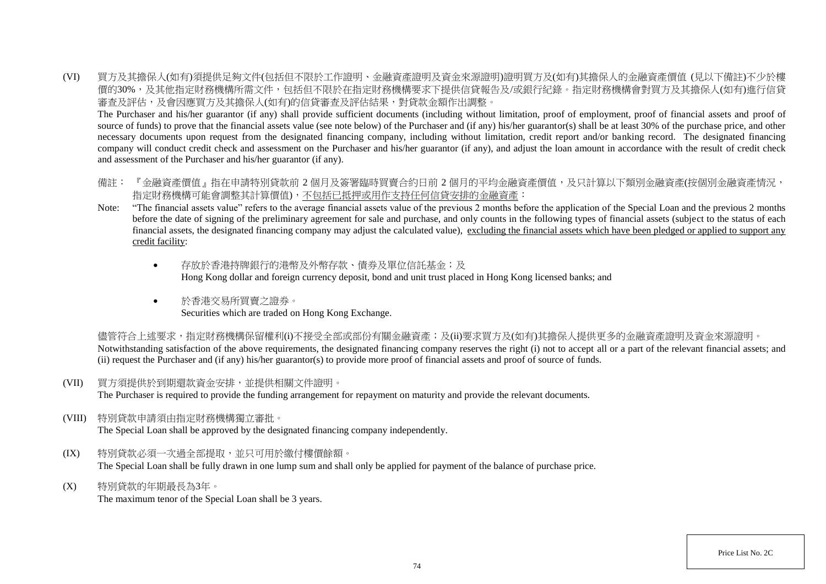(VI) 買方及其擔保人(如有)須提供足夠文件(包括但不限於工作證明、金融資產證明及資金來源證明)證明買方及(如有)其擔保人的金融資產價值 (見以下備註)不少於樓 價的30%,及其他指定財務機構所需文件,包括但不限於在指定財務機構要求下提供信貸報告及/或銀行紀錄。指定財務機構會對買方及其擔保人(如有)進行信貸 審查及評估,及會因應買方及其擔保人(如有)的信貸審查及評估結果,對貸款金額作出調整。

The Purchaser and his/her guarantor (if any) shall provide sufficient documents (including without limitation, proof of employment, proof of financial assets and proof of source of funds) to prove that the financial assets value (see note below) of the Purchaser and (if any) his/her guarantor(s) shall be at least 30% of the purchase price, and other necessary documents upon request from the designated financing company, including without limitation, credit report and/or banking record. The designated financing company will conduct credit check and assessment on the Purchaser and his/her guarantor (if any), and adjust the loan amount in accordance with the result of credit check and assessment of the Purchaser and his/her guarantor (if any).

- 備註: 『金融資產價值』指在申請特別貸款前 2 個月及簽署臨時買賣合約日前 2 個月的平均金融資產價值,及只計算以下類別金融資產(按個別金融資產情況, 指定財務機構可能會調整其計算價值),不包括已抵押或用作支持任何信貸安排的金融資產:
- Note: "The financial assets value" refers to the average financial assets value of the previous 2 months before the application of the Special Loan and the previous 2 months before the date of signing of the preliminary agreement for sale and purchase, and only counts in the following types of financial assets (subject to the status of each financial assets, the designated financing company may adjust the calculated value), excluding the financial assets which have been pledged or applied to support any credit facility:
	- 存放於香港特牌銀行的港幣及外幣存款、債券及單位信託基金;及 Hong Kong dollar and foreign currency deposit, bond and unit trust placed in Hong Kong licensed banks; and
	- 於香港交易所買賣之證券。 Securities which are traded on Hong Kong Exchange.

儘管符合上述要求,指定財務機構保留權利(i)不接受全部或部份有關金融資產;及(ii)要求買方及(如有)其擔保人提供更多的金融資產證明及資金來源證明。 Notwithstanding satisfaction of the above requirements, the designated financing company reserves the right (i) not to accept all or a part of the relevant financial assets; and (ii) request the Purchaser and (if any) his/her guarantor(s) to provide more proof of financial assets and proof of source of funds.

(VII) 買方須提供於到期還款資金安排,並提供相關文件證明。

The Purchaser is required to provide the funding arrangement for repayment on maturity and provide the relevant documents.

(VIII) 特別貸款申請須由指定財務機構獨立審批。

The Special Loan shall be approved by the designated financing company independently.

- (IX) 特別貸款必須一次過全部提取,並只可用於繳付樓價餘額。 The Special Loan shall be fully drawn in one lump sum and shall only be applied for payment of the balance of purchase price.
- (X) 特別貸款的年期最長為3年。

The maximum tenor of the Special Loan shall be 3 years.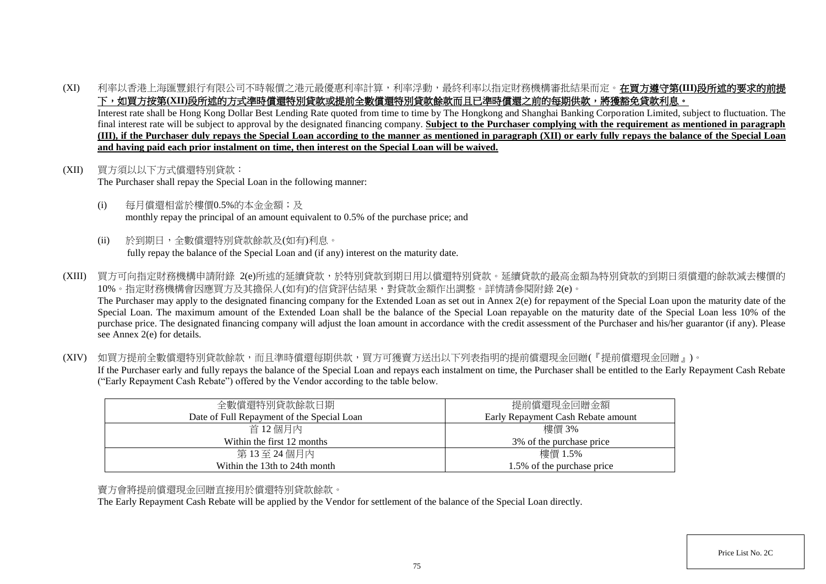(XI) 利率以香港上海匯豐銀行有限公司不時報價之港元最優惠利率計算,利率浮動,最終利率以指定財務機構審批結果而定。在買方遵守第**(III)**段所述的要求的前提 下,如買方按第(XII)段所述的方式準時償還特別貸款或提前全數償還特別貸款餘款而且已準時償還之前的每期供款,將獲豁免貸款利息。

Interest rate shall be Hong Kong Dollar Best Lending Rate quoted from time to time by The Hongkong and Shanghai Banking Corporation Limited, subject to fluctuation. The final interest rate will be subject to approval by the designated financing company. **Subject to the Purchaser complying with the requirement as mentioned in paragraph (III), if the Purchaser duly repays the Special Loan according to the manner as mentioned in paragraph (XII) or early fully repays the balance of the Special Loan and having paid each prior instalment on time, then interest on the Special Loan will be waived.**

- (XII) 買方須以以下方式償還特別貸款: The Purchaser shall repay the Special Loan in the following manner:
	- (i) 每月償還相當於樓價0.5%的本金金額;及 monthly repay the principal of an amount equivalent to 0.5% of the purchase price; and
	- (ii) 於到期日,全數償還特別貸款餘款及(如有)利息。 fully repay the balance of the Special Loan and (if any) interest on the maturity date.
- (XIII) 買方可向指定財務機構申請附錄 2(e)所述的延續貸款,於特別貸款到期日用以償還特別貸款。延續貸款的最高金額為特別貸款的到期日須償還的餘款減去樓價的 10%。指定財務機構會因應買方及其擔保人(如有)的信貸評估結果,對貸款金額作出調整。詳情請參閱附錄 2(e)。 The Purchaser may apply to the designated financing company for the Extended Loan as set out in Annex 2(e) for repayment of the Special Loan upon the maturity date of the Special Loan. The maximum amount of the Extended Loan shall be the balance of the Special Loan repayable on the maturity date of the Special Loan less 10% of the purchase price. The designated financing company will adjust the loan amount in accordance with the credit assessment of the Purchaser and his/her guarantor (if any). Please see Annex 2(e) for details.
- (XIV) 如買方提前全數償還特別貸款餘款,而且準時償還每期供款,買方可獲賣方送出以下列表指明的提前償還現金回贈(『提前償還現金回贈』)。 If the Purchaser early and fully repays the balance of the Special Loan and repays each instalment on time, the Purchaser shall be entitled to the Early Repayment Cash Rebate ("Early Repayment Cash Rebate") offered by the Vendor according to the table below.

| 全數償還特別貸款餘款日期                               | 提前償還現金回贈金額                         |
|--------------------------------------------|------------------------------------|
| Date of Full Repayment of the Special Loan | Early Repayment Cash Rebate amount |
| 首 12個月內                                    | 樓價 3%                              |
| Within the first 12 months                 | 3\% of the purchase price          |
| 第13至24個月內                                  | 樓價 1.5%                            |
| Within the 13th to 24th month              | 1.5% of the purchase price         |

## 賣方會將提前償還現金回贈直接用於償還特別貸款餘款。

The Early Repayment Cash Rebate will be applied by the Vendor for settlement of the balance of the Special Loan directly.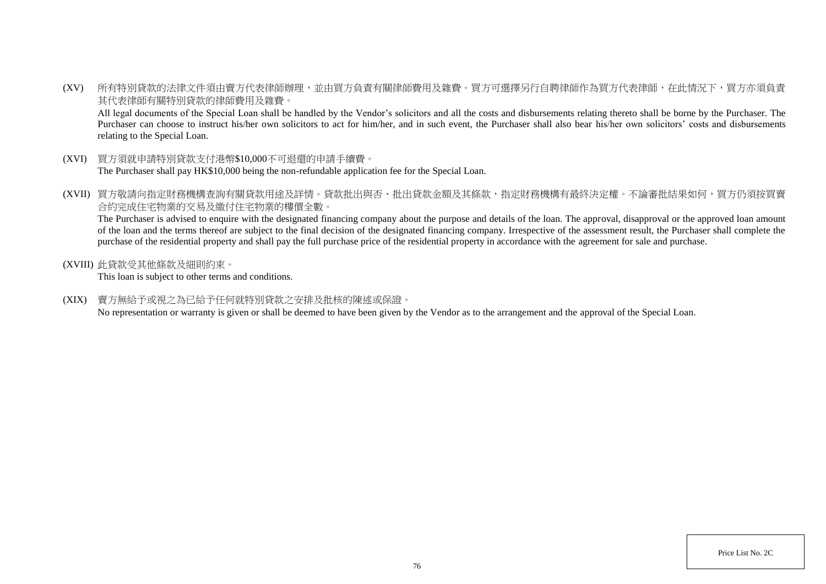(XV) 所有特別貸款的法律文件須由賣方代表律師辦理,並由買方負責有關律師費用及雜費。買方可選擇另行自聘律師作為買方代表律師,在此情況下,買方亦須負責 其代表律師有關特別貸款的律師費用及雜費。

All legal documents of the Special Loan shall be handled by the Vendor's solicitors and all the costs and disbursements relating thereto shall be borne by the Purchaser. The Purchaser can choose to instruct his/her own solicitors to act for him/her, and in such event, the Purchaser shall also bear his/her own solicitors' costs and disbursements relating to the Special Loan.

- (XVI) 買方須就申請特別貸款支付港幣\$10,000不可退還的申請手續費。 The Purchaser shall pay HK\$10,000 being the non-refundable application fee for the Special Loan.
- (XVII) 買方敬請向指定財務機構查詢有關貸款用途及詳情。貸款批出與否、批出貸款金額及其條款,指定財務機構有最終決定權。不論審批結果如何,買方仍須按買賣 合約完成住宅物業的交易及繳付住宅物業的樓價全數。

The Purchaser is advised to enquire with the designated financing company about the purpose and details of the loan. The approval, disapproval or the approved loan amount of the loan and the terms thereof are subject to the final decision of the designated financing company. Irrespective of the assessment result, the Purchaser shall complete the purchase of the residential property and shall pay the full purchase price of the residential property in accordance with the agreement for sale and purchase.

(XVIII) 此貸款受其他條款及細則約束。

This loan is subject to other terms and conditions.

(XIX) 賣方無給予或視之為已給予任何就特別貸款之安排及批核的陳述或保證。

No representation or warranty is given or shall be deemed to have been given by the Vendor as to the arrangement and the approval of the Special Loan.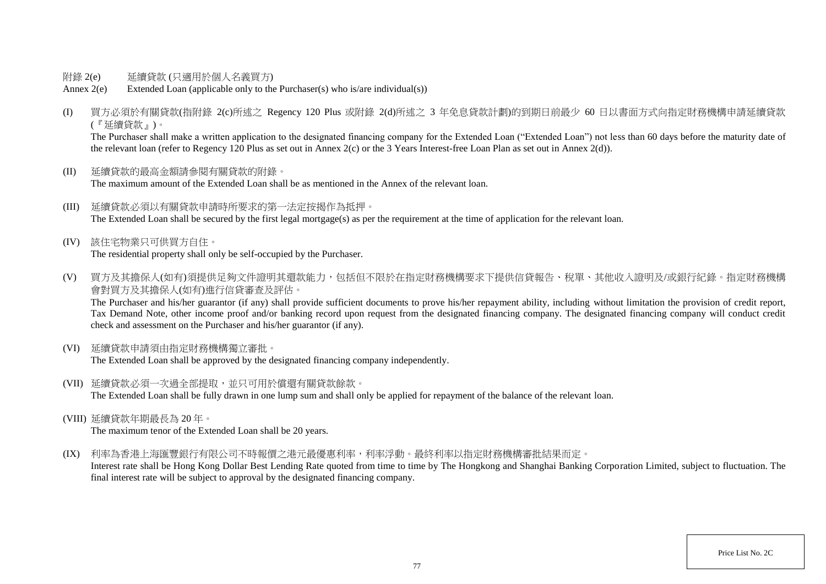- 附錄 2(e) 延續貸款 (只適用於個人名義買方)
- Annex 2(e) Extended Loan (applicable only to the Purchaser(s) who is/are individual(s))
- (I) 買方必須於有關貸款(指附錄 2(c)所述之 Regency 120 Plus 或附錄 2(d)所述之 3 年免息貸款計劃)的到期日前最少 60 日以書面方式向指定財務機構申請延續貸款 (『延續貸款』)。

The Purchaser shall make a written application to the designated financing company for the Extended Loan ("Extended Loan") not less than 60 days before the maturity date of the relevant loan (refer to Regency 120 Plus as set out in Annex 2(c) or the 3 Years Interest-free Loan Plan as set out in Annex 2(d)).

- (II) 延續貸款的最高金額請參閱有關貸款的附錄。 The maximum amount of the Extended Loan shall be as mentioned in the Annex of the relevant loan.
- (III) 延續貸款必須以有關貸款申請時所要求的第一法定按揭作為抵押。 The Extended Loan shall be secured by the first legal mortgage(s) as per the requirement at the time of application for the relevant loan.
- (IV) 該住宅物業只可供買方自住。 The residential property shall only be self-occupied by the Purchaser.
- (V) 買方及其擔保人(如有)須提供足夠文件證明其還款能力,包括但不限於在指定財務機構要求下提供信貸報告、稅單、其他收入證明及/或銀行紀錄。指定財務機構 會對買方及其擔保人(如有)進行信貸審查及評估。

The Purchaser and his/her guarantor (if any) shall provide sufficient documents to prove his/her repayment ability, including without limitation the provision of credit report, Tax Demand Note, other income proof and/or banking record upon request from the designated financing company. The designated financing company will conduct credit check and assessment on the Purchaser and his/her guarantor (if any).

(VI) 延續貸款申請須由指定財務機構獨立審批。

The Extended Loan shall be approved by the designated financing company independently.

- (VII) 延續貸款必須一次過全部提取,並只可用於償還有關貸款餘款。 The Extended Loan shall be fully drawn in one lump sum and shall only be applied for repayment of the balance of the relevant loan.
- (VIII) 延續貸款年期最長為 20 年。

The maximum tenor of the Extended Loan shall be 20 years.

(IX) 利率為香港上海匯豐銀行有限公司不時報價之港元最優惠利率,利率浮動。最終利率以指定財務機構審批結果而定。

Interest rate shall be Hong Kong Dollar Best Lending Rate quoted from time to time by The Hongkong and Shanghai Banking Corporation Limited, subject to fluctuation. The final interest rate will be subject to approval by the designated financing company.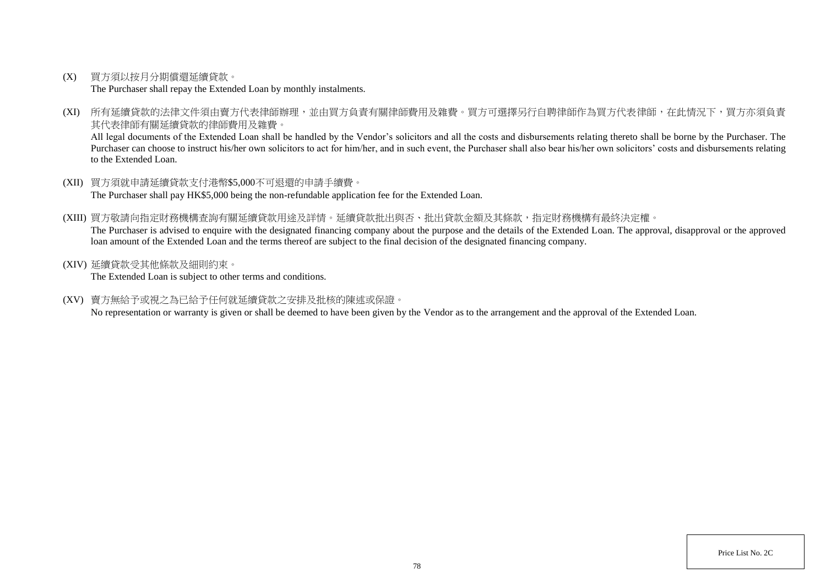(X) 買方須以按月分期償還延續貸款。

The Purchaser shall repay the Extended Loan by monthly instalments.

(XI) 所有延續貸款的法律文件須由賣方代表律師辦理,並由買方負責有關律師費用及雜費。買方可選擇另行自聘律師作為買方代表律師,在此情況下,買方亦須負責 其代表律師有關延續貸款的律師費用及雜費。

All legal documents of the Extended Loan shall be handled by the Vendor's solicitors and all the costs and disbursements relating thereto shall be borne by the Purchaser. The Purchaser can choose to instruct his/her own solicitors to act for him/her, and in such event, the Purchaser shall also bear his/her own solicitors' costs and disbursements relating to the Extended Loan.

- (XII) 買方須就申請延續貸款支付港幣\$5,000不可退還的申請手續費。 The Purchaser shall pay HK\$5,000 being the non-refundable application fee for the Extended Loan.
- (XIII) 買方敬請向指定財務機構查詢有關延續貸款用途及詳情。延續貸款批出與否、批出貸款金額及其條款,指定財務機構有最終決定權。 The Purchaser is advised to enquire with the designated financing company about the purpose and the details of the Extended Loan. The approval, disapproval or the approved loan amount of the Extended Loan and the terms thereof are subject to the final decision of the designated financing company.
- (XIV) 延續貸款受其他條款及細則約束。

The Extended Loan is subject to other terms and conditions.

(XV) 賣方無給予或視之為已給予任何就延續貸款之安排及批核的陳述或保證。

No representation or warranty is given or shall be deemed to have been given by the Vendor as to the arrangement and the approval of the Extended Loan.